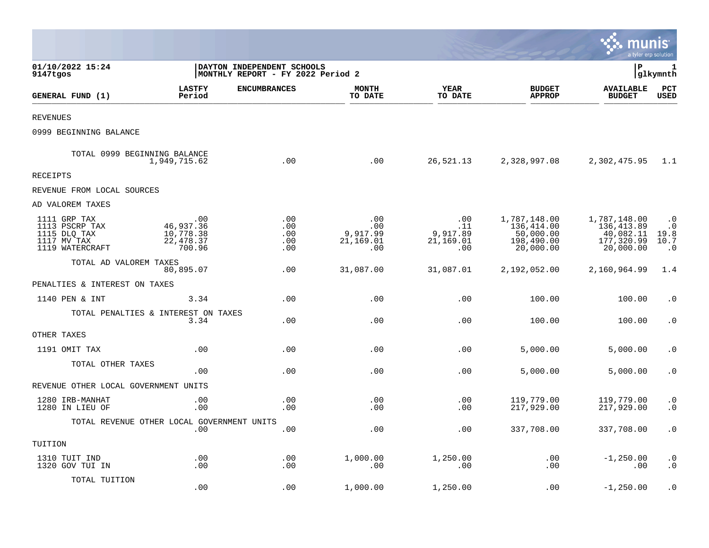|                                                                                  |                                                       |                                                                 |                                            |                                            |                                                                    | munis                                                               | a tyler erp solution                                |
|----------------------------------------------------------------------------------|-------------------------------------------------------|-----------------------------------------------------------------|--------------------------------------------|--------------------------------------------|--------------------------------------------------------------------|---------------------------------------------------------------------|-----------------------------------------------------|
| 01/10/2022 15:24<br>9147tgos                                                     |                                                       | DAYTON INDEPENDENT SCHOOLS<br>MONTHLY REPORT - FY 2022 Period 2 |                                            |                                            |                                                                    | l P                                                                 | 1<br> glkymnth                                      |
| GENERAL FUND (1)                                                                 | <b>LASTFY</b><br>Period                               | <b>ENCUMBRANCES</b>                                             | <b>MONTH</b><br>TO DATE                    | <b>YEAR</b><br>TO DATE                     | <b>BUDGET</b><br><b>APPROP</b>                                     | <b>AVAILABLE</b><br><b>BUDGET</b>                                   | PCT<br><b>USED</b>                                  |
| <b>REVENUES</b>                                                                  |                                                       |                                                                 |                                            |                                            |                                                                    |                                                                     |                                                     |
| 0999 BEGINNING BALANCE                                                           |                                                       |                                                                 |                                            |                                            |                                                                    |                                                                     |                                                     |
| TOTAL 0999 BEGINNING BALANCE                                                     | 1,949,715.62                                          | .00                                                             | .00                                        | 26,521.13                                  | 2,328,997.08                                                       | 2,302,475.95                                                        | 1.1                                                 |
| RECEIPTS                                                                         |                                                       |                                                                 |                                            |                                            |                                                                    |                                                                     |                                                     |
| REVENUE FROM LOCAL SOURCES                                                       |                                                       |                                                                 |                                            |                                            |                                                                    |                                                                     |                                                     |
| AD VALOREM TAXES                                                                 |                                                       |                                                                 |                                            |                                            |                                                                    |                                                                     |                                                     |
| 1111 GRP TAX<br>1113 PSCRP TAX<br>1115 DLQ TAX<br>1117 MV TAX<br>1119 WATERCRAFT | .00<br>46,937.36<br>10,778.38<br>22, 478.37<br>700.96 | .00<br>.00<br>.00<br>.00<br>.00                                 | .00<br>.00<br>9,917.99<br>21,169.01<br>.00 | .00<br>.11<br>9,917.89<br>21,169.01<br>.00 | 1,787,148.00<br>136,414.00<br>50,000.00<br>198,490.00<br>20,000.00 | 1,787,148.00<br>136, 413.89<br>40,082.11<br>177,320.99<br>20,000.00 | $\cdot$ 0<br>$\cdot$ 0<br>19.8<br>10.7<br>$\cdot$ 0 |
| TOTAL AD VALOREM TAXES                                                           | 80,895.07                                             | .00                                                             | 31,087.00                                  | 31,087.01                                  | 2,192,052.00                                                       | 2,160,964.99                                                        | 1.4                                                 |
| PENALTIES & INTEREST ON TAXES                                                    |                                                       |                                                                 |                                            |                                            |                                                                    |                                                                     |                                                     |
| 1140 PEN & INT                                                                   | 3.34                                                  | .00                                                             | .00                                        | .00                                        | 100.00                                                             | 100.00                                                              | $\cdot$ 0                                           |
|                                                                                  | TOTAL PENALTIES & INTEREST ON TAXES<br>3.34           | .00                                                             | .00                                        | .00                                        | 100.00                                                             | 100.00                                                              | $\cdot$ 0                                           |
| OTHER TAXES                                                                      |                                                       |                                                                 |                                            |                                            |                                                                    |                                                                     |                                                     |
| 1191 OMIT TAX                                                                    | .00                                                   | .00                                                             | .00                                        | .00                                        | 5,000.00                                                           | 5,000.00                                                            | $\cdot$ 0                                           |
| TOTAL OTHER TAXES                                                                | .00                                                   | .00                                                             | .00                                        | .00                                        | 5,000.00                                                           | 5,000.00                                                            | $\cdot$ 0                                           |
| REVENUE OTHER LOCAL GOVERNMENT UNITS                                             |                                                       |                                                                 |                                            |                                            |                                                                    |                                                                     |                                                     |
| 1280 IRB-MANHAT<br>1280 IN LIEU OF                                               | .00<br>.00                                            | .00<br>.00                                                      | .00<br>.00                                 | .00<br>.00                                 | 119,779.00<br>217,929.00                                           | 119,779.00<br>217,929.00                                            | $\cdot$ 0<br>$\cdot$ 0                              |
|                                                                                  | TOTAL REVENUE OTHER LOCAL GOVERNMENT UNITS<br>.00     | .00                                                             | .00                                        | .00                                        | 337,708.00                                                         | 337,708.00                                                          | $\boldsymbol{\cdot}$ 0                              |
| TUITION                                                                          |                                                       |                                                                 |                                            |                                            |                                                                    |                                                                     |                                                     |
| 1310 TUIT IND<br>1320 GOV TUI IN                                                 | .00<br>.00                                            | .00<br>.00                                                      | 1,000.00<br>.00                            | 1,250.00<br>.00                            | .00<br>.00                                                         | $-1, 250.00$<br>.00                                                 | $\cdot$ 0<br>$\cdot$ 0                              |
| TOTAL TUITION                                                                    | .00                                                   | .00                                                             | 1,000.00                                   | 1,250.00                                   | .00                                                                | $-1, 250.00$                                                        | $\cdot$ 0                                           |

 $\mathcal{L}^{\text{max}}$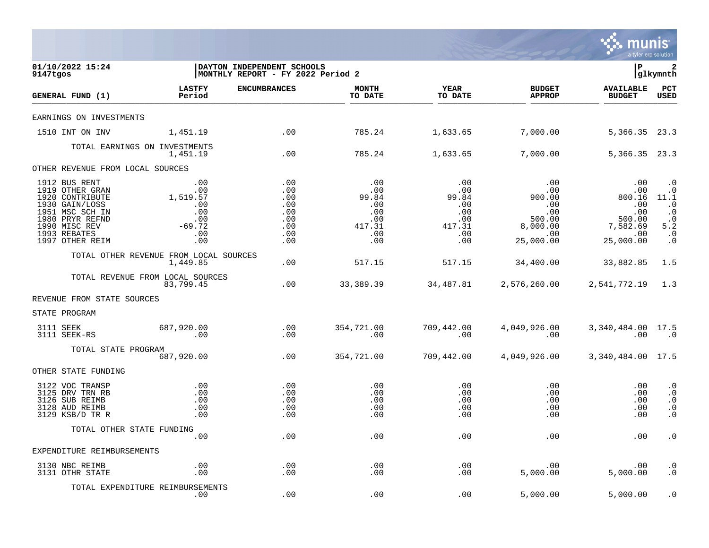

| 01/10/2022 15:24<br>9147tgos                                                                                                                                    |                                                                                                                                               | DAYTON INDEPENDENT SCHOOLS<br>MONTHLY REPORT - FY 2022 Period 2 |                                                                       |                                                                     |                                                               | l P                                                                                                          | 2<br> glkymnth                                                                                           |
|-----------------------------------------------------------------------------------------------------------------------------------------------------------------|-----------------------------------------------------------------------------------------------------------------------------------------------|-----------------------------------------------------------------|-----------------------------------------------------------------------|---------------------------------------------------------------------|---------------------------------------------------------------|--------------------------------------------------------------------------------------------------------------|----------------------------------------------------------------------------------------------------------|
| GENERAL FUND (1)                                                                                                                                                | <b>LASTFY</b><br>Period                                                                                                                       | <b>ENCUMBRANCES</b>                                             | <b>MONTH</b><br>TO DATE                                               | <b>YEAR</b><br>TO DATE                                              | <b>BUDGET</b><br><b>APPROP</b>                                | <b>AVAILABLE</b><br><b>BUDGET</b>                                                                            | $_{\rm PCT}$<br><b>USED</b>                                                                              |
| EARNINGS ON INVESTMENTS                                                                                                                                         |                                                                                                                                               |                                                                 |                                                                       |                                                                     |                                                               |                                                                                                              |                                                                                                          |
| 1510 INT ON INV                                                                                                                                                 | 1,451.19                                                                                                                                      | .00                                                             | 785.24                                                                | 1,633.65                                                            | 7,000.00                                                      | 5,366.35 23.3                                                                                                |                                                                                                          |
|                                                                                                                                                                 | TOTAL EARNINGS ON INVESTMENTS<br>1,451.19                                                                                                     | .00                                                             | 785.24                                                                | 1,633.65                                                            | 7,000.00                                                      | 5, 366. 35 23. 3                                                                                             |                                                                                                          |
| OTHER REVENUE FROM LOCAL SOURCES                                                                                                                                |                                                                                                                                               |                                                                 |                                                                       |                                                                     |                                                               |                                                                                                              |                                                                                                          |
| 1912 BUS RENT<br>1919 OTHER GRAN<br>1920 CONTRIBUTE<br>1930 GAIN/LOSS<br>1951 MSC SCH IN<br>1980 PRYR REFND<br>1990 MISC REV<br>1993 REBATES<br>1997 OTHER REIM | $\begin{array}{c} 0.00 \\ -0.00 \end{array}$<br>1,519.57<br>.00<br>$\begin{array}{c} .00 \\ .00 \end{array}$<br>.00<br>$-69.72$<br>.00<br>.00 | .00<br>.00<br>.00<br>.00<br>.00<br>.00<br>.00<br>.00<br>.00     | .00<br>.00<br>99.84<br>.00<br>$\ldots$<br>.00<br>417.31<br>.00<br>.00 | .00<br>.00<br>99.84<br>.00<br>$.00$<br>0.00<br>417.31<br>.00<br>.00 | .00<br>00.<br>00.<br>900.00<br>.00<br>.00<br>.00<br>25,000.00 | .00<br>.00<br>800.16<br>.00<br>.00<br>00 .<br>500.00 500.00<br>7,582.69 8,000.00 0<br>$\sim$ 00<br>25,000.00 | $\cdot$ 0<br>$\cdot$ 0<br>11.1<br>$\cdot$ . 0<br>$\cdot$ 0<br>$\cdot$ 0<br>5.2<br>$\cdot$ 0<br>$\cdot$ 0 |
|                                                                                                                                                                 | TOTAL OTHER REVENUE FROM LOCAL SOURCES<br>1,449.85                                                                                            | .00                                                             | 517.15                                                                | 517.15                                                              | 34,400.00                                                     | 33,882.85                                                                                                    | 1.5                                                                                                      |
|                                                                                                                                                                 | TOTAL REVENUE FROM LOCAL SOURCES<br>83,799.45                                                                                                 | $\sim$ 00                                                       |                                                                       |                                                                     | 33,389.39 34,487.81 2,576,260.00 2,541,772.19 1.3             |                                                                                                              |                                                                                                          |
| REVENUE FROM STATE SOURCES                                                                                                                                      |                                                                                                                                               |                                                                 |                                                                       |                                                                     |                                                               |                                                                                                              |                                                                                                          |
| STATE PROGRAM                                                                                                                                                   |                                                                                                                                               |                                                                 |                                                                       |                                                                     |                                                               |                                                                                                              |                                                                                                          |
| 3111 SEEK<br>3111 SEEK-RS                                                                                                                                       | 687,920.00<br>00.                                                                                                                             | .00<br>.00                                                      | 354,721.00<br>$\sim 00$                                               | 709,442.00<br>$\sim 00$                                             | 4,049,926.00<br>$\sim$ 00                                     | 3,340,484.00 17.5<br>.00                                                                                     | $\cdot$ 0                                                                                                |
| TOTAL STATE PROGRAM                                                                                                                                             | 687,920.00                                                                                                                                    | .00                                                             | 354,721.00                                                            | 709,442.00                                                          | 4,049,926.00                                                  | 3,340,484.00 17.5                                                                                            |                                                                                                          |
| OTHER STATE FUNDING                                                                                                                                             |                                                                                                                                               |                                                                 |                                                                       |                                                                     |                                                               |                                                                                                              |                                                                                                          |
| 3122 VOC TRANSP<br>3125 DRV TRN RB<br>3126 SUB REIMB<br>3128 AUD REIMB<br>3129 KSB/D TR R                                                                       | .00<br>.00<br>.00<br>.00<br>.00                                                                                                               | .00<br>.00<br>.00<br>.00<br>.00                                 | $\,.\,00$<br>.00<br>.00<br>.00<br>.00                                 | $.00 \,$<br>.00<br>.00<br>.00<br>.00                                | .00<br>.00<br>.00<br>.00<br>.00                               | $.00 \,$<br>.00<br>.00<br>.00<br>.00                                                                         | $\cdot$ 0<br>$\cdot$ 0<br>$\cdot$ 0<br>$\boldsymbol{\cdot}$ 0<br>$\cdot$ 0                               |
|                                                                                                                                                                 | TOTAL OTHER STATE FUNDING<br>.00                                                                                                              | .00                                                             | .00                                                                   | $.00 \,$                                                            | .00                                                           | $.00 \,$                                                                                                     | $\cdot$ 0                                                                                                |
| EXPENDITURE REIMBURSEMENTS                                                                                                                                      |                                                                                                                                               |                                                                 |                                                                       |                                                                     |                                                               |                                                                                                              |                                                                                                          |
| 3130 NBC REIMB<br>3131 OTHR STATE                                                                                                                               | .00<br>.00                                                                                                                                    | .00<br>.00                                                      | .00<br>.00                                                            | .00<br>$.00 \,$                                                     | .00<br>5,000.00                                               | $.00 \,$<br>5,000.00                                                                                         | $\cdot$ 0<br>$\cdot$ 0                                                                                   |
|                                                                                                                                                                 | TOTAL EXPENDITURE REIMBURSEMENTS<br>.00                                                                                                       | .00                                                             | .00                                                                   | .00                                                                 | 5,000.00                                                      | 5,000.00                                                                                                     | $\cdot$ 0                                                                                                |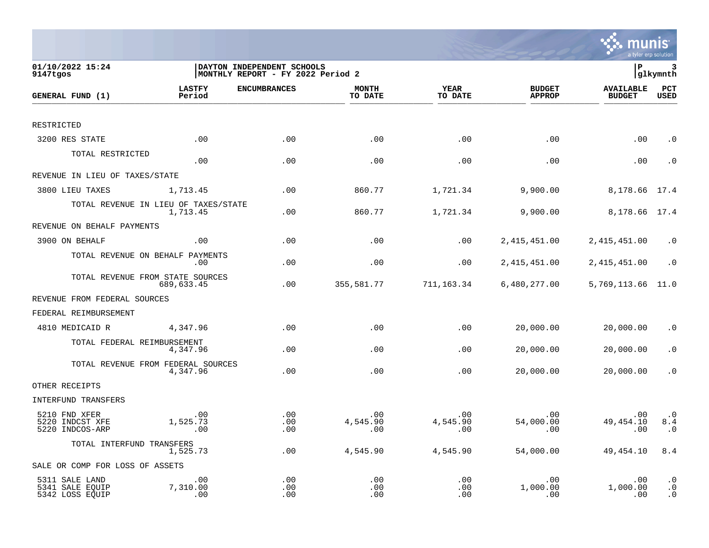

| 01/10/2022 15:24<br>9147tgos                         |                                  | DAYTON INDEPENDENT SCHOOLS<br>MONTHLY REPORT - FY 2022 Period 2 |                             |                        |                                | İР                                | 3<br> glkymnth                                   |
|------------------------------------------------------|----------------------------------|-----------------------------------------------------------------|-----------------------------|------------------------|--------------------------------|-----------------------------------|--------------------------------------------------|
| GENERAL FUND (1)                                     | <b>LASTFY</b><br>Period          | <b>ENCUMBRANCES</b>                                             | <b>MONTH</b><br>TO DATE     | <b>YEAR</b><br>TO DATE | <b>BUDGET</b><br><b>APPROP</b> | <b>AVAILABLE</b><br><b>BUDGET</b> | PCT<br><b>USED</b>                               |
| RESTRICTED                                           |                                  |                                                                 |                             |                        |                                |                                   |                                                  |
| 3200 RES STATE                                       | .00                              | .00                                                             | .00                         | .00                    | .00                            | .00                               | $\cdot$ 0                                        |
| TOTAL RESTRICTED                                     | .00                              | .00                                                             | .00                         | .00                    | .00                            | .00                               | $\cdot$ 0                                        |
| REVENUE IN LIEU OF TAXES/STATE                       |                                  |                                                                 |                             |                        |                                |                                   |                                                  |
| 3800 LIEU TAXES                                      | 1,713.45                         | .00                                                             | 860.77                      | 1,721.34               | 9,900.00                       | 8,178.66                          | 17.4                                             |
| TOTAL REVENUE IN LIEU OF TAXES/STATE                 | 1,713.45                         | .00                                                             | 860.77                      | 1,721.34               | 9,900.00                       | 8,178.66 17.4                     |                                                  |
| REVENUE ON BEHALF PAYMENTS                           |                                  |                                                                 |                             |                        |                                |                                   |                                                  |
| 3900 ON BEHALF                                       | .00                              | .00                                                             | .00                         | .00                    | 2, 415, 451.00                 | 2,415,451.00                      | $\cdot$ 0                                        |
| TOTAL REVENUE ON BEHALF PAYMENTS                     | .00                              | .00                                                             | .00                         | .00                    | 2, 415, 451.00                 | 2, 415, 451.00                    | $\cdot$ 0                                        |
| TOTAL REVENUE FROM STATE SOURCES                     | 689,633.45                       | .00                                                             | 355,581.77                  | 711,163.34             | 6,480,277.00                   | 5,769,113.66                      | 11.0                                             |
| REVENUE FROM FEDERAL SOURCES                         |                                  |                                                                 |                             |                        |                                |                                   |                                                  |
| FEDERAL REIMBURSEMENT                                |                                  |                                                                 |                             |                        |                                |                                   |                                                  |
| 4810 MEDICAID R                                      | 4,347.96                         | .00                                                             | .00                         | .00                    | 20,000.00                      | 20,000.00                         | $\cdot$ 0                                        |
| TOTAL FEDERAL REIMBURSEMENT                          | 4,347.96                         | .00                                                             | .00                         | .00                    | 20,000.00                      | 20,000.00                         | $\cdot$ 0                                        |
| TOTAL REVENUE FROM FEDERAL SOURCES                   | 4,347.96                         | .00                                                             | .00                         | .00                    | 20,000.00                      | 20,000.00                         | $\cdot$ 0                                        |
| OTHER RECEIPTS                                       |                                  |                                                                 |                             |                        |                                |                                   |                                                  |
| INTERFUND TRANSFERS                                  |                                  |                                                                 |                             |                        |                                |                                   |                                                  |
| 5210 FND XFER<br>5220 INDCST XFE<br>5220 INDCOS-ARP  | $.00 \,$<br>1,525.73<br>$.00 \,$ | .00<br>.00<br>.00                                               | $.00 \,$<br>4,545.90<br>.00 | .00<br>4,545.90<br>.00 | .00<br>54,000.00<br>.00        | .00<br>49, 454.10<br>.00          | $\cdot$ 0<br>8.4<br>$\cdot$ 0                    |
| TOTAL INTERFUND TRANSFERS                            | 1,525.73                         | .00                                                             | 4,545.90                    | 4,545.90               | 54,000.00                      | 49, 454. 10                       | 8.4                                              |
| SALE OR COMP FOR LOSS OF ASSETS                      |                                  |                                                                 |                             |                        |                                |                                   |                                                  |
| 5311 SALE LAND<br>5341 SALE EQUIP<br>5342 LOSS EQUIP | .00<br>7,310.00<br>.00           | .00<br>.00<br>.00                                               | .00<br>.00<br>.00           | .00<br>.00<br>.00      | .00<br>1,000.00<br>.00         | .00<br>1,000.00<br>.00            | $\boldsymbol{\cdot}$ 0<br>$\cdot$ 0<br>$\cdot$ 0 |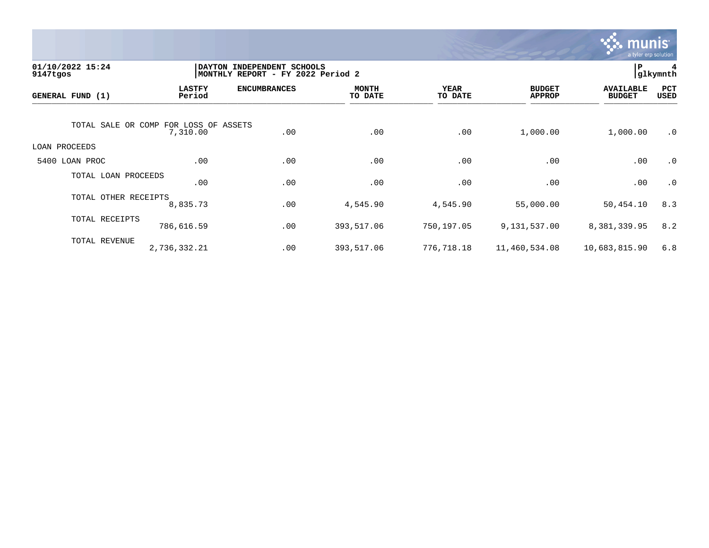

| 01/10/2022 15:24<br>9147tgos          |                         | DAYTON INDEPENDENT SCHOOLS<br>MONTHLY REPORT - FY 2022 Period 2 |                         |                 |                                | P                                 | 4<br>glkymnth |
|---------------------------------------|-------------------------|-----------------------------------------------------------------|-------------------------|-----------------|--------------------------------|-----------------------------------|---------------|
| GENERAL FUND (1)                      | <b>LASTFY</b><br>Period | <b>ENCUMBRANCES</b>                                             | <b>MONTH</b><br>TO DATE | YEAR<br>TO DATE | <b>BUDGET</b><br><b>APPROP</b> | <b>AVAILABLE</b><br><b>BUDGET</b> | PCT<br>USED   |
| TOTAL SALE OR COMP FOR LOSS OF ASSETS | 7,310.00                | .00                                                             | .00                     | .00             | 1,000.00                       | 1,000.00                          | $\cdot$ 0     |
| LOAN PROCEEDS                         |                         |                                                                 |                         |                 |                                |                                   |               |
| 5400 LOAN PROC                        | .00                     | .00                                                             | .00                     | .00             | .00                            | .00                               | $\cdot$ 0     |
| TOTAL LOAN PROCEEDS                   | .00                     | .00                                                             | .00                     | .00             | .00                            | .00                               | $\cdot$ 0     |
| TOTAL OTHER RECEIPTS                  | 8,835.73                | .00                                                             | 4,545.90                | 4,545.90        | 55,000.00                      | 50,454.10                         | 8.3           |
| TOTAL RECEIPTS                        | 786,616.59              | .00                                                             | 393,517.06              | 750,197.05      | 9,131,537.00                   | 8,381,339.95                      | 8.2           |
| TOTAL REVENUE                         | 2,736,332.21            | .00                                                             | 393,517.06              | 776,718.18      | 11,460,534.08                  | 10,683,815.90                     | 6.8           |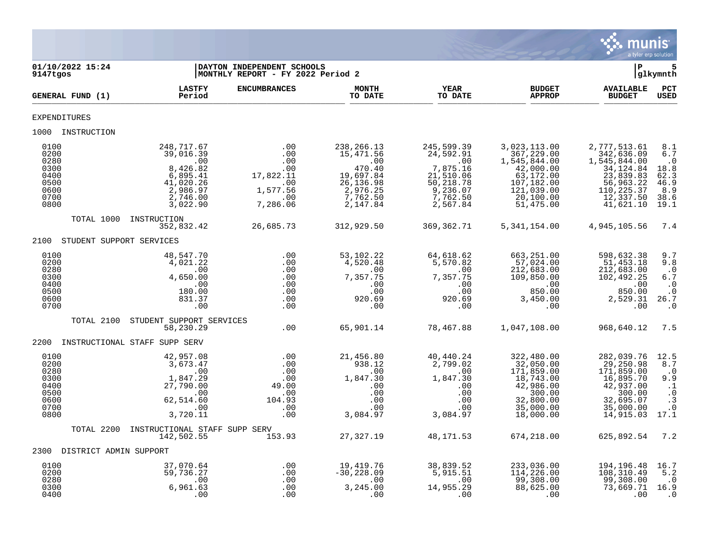

| 9147tgos                                                             | 01/10/2022 15:24              |                                                                                                          | DAYTON INDEPENDENT SCHOOLS<br>MONTHLY REPORT - FY 2022 Period 2             |                                                                                                           |                                                                                                          |                                                                                                                            | ∣P                                                                                                                         | glkymnth                                                                                     |
|----------------------------------------------------------------------|-------------------------------|----------------------------------------------------------------------------------------------------------|-----------------------------------------------------------------------------|-----------------------------------------------------------------------------------------------------------|----------------------------------------------------------------------------------------------------------|----------------------------------------------------------------------------------------------------------------------------|----------------------------------------------------------------------------------------------------------------------------|----------------------------------------------------------------------------------------------|
|                                                                      | GENERAL FUND (1)              | <b>LASTFY</b><br>Period                                                                                  | <b>ENCUMBRANCES</b>                                                         | <b>MONTH</b><br>TO DATE                                                                                   | <b>YEAR</b><br>TO DATE                                                                                   | <b>BUDGET</b><br><b>APPROP</b>                                                                                             | <b>AVAILABLE</b><br><b>BUDGET</b>                                                                                          | PCT<br><b>USED</b>                                                                           |
| <b>EXPENDITURES</b>                                                  |                               |                                                                                                          |                                                                             |                                                                                                           |                                                                                                          |                                                                                                                            |                                                                                                                            |                                                                                              |
|                                                                      | 1000 INSTRUCTION              |                                                                                                          |                                                                             |                                                                                                           |                                                                                                          |                                                                                                                            |                                                                                                                            |                                                                                              |
| 0100<br>0200<br>0280<br>0300<br>0400<br>0500<br>0600<br>0700<br>0800 |                               | 248,717.67<br>39,016.39<br>.00<br>8,426.82<br>6,895.41<br>41,020.26<br>2,986.97<br>2,746.00<br>3,022.90  | .00<br>.00<br>.00<br>.00<br>17,822.11<br>.00<br>1,577.56<br>.00<br>7,286.06 | 238, 266. 13<br>15,471.56<br>.00<br>470.40<br>19,697.84<br>26, 136.98<br>2,976.25<br>7,762.50<br>2,147.84 | 245,599.39<br>24,592.91<br>.00<br>7,875.16<br>21,510.06<br>50,218.78<br>9,236.07<br>7,762.50<br>2,567.84 | 3,023,113.00<br>367,229.00<br>1,545,844.00<br>42,000.00<br>63,172.00<br>107,182.00<br>121,039.00<br>20,100.00<br>51,475.00 | 2,777,513.61<br>342,636.09<br>1,545,844.00<br>34, 124.84<br>23,839.83<br>56,963.22<br>110,225.37<br>12,337.50<br>41,621.10 | 8.1<br>6.7<br>$\ldots$ 0<br>18.8<br>62.3<br>46.9<br>8.9<br>38.6<br>19.1                      |
|                                                                      | TOTAL 1000                    | INSTRUCTION<br>352,832.42                                                                                | 26,685.73                                                                   | 312,929.50                                                                                                | 369,362.71                                                                                               | 5, 341, 154.00                                                                                                             | 4,945,105.56                                                                                                               | 7.4                                                                                          |
|                                                                      | 2100 STUDENT SUPPORT SERVICES |                                                                                                          |                                                                             |                                                                                                           |                                                                                                          |                                                                                                                            |                                                                                                                            |                                                                                              |
| 0100<br>0200<br>0280<br>0300<br>0400<br>0500<br>0600<br>0700         |                               | 48,547.70<br>4,021.22<br>.00<br>4,650.00<br>.00<br>180.00<br>831.37<br>.00                               | .00<br>.00<br>.00<br>.00<br>.00<br>.00<br>.00<br>.00                        | 53,102.22<br>4,520.48<br>.00<br>7,357.75<br>.00<br>.00<br>920.69<br>.00                                   | 64,618.62<br>5,570.82<br>$\overline{00}$<br>7,357.75<br>.00<br>.00<br>920.69<br>.00                      | 663,251.00<br>57,024.00<br>212,683.00<br>109,850.00<br>00.<br>מח מפג<br>850.00<br>3,450.00<br>.00                          | 598,632.38<br>51,453.18<br>212,683.00<br>102,492.25<br>00.00<br>850.00<br>2,529.31<br>$\overline{\phantom{0}}$ .00         | 9.7<br>9.8<br>$\cdot$ .0<br>$6.7$<br>$\cdot$ 0<br>$\cdot$ 0<br>26.7<br>$\cdot$ 0             |
|                                                                      | TOTAL 2100                    | STUDENT SUPPORT SERVICES<br>58,230.29                                                                    | .00                                                                         | 65,901.14                                                                                                 | 78,467.88                                                                                                | 1,047,108.00                                                                                                               | 968,640.12                                                                                                                 | 7.5                                                                                          |
| 2200                                                                 |                               | INSTRUCTIONAL STAFF SUPP SERV                                                                            |                                                                             |                                                                                                           |                                                                                                          |                                                                                                                            |                                                                                                                            |                                                                                              |
| 0100<br>0200<br>0280<br>0300<br>0400<br>0500<br>0600<br>0700<br>0800 |                               | 42,957.08<br>3,673.47<br>00.<br>1,847.29<br>27,790.00<br>$\sim 00$<br>62,514.60<br>$\sim$ 00<br>3,720.11 | $.00$<br>$.00$<br>.00<br>.00<br>49.00<br>.00<br>104.93<br>.00<br>.00        | 21,456.80<br>938.12<br>.00<br>1,847.30<br>.00<br>.00<br>.00<br>.00<br>3,084.97                            | 40,440.24<br>2,799.02<br>$\sim$ 00<br>1,847.30<br>.00<br>.00<br>.00<br>.00<br>3,084.97                   | 322,480.00<br>32,050.00<br>171,859.00<br>18,743.00<br>42,986.00<br>300.00<br>32,800.00<br>35,000.00<br>18,000.00           | 282,039.76<br>29,250.98<br>171,859.00<br>16,895.70<br>42,937.00<br>300.00<br>32,695.07<br>35,000.00<br>14,915.03           | 12.5<br>8.7<br>$\cdot$ .0<br>9.9<br>$\cdot$ 1<br>$\cdot$ 0<br>$\cdot$ 3<br>$\cdot$ 0<br>17.1 |
|                                                                      | TOTAL 2200                    | INSTRUCTIONAL STAFF SUPP SERV<br>142,502.55                                                              | 153.93                                                                      | 27,327.19                                                                                                 | 48,171.53                                                                                                | 674,218.00                                                                                                                 | 625,892.54                                                                                                                 | 7.2                                                                                          |
|                                                                      | 2300 DISTRICT ADMIN SUPPORT   |                                                                                                          |                                                                             |                                                                                                           |                                                                                                          |                                                                                                                            |                                                                                                                            |                                                                                              |
| 0100<br>0200<br>0280<br>0300<br>0400                                 |                               | 37,070.64<br>59,736.27<br>.00<br>6,961.63<br>.00                                                         | $.00$ .<br>.00<br>.00                                                       | 19,419.76<br>$-30, 228.09$<br>3.245.00<br>3,245.00<br>.00                                                 | 38,839.52<br>5,915.51<br>$\sim$ 00<br>14,955.29<br>.00                                                   | 233,036.00<br>114,226.00<br>99,308.00<br>88,625.00<br>$\sim$ 00                                                            | 194,196.48<br>108,310.49<br>99,308.00<br>73,669.71 16.9<br>.00                                                             | 16.7<br>5.2<br>$\cdot$ 0<br>$\cdot$ 0                                                        |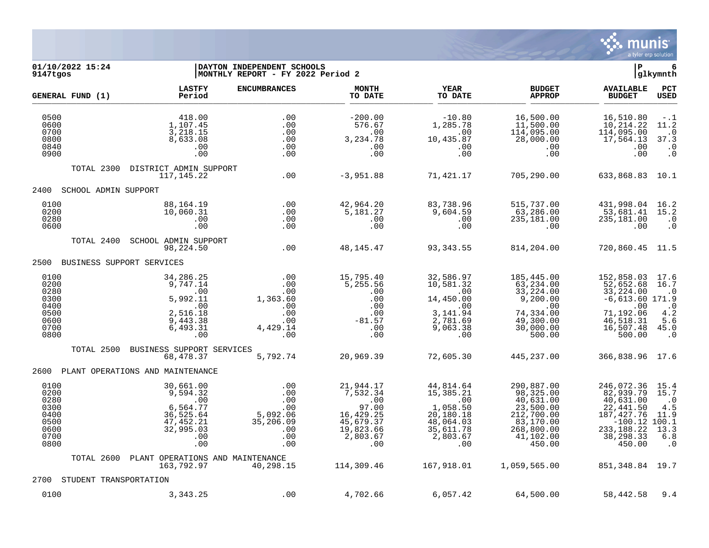

## **01/10/2022 15:24 |DAYTON INDEPENDENT SCHOOLS |P 6 9147tgos |MONTHLY REPORT - FY 2022 Period 2 |glkymnth**

|                                                                      | GENERAL FUND (1)       | <b>LASTFY</b><br>Period                                                                        | <b>ENCUMBRANCES</b>                                                    | <b>MONTH</b><br>TO DATE                                                                         | <b>YEAR</b><br>TO DATE                                                                              | <b>BUDGET</b><br><b>APPROP</b>                                                                                    | <b>AVAILABLE</b><br><b>BUDGET</b>                                                                                          | PCT<br>USED                                                                |
|----------------------------------------------------------------------|------------------------|------------------------------------------------------------------------------------------------|------------------------------------------------------------------------|-------------------------------------------------------------------------------------------------|-----------------------------------------------------------------------------------------------------|-------------------------------------------------------------------------------------------------------------------|----------------------------------------------------------------------------------------------------------------------------|----------------------------------------------------------------------------|
| 0500<br>0600<br>0700<br>0800<br>0840<br>0900                         |                        | 418.00<br>1,107.45<br>3,218.15<br>8,633.08<br>.00<br>.00                                       | .00<br>.00<br>.00<br>.00<br>.00<br>.00                                 | $-200.00$<br>576.67<br>.00<br>3,234.78<br>.00<br>.00                                            | $-10.80$<br>1,285.78<br>.00<br>10,435.87<br>.00<br>.00                                              | 16,500.00<br>11,500.00<br>114,095.00<br>28,000.00<br>.00<br>.00                                                   | 16,510.80<br>10,214.22<br>114,095.00<br>17,564.13<br>.00<br>.00                                                            | $-1$<br>11.2<br>$\cdot$ 0<br>37.3<br>$\cdot$ 0<br>$\cdot$ 0                |
|                                                                      | TOTAL 2300             | DISTRICT ADMIN SUPPORT<br>117, 145, 22                                                         | .00                                                                    | $-3,951.88$                                                                                     | 71,421.17                                                                                           | 705,290.00                                                                                                        | 633,868.83                                                                                                                 | 10.1                                                                       |
| 2400                                                                 | SCHOOL ADMIN SUPPORT   |                                                                                                |                                                                        |                                                                                                 |                                                                                                     |                                                                                                                   |                                                                                                                            |                                                                            |
| 0100<br>0200<br>0280<br>0600                                         |                        | 88,164.19<br>10,060.31<br>.00<br>.00                                                           | .00<br>.00<br>.00<br>.00                                               | 42,964.20<br>5,181.27<br>.00<br>.00                                                             | 83,738.96<br>9,604.59<br>.00<br>.00                                                                 | 515,737.00<br>63,286.00<br>235,181.00<br>.00                                                                      | 431,998.04<br>53,681.41<br>235,181.00<br>.00                                                                               | 16.2<br>15.2<br>$\cdot$ 0<br>$\cdot$ 0                                     |
|                                                                      | TOTAL 2400             | SCHOOL ADMIN SUPPORT<br>98,224.50                                                              | .00                                                                    | 48, 145. 47                                                                                     | 93,343.55                                                                                           | 814,204.00                                                                                                        | 720,860.45                                                                                                                 | 11.5                                                                       |
| 2500                                                                 |                        | BUSINESS SUPPORT SERVICES                                                                      |                                                                        |                                                                                                 |                                                                                                     |                                                                                                                   |                                                                                                                            |                                                                            |
| 0100<br>0200<br>0280<br>0300<br>0400<br>0500<br>0600<br>0700<br>0800 |                        | 34,286.25<br>9,747.14<br>.00<br>5,992.11<br>.00<br>2,516.18<br>9,443.38<br>6,493.31<br>.00     | .00<br>.00<br>.00<br>1,363.60<br>.00<br>.00<br>.00<br>4,429.14<br>.00  | 15,795.40<br>5,255.56<br>.00<br>.00<br>.00<br>.00<br>$-81.57$<br>.00<br>.00                     | 32,586.97<br>10,581.32<br>.00<br>14,450.00<br>.00<br>3, 141.94<br>2,781.69<br>9,063.38<br>.00       | 185,445.00<br>63, 234.00<br>33, 224.00<br>9,200.00<br>.00<br>74,334.00<br>49,300.00<br>30,000.00<br>500.00        | 152,858.03<br>52,652.68<br>33, 224.00<br>$-6,613.60$ 171.9<br>.00<br>71,192.06<br>46,518.31<br>16,507.48<br>500.00         | 17.6<br>16.7<br>$\cdot$ 0<br>$\cdot$ 0<br>4.2<br>5.6<br>45.0<br>$\cdot$ 0  |
|                                                                      | TOTAL 2500             | BUSINESS SUPPORT SERVICES<br>68,478.37                                                         | 5,792.74                                                               | 20,969.39                                                                                       | 72,605.30                                                                                           | 445,237.00                                                                                                        | 366,838.96 17.6                                                                                                            |                                                                            |
| 2600                                                                 |                        | PLANT OPERATIONS AND MAINTENANCE                                                               |                                                                        |                                                                                                 |                                                                                                     |                                                                                                                   |                                                                                                                            |                                                                            |
| 0100<br>0200<br>0280<br>0300<br>0400<br>0500<br>0600<br>0700<br>0800 |                        | 30,661.00<br>9,594.32<br>.00<br>6,564.77<br>36,525.64<br>47, 452.21<br>32,995.03<br>.00<br>.00 | .00<br>.00<br>.00<br>.00<br>5,092.06<br>35,206.09<br>.00<br>.00<br>.00 | 21,944.17<br>7,532.34<br>.00<br>97.00<br>16,429.25<br>45,679.37<br>19,823.66<br>2,803.67<br>.00 | 44,814.64<br>15,385.21<br>.00<br>1,058.50<br>20,180.18<br>48,064.03<br>35,611.78<br>2,803.67<br>.00 | 290,887.00<br>98,325.00<br>40,631.00<br>23,500.00<br>212,700.00<br>83,170.00<br>268,800.00<br>41,102.00<br>450.00 | 246,072.36<br>82,939.79<br>40,631.00<br>22,441.50<br>187,427.76<br>$-100.12$ 100.1<br>233, 188.22<br>38, 298. 33<br>450.00 | 15.4<br>15.7<br>$\cdot$ 0<br>$4.5\,$<br>11.9<br>13.3<br>$6.8$<br>$\cdot$ 0 |
|                                                                      | TOTAL 2600             | PLANT OPERATIONS AND MAINTENANCE<br>163,792.97                                                 | 40,298.15                                                              | 114,309.46                                                                                      | 167,918.01                                                                                          | 1,059,565.00                                                                                                      | 851, 348.84 19.7                                                                                                           |                                                                            |
| 2700                                                                 | STUDENT TRANSPORTATION |                                                                                                |                                                                        |                                                                                                 |                                                                                                     |                                                                                                                   |                                                                                                                            |                                                                            |
| 0100                                                                 |                        | 3, 343. 25                                                                                     | .00                                                                    | 4,702.66                                                                                        | 6,057.42                                                                                            | 64,500.00                                                                                                         | 58,442.58                                                                                                                  | 9.4                                                                        |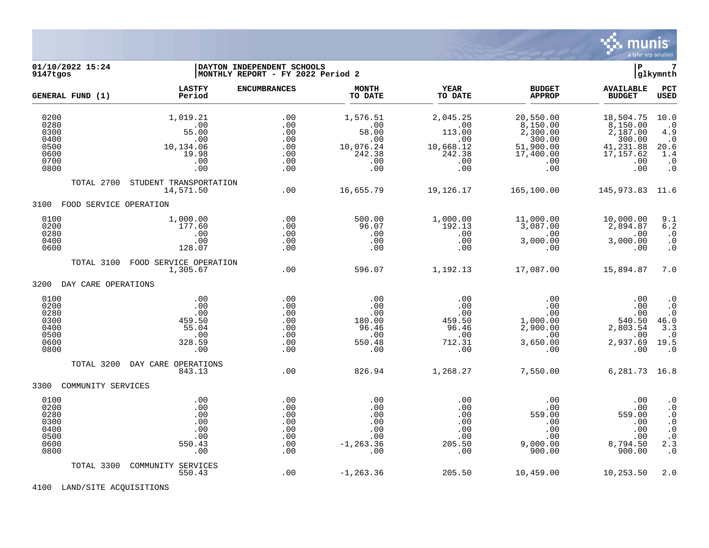

**LASTFY ENCUMBRANCES MONTH YEAR BUDGET AVAILABLE PCT GENERAL FUND (1)** TO DATE THE RELIGION CONDUCT TO DATE THE RELIGION CONDUCT TO DATE THE RELIGION OF THE RELIGION OF THE RELIGION OF THE RELIGION OF THE RELIGION OF THE RELIGION OF THE RELIGION OF THE RELIGION OF THE RELIGION OF THE RELIGION 0200 1,019.21 .00 1,576.51 2,045.25 20,550.00 18,504.75 10.0 0280 .00 .00 .00 .00 8,150.00 8,150.00 .0 0300 55.00 .00 58.00 113.00 2,300.00 2,187.00 4.9 0400 .00 .00 .00 .00 300.00 300.00 .0 0500 10,134.06 .00 10,076.24 10,668.12 51,900.00 41,231.88 20.6 0600 19.98 .00 242.38 242.38 17,400.00 17,157.62 1.4 0700 .00 .00 .00 .00 .00 .00 .0 0800 .00 .00 .00 .00 .00 .00 .0 TOTAL 2700 STUDENT TRANSPORTATION 14,571.50 .00 16,655.79 19,126.17 165,100.00 145,973.83 11.6 3100 FOOD SERVICE OPERATION 0100 1,000.00 .00 500.00 1,000.00 11,000.00 10,000.00 9.1 0200 177.60 .00 96.07 192.13 3,087.00 2,894.87 6.2 0280 .00 .00 .00 .00 .00 .00 .0 0400 .00 .00 .00 .00 3,000.00 3,000.00 .0 0600 128.07 .00 .00 .00 .00 .00 .0 TOTAL 3100 FOOD SERVICE OPERATION 1,305.67 .00 596.07 1,192.13 17,087.00 15,894.87 7.0 3200 DAY CARE OPERATIONS

**MONTHLY REPORT - FY 2022 Period 2** 

| 0100<br>0200<br>0280<br>0300<br>0400<br>0500<br>0600<br>0800 | .00<br>.00<br>.00<br>459.50<br>55.04<br>.00<br>328.59<br>.00 | .00<br>.00<br>.00<br>.00<br>.00<br>.00<br>.00<br>.00 | .00<br>.00<br>.00<br>180.00<br>96.46<br>.00<br>550.48<br>.00  | .00<br>.00<br>.00<br>459.50<br>96.46<br>.00<br>712.31<br>.00 | .00<br>.00<br>.00<br>1,000.00<br>2,900.00<br>.00<br>3,650.00<br>.00 | .00<br>.00<br>.00<br>540.50<br>2,803.54<br>.00<br>2,937.69<br>.00 | $\begin{smallmatrix} 0.1 \\ 0.1 \end{smallmatrix}$<br>$\cdot$ 0<br>46.0<br>3.3<br>$\cdot$ 0<br>19.5<br>$\cdot$ 0                       |
|--------------------------------------------------------------|--------------------------------------------------------------|------------------------------------------------------|---------------------------------------------------------------|--------------------------------------------------------------|---------------------------------------------------------------------|-------------------------------------------------------------------|----------------------------------------------------------------------------------------------------------------------------------------|
| TOTAL 3200<br>3300<br>COMMUNITY SERVICES                     | DAY CARE OPERATIONS<br>843.13                                | .00                                                  | 826.94                                                        | 1,268.27                                                     | 7,550.00                                                            | 6,281.73                                                          | 16.8                                                                                                                                   |
| 0100<br>0200<br>0280<br>0300<br>0400<br>0500<br>0600<br>0800 | .00<br>.00<br>.00<br>.00<br>.00<br>.00<br>550.43<br>.00      | .00<br>.00<br>.00<br>.00<br>.00<br>.00<br>.00<br>.00 | .00<br>.00<br>.00<br>.00<br>.00<br>.00<br>$-1, 263.36$<br>.00 | .00<br>.00<br>.00<br>.00<br>.00<br>.00<br>205.50<br>.00      | .00<br>.00<br>559.00<br>.00<br>.00<br>.00<br>9,000.00<br>900.00     | .00<br>.00<br>559.00<br>.00<br>.00<br>.00<br>8,794.50<br>900.00   | $\cdot$ 0<br>$\boldsymbol{\cdot}$ 0<br>$\ddot{0}$<br>$\boldsymbol{\cdot}$ 0<br>$\boldsymbol{\cdot}$ 0<br>$\cdot$ 0<br>2.3<br>$\cdot$ 0 |
| TOTAL 3300                                                   | COMMUNITY<br>SERVICES<br>550.43                              | .00                                                  | $-1, 263.36$                                                  | 205.50                                                       | 10,459.00                                                           | 10,253.50                                                         | 2.0                                                                                                                                    |

**01/10/2022 15:24 |DAYTON INDEPENDENT SCHOOLS |P 7**

4100 LAND/SITE ACQUISITIONS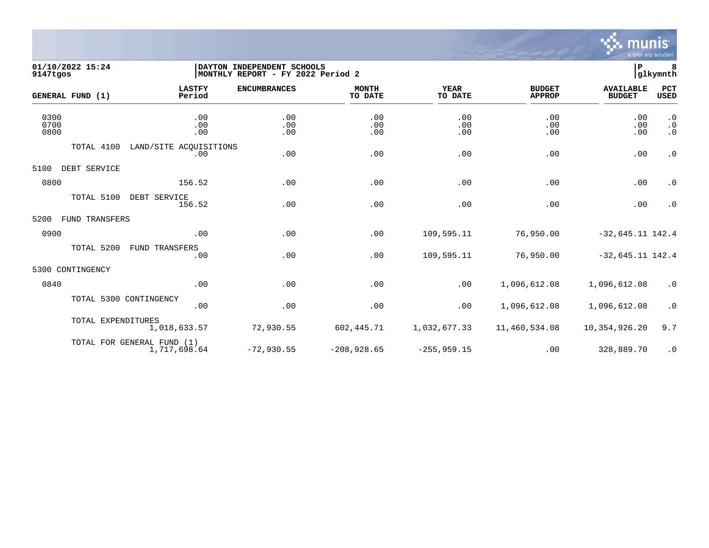

## **01/10/2022 15:24 |DAYTON INDEPENDENT SCHOOLS |P 8 9147tgos |MONTHLY REPORT - FY 2022 Period 2 |glkymnth**

|                      | GENERAL FUND (1)   | <b>LASTFY</b><br>Period                    | <b>ENCUMBRANCES</b> | <b>MONTH</b><br>TO DATE | <b>YEAR</b><br>TO DATE | <b>BUDGET</b><br><b>APPROP</b> | <b>AVAILABLE</b><br><b>BUDGET</b> | PCT<br><b>USED</b>                  |
|----------------------|--------------------|--------------------------------------------|---------------------|-------------------------|------------------------|--------------------------------|-----------------------------------|-------------------------------------|
| 0300<br>0700<br>0800 |                    | .00<br>.00<br>.00                          | .00<br>.00<br>.00   | .00<br>.00<br>.00       | .00<br>.00<br>.00      | .00<br>.00<br>.00              | .00<br>.00<br>.00                 | $\cdot$ 0<br>$\cdot$ 0<br>$\cdot$ 0 |
|                      | TOTAL 4100         | LAND/SITE ACOUISITIONS<br>.00              | .00                 | .00                     | .00                    | .00                            | .00                               | $\cdot$ 0                           |
| 5100                 | DEBT SERVICE       |                                            |                     |                         |                        |                                |                                   |                                     |
| 0800                 |                    | 156.52                                     | .00                 | .00                     | .00                    | .00                            | .00                               | $\cdot$ 0                           |
|                      | TOTAL 5100         | DEBT SERVICE<br>156.52                     | .00                 | .00                     | .00                    | .00                            | .00                               | $\cdot$ 0                           |
| 5200                 | FUND TRANSFERS     |                                            |                     |                         |                        |                                |                                   |                                     |
| 0900                 |                    | .00                                        | .00                 | .00                     | 109,595.11             | 76,950.00                      | $-32,645.11$ 142.4                |                                     |
|                      | TOTAL 5200         | <b>FUND TRANSFERS</b><br>.00               | .00                 | .00                     | 109,595.11             | 76,950.00                      | $-32,645.11$ 142.4                |                                     |
|                      | 5300 CONTINGENCY   |                                            |                     |                         |                        |                                |                                   |                                     |
| 0840                 |                    | .00                                        | .00                 | .00                     | .00                    | 1,096,612.08                   | 1,096,612.08                      | $\cdot$ 0                           |
|                      |                    | TOTAL 5300 CONTINGENCY<br>.00              | .00                 | .00                     | .00                    | 1,096,612.08                   | 1,096,612.08                      | $\cdot$ 0                           |
|                      | TOTAL EXPENDITURES | 1,018,633.57                               | 72,930.55           | 602,445.71              | 1,032,677.33           | 11,460,534.08                  | 10,354,926.20                     | 9.7                                 |
|                      |                    | TOTAL FOR GENERAL FUND (1)<br>1,717,698.64 | $-72,930.55$        | $-208,928.65$           | $-255, 959.15$         | .00                            | 328,889.70                        | $\cdot$ 0                           |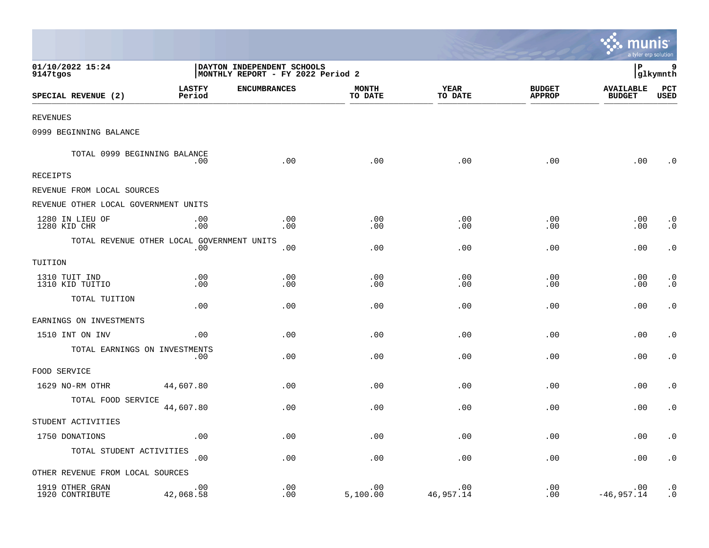|                                            |                         |                                                                  |                         |                        |                                | <b>RA munis</b><br>a tyler erp solution |                        |
|--------------------------------------------|-------------------------|------------------------------------------------------------------|-------------------------|------------------------|--------------------------------|-----------------------------------------|------------------------|
| 01/10/2022 15:24<br>9147tgos               |                         | DAYTON INDEPENDENT SCHOOLS<br> MONTHLY REPORT - FY 2022 Period 2 |                         |                        |                                | l P                                     | 9<br>glkymnth          |
| SPECIAL REVENUE (2)                        | <b>LASTFY</b><br>Period | <b>ENCUMBRANCES</b>                                              | <b>MONTH</b><br>TO DATE | <b>YEAR</b><br>TO DATE | <b>BUDGET</b><br><b>APPROP</b> | <b>AVAILABLE</b><br><b>BUDGET</b>       | PCT<br>USED            |
| <b>REVENUES</b>                            |                         |                                                                  |                         |                        |                                |                                         |                        |
| 0999 BEGINNING BALANCE                     |                         |                                                                  |                         |                        |                                |                                         |                        |
| TOTAL 0999 BEGINNING BALANCE               | .00                     | .00                                                              | .00                     | .00                    | .00                            | .00                                     | $\cdot$ 0              |
| RECEIPTS                                   |                         |                                                                  |                         |                        |                                |                                         |                        |
| REVENUE FROM LOCAL SOURCES                 |                         |                                                                  |                         |                        |                                |                                         |                        |
| REVENUE OTHER LOCAL GOVERNMENT UNITS       |                         |                                                                  |                         |                        |                                |                                         |                        |
| 1280 IN LIEU OF<br>1280 KID CHR            | .00<br>.00              | .00<br>.00                                                       | .00<br>.00              | .00<br>.00             | .00<br>.00                     | .00<br>.00                              | $\cdot$ 0<br>$\cdot$ 0 |
| TOTAL REVENUE OTHER LOCAL GOVERNMENT UNITS | .00                     | .00                                                              | .00                     | .00                    | .00                            | .00                                     | $\cdot$ 0              |
| TUITION                                    |                         |                                                                  |                         |                        |                                |                                         |                        |
| 1310 TUIT IND<br>1310 KID TUITIO           | .00<br>.00              | .00<br>.00                                                       | .00<br>.00              | .00<br>.00             | .00<br>.00                     | .00<br>.00                              | $\cdot$ 0<br>$\cdot$ 0 |
| TOTAL TUITION                              | .00                     | .00                                                              | .00                     | .00                    | .00                            | .00                                     | $\cdot$ 0              |
| EARNINGS ON INVESTMENTS                    |                         |                                                                  |                         |                        |                                |                                         |                        |
| 1510 INT ON INV                            | .00                     | .00                                                              | .00                     | .00                    | .00                            | .00                                     | $\cdot$ 0              |
| TOTAL EARNINGS ON INVESTMENTS              | .00                     | .00                                                              | .00                     | .00                    | .00                            | .00                                     | $\cdot$ 0              |
| FOOD SERVICE                               |                         |                                                                  |                         |                        |                                |                                         |                        |
| 1629 NO-RM OTHR                            | 44,607.80               | .00                                                              | .00                     | .00                    | .00                            | .00                                     | $\cdot$ 0              |
| TOTAL FOOD SERVICE                         | 44,607.80               | .00                                                              | .00                     | .00                    | .00                            | .00                                     | $\cdot$ 0              |
| STUDENT ACTIVITIES                         |                         |                                                                  |                         |                        |                                |                                         |                        |
| 1750 DONATIONS                             | .00                     | .00                                                              | .00                     | .00                    | .00                            | .00                                     | $\cdot$ 0              |
| TOTAL STUDENT ACTIVITIES                   | .00                     | .00                                                              | .00                     | .00                    | .00                            | .00                                     | $\boldsymbol{\cdot}$ 0 |
| OTHER REVENUE FROM LOCAL SOURCES           |                         |                                                                  |                         |                        |                                |                                         |                        |
| 1919 OTHER GRAN<br>1920 CONTRIBUTE         | .00<br>42,068.58        | .00<br>.00                                                       | .00<br>5,100.00         | .00<br>46,957.14       | .00<br>.00                     | .00<br>$-46,957.14$                     | $\cdot$ 0<br>$\cdot$ 0 |

the contract of the contract of the contract of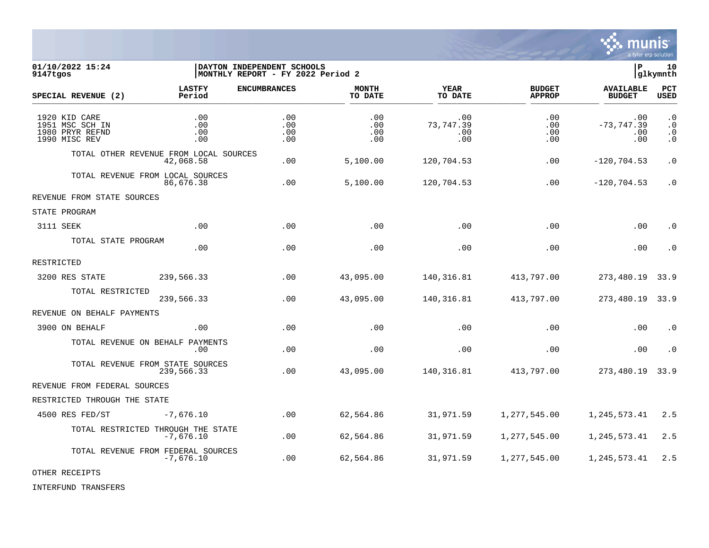

01/10/2022 15:24 **| DAYTON INDEPENDENT SCHOOLS**<br>9147tqos | distribution of the series | MONTHLY REPORT - FY 2022 Period 2 **MONTHLY REPORT - FY 2022 Period 2 LASTFY ENCUMBRANCES MONTH YEAR BUDGET AVAILABLE PCT SPECIAL REVENUE (2) Period TO DATE TO DATE APPROP BUDGET USED** \_\_\_\_\_\_\_\_\_\_\_\_\_\_\_\_\_\_\_\_\_\_\_\_\_\_\_\_\_\_\_\_\_\_\_\_\_\_\_\_\_\_\_\_\_\_\_\_\_\_\_\_\_\_\_\_\_\_\_\_\_\_\_\_ \_\_\_\_\_\_\_\_\_\_\_\_\_\_\_\_\_ \_\_\_\_\_\_\_\_\_\_\_\_\_\_\_\_\_\_ \_\_\_\_\_\_\_\_\_\_\_\_\_\_ \_\_\_\_\_\_\_\_\_\_\_\_\_\_\_ 1920 KID CARE .00 .00 .00 .00 .00 .00 .0 1951 MSC SCH IN .00 .00 .00 73,747.39 .00 -73,747.39 .0 1980 PRYR REFND .00 .00 .00 .00 .00 .00 .0 1990 MISC REV .00 .00 .00 .00 .00 .00 .0 TOTAL OTHER REVENUE FROM LOCAL SOURCES 42,068.58 .00 5,100.00 120,704.53 .00 -120,704.53 .0 TOTAL REVENUE FROM LOCAL SOURCES<br>86.676.38 86,676.38 .00 5,100.00 120,704.53 .00 -120,704.53 .0 REVENUE FROM STATE SOURCES STATE PROGRAM 3111 SEEK .00 .00 .00 .00 .00 .00 .0 TOTAL STATE PROGRAM .00 .00 .00 .00 .00 .00 .0 RESTRICTED 3200 RES STATE 239,566.33 .00 43,095.00 140,316.81 413,797.00 273,480.19 33.9 TOTAL RESTRICTED 239,566.33 .00 43,095.00 140,316.81 413,797.00 273,480.19 33.9 REVENUE ON BEHALF PAYMENTS 3900 ON BEHALF .00 .00 .00 .00 .00 .00 .0 TOTAL REVENUE ON BEHALF PAYMENTS .00 .00 .00 .00 .00 .00 .0 TOTAL REVENUE FROM STATE SOURCES 239,566.33 .00 43,095.00 140,316.81 413,797.00 273,480.19 33.9 REVENUE FROM FEDERAL SOURCES RESTRICTED THROUGH THE STATE 4500 RES FED/ST -7,676.10 .00 62,564.86 31,971.59 1,277,545.00 1,245,573.41 2.5 TOTAL RESTRICTED THROUGH THE STATE<br>-7.676.10 -7,676.10 .00 62,564.86 31,971.59 1,277,545.00 1,245,573.41 2.5 TOTAL REVENUE FROM FEDERAL SOURCES<br>-7,676.10 -7,676.10 .00 62,564.86 31,971.59 1,277,545.00 1,245,573.41 2.5

OTHER RECEIPTS

INTERFUND TRANSFERS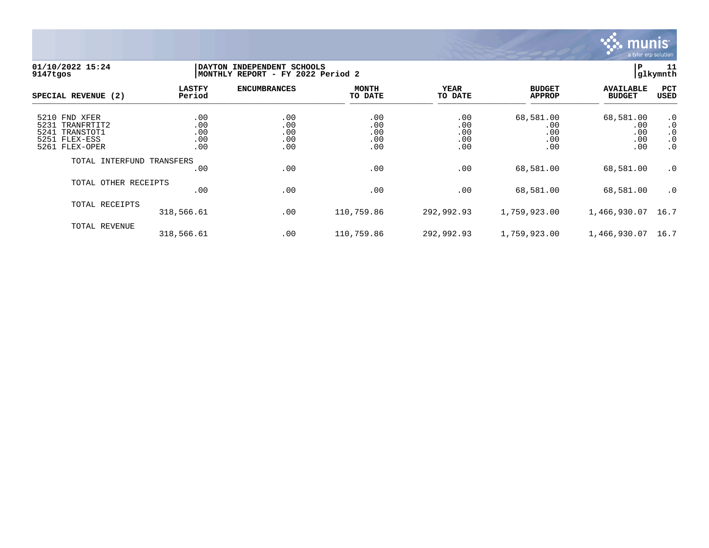

## **01/10/2022 15:24 |DAYTON INDEPENDENT SCHOOLS |P 11 9147tgos |MONTHLY REPORT - FY 2022 Period 2 |glkymnth**

| SPECIAL REVENUE (2)                                                                      | <b>LASTFY</b><br>Period         | <b>ENCUMBRANCES</b>             | <b>MONTH</b><br>TO DATE         | <b>YEAR</b><br>TO DATE          | <b>BUDGET</b><br><b>APPROP</b>        | <b>AVAILABLE</b><br><b>BUDGET</b>     | PCT<br><b>USED</b>                                            |
|------------------------------------------------------------------------------------------|---------------------------------|---------------------------------|---------------------------------|---------------------------------|---------------------------------------|---------------------------------------|---------------------------------------------------------------|
| 5210 FND XFER<br>5231 TRANFRTIT2<br>5241<br>TRANSTOT1<br>5251 FLEX-ESS<br>5261 FLEX-OPER | .00<br>.00<br>.00<br>.00<br>.00 | .00<br>.00<br>.00<br>.00<br>.00 | .00<br>.00<br>.00<br>.00<br>.00 | .00<br>.00<br>.00<br>.00<br>.00 | 68,581.00<br>.00<br>.00<br>.00<br>.00 | 68,581.00<br>.00<br>.00<br>.00<br>.00 | $\cdot$ 0<br>$\cdot$ 0<br>$\cdot$ 0<br>$\cdot$ 0<br>$\cdot$ 0 |
| TOTAL INTERFUND TRANSFERS                                                                | .00                             | .00                             | .00                             | .00                             | 68,581.00                             | 68,581.00                             | $\cdot$ 0                                                     |
| TOTAL OTHER RECEIPTS                                                                     | .00                             | .00                             | .00                             | .00                             | 68,581.00                             | 68,581.00                             | $\cdot$ 0                                                     |
| TOTAL RECEIPTS                                                                           | 318,566.61                      | .00                             | 110,759.86                      | 292,992.93                      | 1,759,923.00                          | 1,466,930.07                          | 16.7                                                          |
| TOTAL REVENUE                                                                            | 318,566.61                      | .00                             | 110,759.86                      | 292,992.93                      | 1,759,923.00                          | 1,466,930.07                          | 16.7                                                          |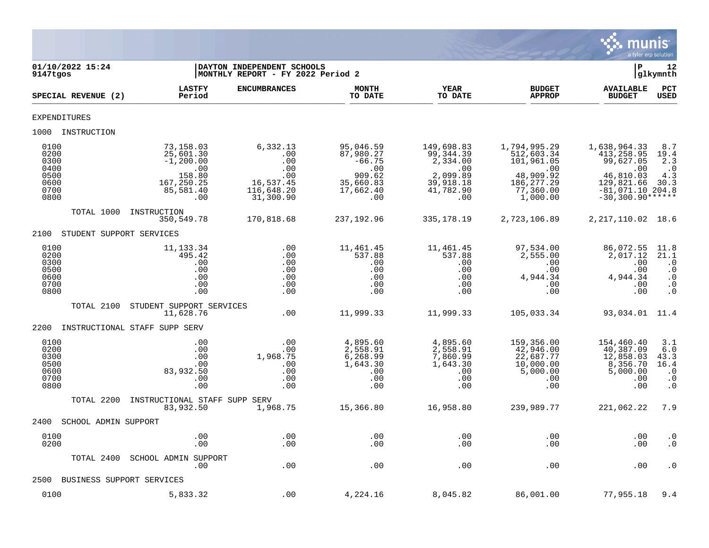

| 01/10/2022 15:24<br>9147tgos                                 |                                                                                                | DAYTON INDEPENDENT SCHOOLS<br>MONTHLY REPORT - FY 2022 Period 2              |                                                                                      |                                                                                                |                                                                                                             | $\mathbf{P}$                                                                                                          | 12<br> glkymnth                                                               |
|--------------------------------------------------------------|------------------------------------------------------------------------------------------------|------------------------------------------------------------------------------|--------------------------------------------------------------------------------------|------------------------------------------------------------------------------------------------|-------------------------------------------------------------------------------------------------------------|-----------------------------------------------------------------------------------------------------------------------|-------------------------------------------------------------------------------|
| SPECIAL REVENUE (2)                                          | <b>LASTFY</b><br>Period                                                                        | <b>ENCUMBRANCES</b>                                                          | <b>MONTH</b><br>TO DATE                                                              | <b>YEAR</b><br>TO DATE                                                                         | <b>BUDGET</b><br><b>APPROP</b>                                                                              | <b>AVAILABLE</b><br><b>BUDGET</b>                                                                                     | PCT<br><b>USED</b>                                                            |
| EXPENDITURES                                                 |                                                                                                |                                                                              |                                                                                      |                                                                                                |                                                                                                             |                                                                                                                       |                                                                               |
| 1000 INSTRUCTION                                             |                                                                                                |                                                                              |                                                                                      |                                                                                                |                                                                                                             |                                                                                                                       |                                                                               |
| 0100<br>0200<br>0300<br>0400<br>0500<br>0600<br>0700<br>0800 | 73,158.03<br>25,601.30<br>$-1, 200.00$<br>$1 - 00$<br>158.80<br>167,250.25<br>85,581.40<br>.00 | 6,332.13<br>.00<br>.00<br>.00<br>.00<br>16,537.45<br>116,648.20<br>31,300.90 | 95,046.59<br>87,980.27<br>$-66.75$<br>.00<br>909.62<br>35,660.83<br>17,662.40<br>.00 | 149,698.83<br>99, 344, 39<br>2,334.00<br>$\ldots$<br>2,099.89<br>39,918.18<br>41,782.90<br>.00 | 1,794,995.29<br>512,603.34<br>101,961.05<br>$\sim 00$<br>48,909.92<br>186, 277. 29<br>77,360.00<br>1,000.00 | 1,638,964.33<br>413,258.95<br>99,627.05<br>.00<br>46,810.03<br>129,821.66<br>$-81,071.10$ 204.8<br>$-30,300.90******$ | 8.7<br>19.4<br>2.3<br>$\cdot$ 0<br>4.3<br>30.3                                |
| TOTAL 1000                                                   | INSTRUCTION<br>350,549.78                                                                      | 170,818.68                                                                   | 237,192.96                                                                           | 335,178.19                                                                                     | 2,723,106.89                                                                                                | 2, 217, 110.02 18.6                                                                                                   |                                                                               |
| 2100                                                         | STUDENT SUPPORT SERVICES                                                                       |                                                                              |                                                                                      |                                                                                                |                                                                                                             |                                                                                                                       |                                                                               |
| 0100<br>0200<br>0300<br>0500<br>0600<br>0700<br>0800         | 11, 133.34<br>495.42<br>.00<br>.00<br>.00<br>.00<br>.00                                        | .00<br>.00<br>.00<br>.00<br>.00<br>.00<br>.00                                | 11,461.45<br>537.88<br>.00<br>.00<br>.00<br>.00<br>.00                               | 11,461.45<br>537.88<br>.00<br>.00<br>.00<br>.00<br>.00                                         | 97,534.00<br>2,555.00<br>.00<br>.00<br>4,944.34<br>.00<br>.00                                               | 86,072.55<br>2,017.12<br>.00<br>.00<br>4,944.34<br>.00<br>.00                                                         | 11.8<br>21.1<br>$\cdot$ 0<br>$\cdot$ 0<br>$\cdot$ 0<br>$\cdot$ 0<br>$\cdot$ 0 |
| TOTAL 2100                                                   | STUDENT SUPPORT SERVICES<br>11,628.76                                                          | .00                                                                          | 11,999.33                                                                            | 11,999.33                                                                                      | 105,033.34                                                                                                  | 93,034.01 11.4                                                                                                        |                                                                               |
| 2200                                                         | INSTRUCTIONAL STAFF SUPP SERV                                                                  |                                                                              |                                                                                      |                                                                                                |                                                                                                             |                                                                                                                       |                                                                               |
| 0100<br>0200<br>0300<br>0500<br>0600<br>0700<br>0800         | .00<br>.00<br>.00<br>.00<br>83,932.50<br>.00<br>.00                                            | .00<br>.00<br>1,968.75<br>.00<br>.00<br>.00<br>.00                           | 4,895.60<br>2,558.91<br>6,268.99<br>1,643.30<br>.00<br>.00<br>.00                    | 4,895.60<br>2,558.91<br>7,860.99<br>1,643.30<br>.00<br>.00<br>.00                              | 159,356.00<br>42,946.00<br>22,687.77<br>10,000.00<br>5,000.00<br>.00<br>.00                                 | 154,460.40<br>40,387.09<br>12,858.03<br>8,356.70<br>5,000.00<br>.00<br>.00                                            | 3.1<br>6.0<br>43.3<br>16.4<br>$\cdot$ 0<br>$\cdot$ 0<br>$\cdot$ 0             |
| TOTAL 2200                                                   | INSTRUCTIONAL STAFF SUPP SERV<br>83,932.50                                                     | 1,968.75                                                                     | 15,366.80                                                                            | 16,958.80                                                                                      | 239,989.77                                                                                                  | 221,062.22                                                                                                            | 7.9                                                                           |
| 2400                                                         | SCHOOL ADMIN SUPPORT                                                                           |                                                                              |                                                                                      |                                                                                                |                                                                                                             |                                                                                                                       |                                                                               |
| 0100<br>0200                                                 | .00<br>.00                                                                                     | .00<br>.00                                                                   | .00<br>.00                                                                           | .00<br>.00                                                                                     | .00<br>.00                                                                                                  | .00<br>.00                                                                                                            | $\cdot$ 0<br>$\cdot$ 0                                                        |
| TOTAL 2400                                                   | SCHOOL ADMIN SUPPORT<br>.00                                                                    | .00                                                                          | .00                                                                                  | .00                                                                                            | .00                                                                                                         | .00                                                                                                                   | $\boldsymbol{\cdot}$ 0                                                        |
| 2500                                                         | BUSINESS SUPPORT SERVICES                                                                      |                                                                              |                                                                                      |                                                                                                |                                                                                                             |                                                                                                                       |                                                                               |
| 0100                                                         | 5,833.32                                                                                       | .00                                                                          | 4,224.16                                                                             | 8,045.82                                                                                       | 86,001.00                                                                                                   | 77,955.18                                                                                                             | 9.4                                                                           |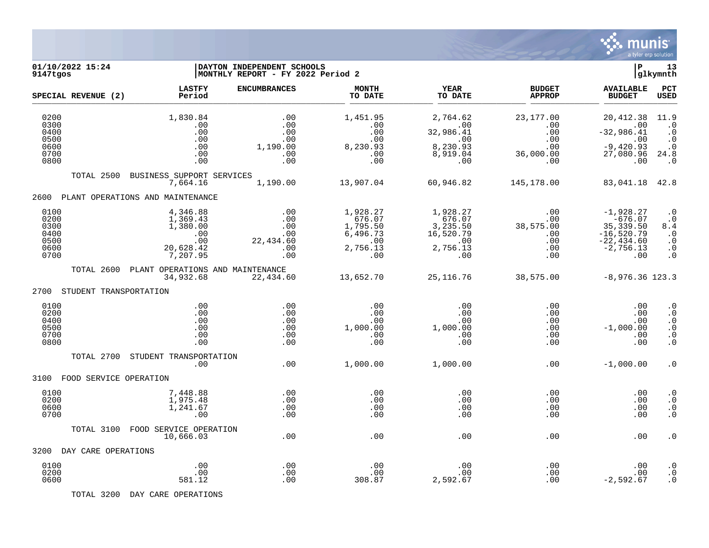

| 01/10/2022 15:24<br>9147tgos                         |                                                                         | DAYTON INDEPENDENT SCHOOLS<br>MONTHLY REPORT - FY 2022 Period 2 |                                                                      |                                                                       |                                                     | ∣P                                                                                            | 13<br> glkymnth                                                                   |
|------------------------------------------------------|-------------------------------------------------------------------------|-----------------------------------------------------------------|----------------------------------------------------------------------|-----------------------------------------------------------------------|-----------------------------------------------------|-----------------------------------------------------------------------------------------------|-----------------------------------------------------------------------------------|
| SPECIAL REVENUE (2)                                  | <b>LASTFY</b><br>Period                                                 | <b>ENCUMBRANCES</b>                                             | <b>MONTH</b><br>TO DATE                                              | YEAR<br>TO DATE                                                       | <b>BUDGET</b><br><b>APPROP</b>                      | <b>AVAILABLE</b><br><b>BUDGET</b>                                                             | PCT<br><b>USED</b>                                                                |
| 0200<br>0300<br>0400<br>0500                         | 1,830.84<br>.00<br>.00<br>.00                                           | .00<br>.00<br>.00<br>.00                                        | 1,451.95<br>.00<br>.00<br>.00                                        | 2,764.62<br>.00<br>32,986.41<br>$\sim$ 00                             | 23,177.00<br>$.00 \,$<br>.00<br>.00                 | 20, 412.38<br>.00<br>$-32,986.41$<br>$\sim 00$                                                | 11.9<br>$\cdot$ 0<br>$\cdot$ 0<br>$\cdot$ 0                                       |
| 0600<br>0700<br>0800                                 | .00<br>.00<br>.00                                                       | 1,190.00<br>.00<br>.00                                          | 8,230.93<br>.00<br>.00                                               | 8,230.93<br>8,919.04<br>.00                                           | .00<br>36,000.00<br>.00                             | $-9,420.93$<br>27,080.96<br>.00                                                               | $\cdot$ 0<br>24.8<br>$\cdot$ 0                                                    |
| TOTAL 2500                                           | BUSINESS SUPPORT SERVICES<br>7,664.16                                   | 1,190.00                                                        | 13,907.04                                                            | 60,946.82                                                             | 145,178.00                                          | 83,041.18 42.8                                                                                |                                                                                   |
| 2600                                                 | PLANT OPERATIONS AND MAINTENANCE                                        |                                                                 |                                                                      |                                                                       |                                                     |                                                                                               |                                                                                   |
| 0100<br>0200<br>0300<br>0400<br>0500<br>0600<br>0700 | 4,346.88<br>1,369.43<br>1,380.00<br>.00<br>.00<br>20,628.42<br>7,207.95 | .00<br>.00<br>.00<br>.00<br>22,434.60<br>.00<br>.00             | 1,928.27<br>676.07<br>1,795.50<br>6,496.73<br>.00<br>2,756.13<br>.00 | 1,928.27<br>676.07<br>3,235.50<br>16,520.79<br>.00<br>2,756.13<br>.00 | .00<br>.00<br>38,575.00<br>.00<br>.00<br>.00<br>.00 | $-1,928.27$<br>$-676.07$<br>35, 339.50<br>$-16,520.79$<br>$-22, 434.60$<br>$-2,756.13$<br>.00 | $\cdot$ 0<br>$\cdot$ 0<br>8.4<br>$\cdot$ 0<br>$\cdot$ 0<br>$\cdot$ 0<br>$\cdot$ 0 |
| TOTAL 2600                                           | PLANT OPERATIONS AND MAINTENANCE<br>34,932.68                           | 22,434.60                                                       | 13,652.70                                                            | 25, 116.76                                                            | 38,575.00                                           | $-8,976.36$ 123.3                                                                             |                                                                                   |
| 2700 STUDENT TRANSPORTATION                          |                                                                         |                                                                 |                                                                      |                                                                       |                                                     |                                                                                               |                                                                                   |
| 0100<br>0200<br>0400<br>0500<br>0700<br>0800         | .00<br>.00<br>.00<br>.00<br>.00<br>.00                                  | .00<br>.00<br>.00<br>.00<br>.00<br>.00                          | .00<br>.00<br>.00<br>1,000.00<br>.00<br>.00                          | .00<br>.00<br>.00<br>1,000.00<br>.00<br>.00                           | .00<br>.00<br>.00<br>.00<br>.00<br>.00              | .00<br>.00<br>.00<br>$-1,000.00$<br>.00<br>.00                                                | $\cdot$ 0<br>$\cdot$ 0<br>$\cdot$ 0<br>$\cdot$ 0<br>$\cdot$ 0<br>$\cdot$ 0        |
| TOTAL 2700                                           | STUDENT TRANSPORTATION<br>.00                                           | .00                                                             | 1,000.00                                                             | 1,000.00                                                              | .00                                                 | $-1,000.00$                                                                                   | $\cdot$ 0                                                                         |
| FOOD SERVICE OPERATION<br>3100                       |                                                                         |                                                                 |                                                                      |                                                                       |                                                     |                                                                                               |                                                                                   |
| 0100<br>0200<br>0600<br>0700                         | 7,448.88<br>1,975.48<br>1,241.67<br>.00                                 | .00<br>.00<br>.00<br>.00                                        | .00<br>.00<br>.00<br>.00                                             | .00<br>.00<br>.00<br>.00                                              | .00<br>.00<br>.00<br>.00                            | $.00 \,$<br>$.00 \,$<br>.00<br>.00                                                            | $\cdot$ 0<br>$\cdot$ 0<br>$\cdot$ 0<br>$\cdot$ 0                                  |
| TOTAL 3100                                           | FOOD SERVICE OPERATION<br>10,666.03                                     | .00                                                             | .00                                                                  | .00                                                                   | .00                                                 | .00                                                                                           | $\cdot$ 0                                                                         |
| 3200 DAY CARE OPERATIONS                             |                                                                         |                                                                 |                                                                      |                                                                       |                                                     |                                                                                               |                                                                                   |
| 0100<br>0200<br>0600                                 | .00<br>.00<br>581.12                                                    | .00<br>.00<br>.00                                               | .00<br>.00<br>308.87                                                 | .00<br>.00<br>2,592.67                                                | .00<br>.00<br>.00                                   | .00<br>.00<br>$-2,592.67$                                                                     | $\cdot$ 0<br>$\cdot$ 0<br>$\cdot$ 0                                               |

TOTAL 3200 DAY CARE OPERATIONS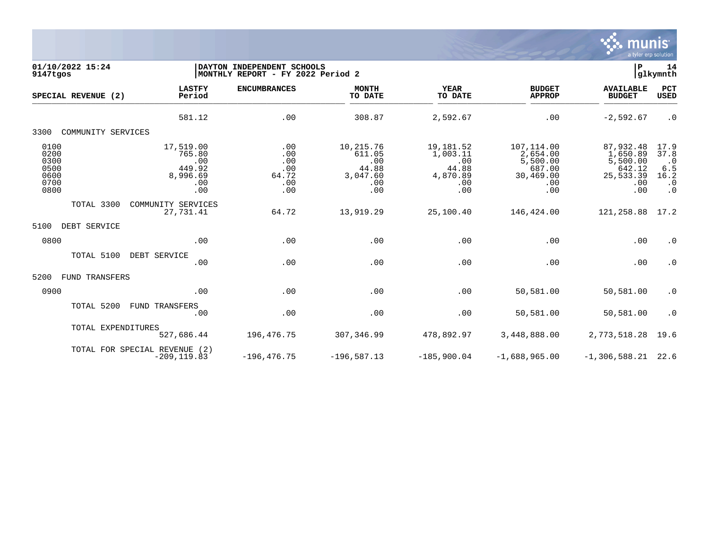

| 01/10/2022 15:24<br>9147tgos                         |                                                                | DAYTON INDEPENDENT SCHOOLS<br>MONTHLY REPORT - FY 2022 Period 2 |                                                               |                                                                 |                                                                         |                                                                        |                                                                    |  |
|------------------------------------------------------|----------------------------------------------------------------|-----------------------------------------------------------------|---------------------------------------------------------------|-----------------------------------------------------------------|-------------------------------------------------------------------------|------------------------------------------------------------------------|--------------------------------------------------------------------|--|
| SPECIAL REVENUE (2)                                  | <b>LASTFY</b><br>Period                                        | <b>ENCUMBRANCES</b>                                             | <b>MONTH</b><br>TO DATE                                       | <b>YEAR</b><br>TO DATE                                          | <b>BUDGET</b><br><b>APPROP</b>                                          | <b>AVAILABLE</b><br><b>BUDGET</b>                                      | PCT<br><b>USED</b>                                                 |  |
|                                                      | 581.12                                                         | .00                                                             | 308.87                                                        | 2,592.67                                                        | .00                                                                     | $-2,592.67$                                                            | $\cdot$ 0                                                          |  |
| 3300<br>COMMUNITY SERVICES                           |                                                                |                                                                 |                                                               |                                                                 |                                                                         |                                                                        |                                                                    |  |
| 0100<br>0200<br>0300<br>0500<br>0600<br>0700<br>0800 | 17,519.00<br>765.80<br>.00<br>449.92<br>8,996.69<br>.00<br>.00 | .00<br>.00<br>.00<br>.00<br>64.72<br>.00<br>.00                 | 10,215.76<br>611.05<br>.00<br>44.88<br>3,047.60<br>.00<br>.00 | 19,181.52<br>1,003.11<br>.00<br>44.88<br>4,870.89<br>.00<br>.00 | 107,114.00<br>2,654.00<br>5,500.00<br>687.00<br>30,469.00<br>.00<br>.00 | 87,932.48<br>1,650.89<br>5,500.00<br>642.12<br>25,533.39<br>.00<br>.00 | 17.9<br>37.8<br>$\cdot$ 0<br>6.5<br>16.2<br>$\cdot$ 0<br>$\cdot$ 0 |  |
| TOTAL 3300                                           | COMMUNITY SERVICES<br>27,731.41                                | 64.72                                                           | 13,919.29                                                     | 25,100.40                                                       | 146,424.00                                                              | 121,258.88                                                             | 17.2                                                               |  |
| 5100<br>DEBT SERVICE                                 |                                                                |                                                                 |                                                               |                                                                 |                                                                         |                                                                        |                                                                    |  |
| 0800                                                 | .00                                                            | .00                                                             | .00                                                           | .00                                                             | .00                                                                     | .00                                                                    | $\cdot$ 0                                                          |  |
| TOTAL 5100                                           | DEBT SERVICE<br>.00                                            | .00                                                             | .00                                                           | .00                                                             | .00                                                                     | .00                                                                    | $\cdot$ 0                                                          |  |
| 5200<br>TRANSFERS<br>FUND                            |                                                                |                                                                 |                                                               |                                                                 |                                                                         |                                                                        |                                                                    |  |
| 0900                                                 | .00                                                            | .00                                                             | .00                                                           | .00                                                             | 50,581.00                                                               | 50,581.00                                                              | $\cdot$ 0                                                          |  |
| TOTAL 5200                                           | FUND TRANSFERS<br>.00                                          | .00                                                             | .00                                                           | .00                                                             | 50,581.00                                                               | 50,581.00                                                              | $\cdot$ 0                                                          |  |
| TOTAL EXPENDITURES                                   | 527,686.44                                                     | 196, 476. 75                                                    | 307,346.99                                                    | 478,892.97                                                      | 3,448,888.00                                                            | 2,773,518.28                                                           | 19.6                                                               |  |
|                                                      | TOTAL FOR SPECIAL REVENUE (2)<br>$-209, 119.83$                | $-196, 476.75$                                                  | $-196,587.13$                                                 | $-185,900.04$                                                   | $-1,688,965.00$                                                         | $-1,306,588.21$                                                        | 22.6                                                               |  |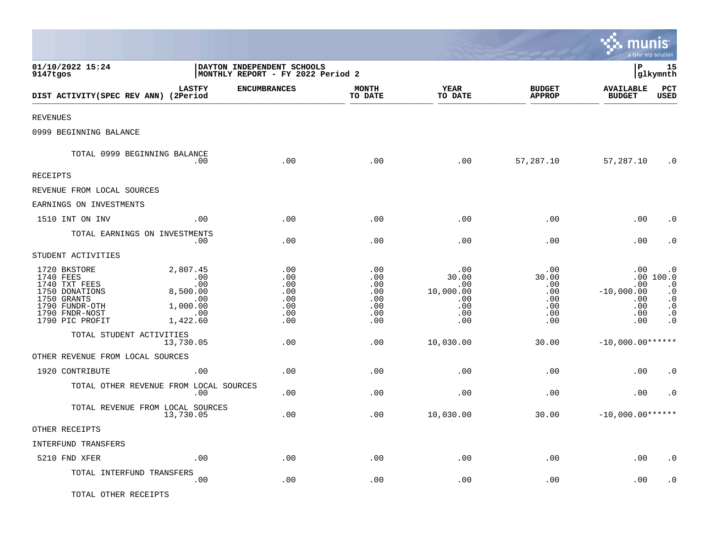|                                                                                                                                    |                                                                          |                                                                 |                                                      |                                                              |                                                        | <b>::: munis</b><br>a tyler erp solution               |                                                                                                      |
|------------------------------------------------------------------------------------------------------------------------------------|--------------------------------------------------------------------------|-----------------------------------------------------------------|------------------------------------------------------|--------------------------------------------------------------|--------------------------------------------------------|--------------------------------------------------------|------------------------------------------------------------------------------------------------------|
| 01/10/2022 15:24<br>9147tgos                                                                                                       |                                                                          | DAYTON INDEPENDENT SCHOOLS<br>MONTHLY REPORT - FY 2022 Period 2 |                                                      |                                                              |                                                        | l P                                                    | 15<br> glkymnth                                                                                      |
| DIST ACTIVITY(SPEC REV ANN) (2Period                                                                                               | <b>LASTFY</b>                                                            | <b>ENCUMBRANCES</b>                                             | <b>MONTH</b><br>TO DATE                              | <b>YEAR</b><br>TO DATE                                       | <b>BUDGET</b><br><b>APPROP</b>                         | <b>AVAILABLE</b><br><b>BUDGET</b>                      | PCT<br><b>USED</b>                                                                                   |
| <b>REVENUES</b>                                                                                                                    |                                                                          |                                                                 |                                                      |                                                              |                                                        |                                                        |                                                                                                      |
| 0999 BEGINNING BALANCE                                                                                                             |                                                                          |                                                                 |                                                      |                                                              |                                                        |                                                        |                                                                                                      |
| TOTAL 0999 BEGINNING BALANCE                                                                                                       | .00                                                                      | .00                                                             | .00                                                  | .00                                                          | 57,287.10                                              | 57,287.10                                              | $\cdot$ 0                                                                                            |
| <b>RECEIPTS</b>                                                                                                                    |                                                                          |                                                                 |                                                      |                                                              |                                                        |                                                        |                                                                                                      |
| REVENUE FROM LOCAL SOURCES                                                                                                         |                                                                          |                                                                 |                                                      |                                                              |                                                        |                                                        |                                                                                                      |
| EARNINGS ON INVESTMENTS                                                                                                            |                                                                          |                                                                 |                                                      |                                                              |                                                        |                                                        |                                                                                                      |
| 1510 INT ON INV                                                                                                                    | .00                                                                      | .00                                                             | .00                                                  | .00                                                          | .00                                                    | .00                                                    | . 0                                                                                                  |
|                                                                                                                                    | TOTAL EARNINGS ON INVESTMENTS<br>$.00 \,$                                | .00                                                             | .00                                                  | .00                                                          | .00                                                    | .00                                                    | $\cdot$ 0                                                                                            |
| STUDENT ACTIVITIES                                                                                                                 |                                                                          |                                                                 |                                                      |                                                              |                                                        |                                                        |                                                                                                      |
| 1720 BKSTORE<br>1740 FEES<br>1740 TXT FEES<br>1750 DONATIONS<br>1750 GRANTS<br>1790 FUNDR-OTH<br>1790 FNDR-NOST<br>1790 PIC PROFIT | 2,807.45<br>.00<br>.00<br>8,500.00<br>.00<br>1,000.00<br>.00<br>1,422.60 | .00<br>.00<br>.00<br>.00<br>.00<br>.00<br>.00<br>.00            | .00<br>.00<br>.00<br>.00<br>.00<br>.00<br>.00<br>.00 | .00<br>30.00<br>.00<br>10,000.00<br>.00<br>.00<br>.00<br>.00 | .00<br>30.00<br>.00<br>.00<br>.00<br>.00<br>.00<br>.00 | .00<br>.00<br>$-10,000.00$<br>.00<br>.00<br>.00<br>.00 | $\cdot$ 0<br>.00 100.0<br>$\cdot$ 0<br>$\cdot$ 0<br>$\cdot$ 0<br>$\cdot$ 0<br>$\cdot$ 0<br>$\cdot$ 0 |
| TOTAL STUDENT ACTIVITIES                                                                                                           | 13,730.05                                                                | .00                                                             | .00                                                  | 10,030.00                                                    | 30.00                                                  | $-10,000.00******$                                     |                                                                                                      |
| OTHER REVENUE FROM LOCAL SOURCES                                                                                                   |                                                                          |                                                                 |                                                      |                                                              |                                                        |                                                        |                                                                                                      |
| 1920 CONTRIBUTE                                                                                                                    | .00                                                                      | .00                                                             | .00                                                  | .00                                                          | .00                                                    | .00                                                    | $\cdot$ 0                                                                                            |
|                                                                                                                                    | TOTAL OTHER REVENUE FROM LOCAL SOURCES<br>.00                            | .00                                                             | .00                                                  | .00                                                          | .00                                                    | .00                                                    | $\cdot$ 0                                                                                            |
|                                                                                                                                    | TOTAL REVENUE FROM LOCAL SOURCES<br>13,730.05                            | .00                                                             | .00                                                  | 10,030.00                                                    | 30.00                                                  | $-10,000.00******$                                     |                                                                                                      |
| OTHER RECEIPTS                                                                                                                     |                                                                          |                                                                 |                                                      |                                                              |                                                        |                                                        |                                                                                                      |
| INTERFUND TRANSFERS                                                                                                                |                                                                          |                                                                 |                                                      |                                                              |                                                        |                                                        |                                                                                                      |
| 5210 FND XFER                                                                                                                      | .00                                                                      | .00                                                             | .00                                                  | .00                                                          | .00                                                    | .00                                                    | $\cdot$ 0                                                                                            |
| TOTAL INTERFUND TRANSFERS                                                                                                          | .00                                                                      | .00                                                             | .00                                                  | .00                                                          | .00                                                    | .00                                                    | . 0                                                                                                  |
| TOTAL OTHER RECEIPTS                                                                                                               |                                                                          |                                                                 |                                                      |                                                              |                                                        |                                                        |                                                                                                      |

 $\mathcal{L}$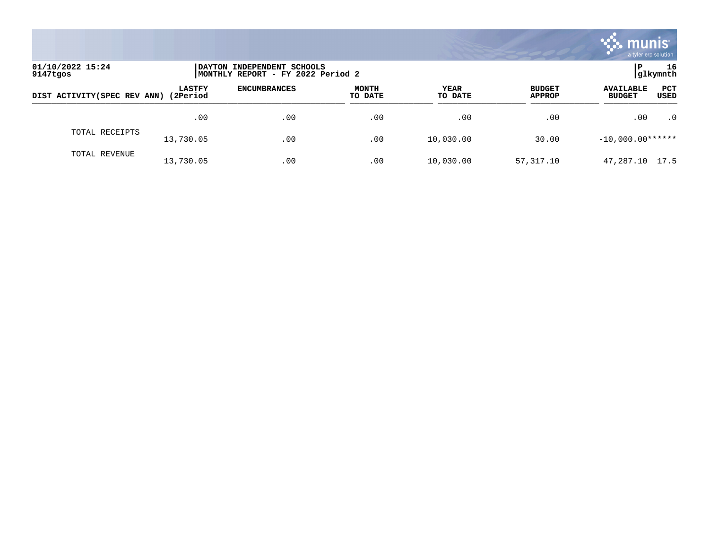

| 01/10/2022 15:24<br>9147tgos |                            | <b>IDAYTON</b><br>INDEPENDENT SCHOOLS<br> MONTHLY REPORT - FY 2022 Period 2 |                         |                 |                                |                                                  |  |
|------------------------------|----------------------------|-----------------------------------------------------------------------------|-------------------------|-----------------|--------------------------------|--------------------------------------------------|--|
| DIST ACTIVITY (SPEC REV ANN) | <b>LASTFY</b><br>(2Period) | <b>ENCUMBRANCES</b>                                                         | <b>MONTH</b><br>TO DATE | YEAR<br>TO DATE | <b>BUDGET</b><br><b>APPROP</b> | PCT<br><b>AVAILABLE</b><br>USED<br><b>BUDGET</b> |  |
|                              | .00                        | .00                                                                         | .00                     | .00             | .00                            | $\cdot$ 0<br>.00                                 |  |
| TOTAL RECEIPTS               | 13,730.05                  | .00                                                                         | .00                     | 10,030.00       | 30.00                          | $-10,000.00******$                               |  |
| TOTAL REVENUE                | 13,730.05                  | .00                                                                         | .00                     | 10,030.00       | 57,317.10                      | 47,287.10 17.5                                   |  |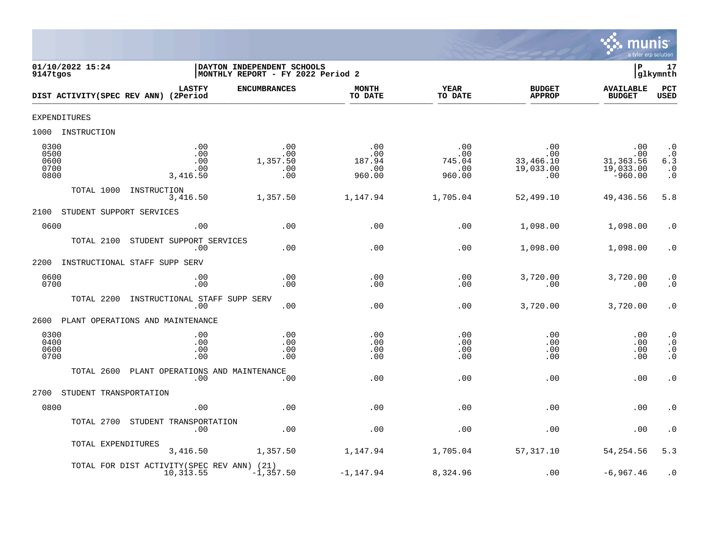

| 01/10/2022 15:24<br>9147tgos         |                        |                                                          | DAYTON INDEPENDENT SCHOOLS<br>MONTHLY REPORT - FY 2022 Period 2 |                                       |                                       |                                             | Þ                                                  | 17<br>glkymnth                                                       |
|--------------------------------------|------------------------|----------------------------------------------------------|-----------------------------------------------------------------|---------------------------------------|---------------------------------------|---------------------------------------------|----------------------------------------------------|----------------------------------------------------------------------|
|                                      |                        | <b>LASTFY</b><br>DIST ACTIVITY(SPEC REV ANN) (2Period    | <b>ENCUMBRANCES</b>                                             | <b>MONTH</b><br>TO DATE               | <b>YEAR</b><br>TO DATE                | <b>BUDGET</b><br><b>APPROP</b>              | <b>AVAILABLE</b><br><b>BUDGET</b>                  | $_{\rm PCT}$<br><b>USED</b>                                          |
| EXPENDITURES                         |                        |                                                          |                                                                 |                                       |                                       |                                             |                                                    |                                                                      |
| 1000                                 | INSTRUCTION            |                                                          |                                                                 |                                       |                                       |                                             |                                                    |                                                                      |
| 0300<br>0500<br>0600<br>0700<br>0800 |                        | .00<br>.00<br>.00<br>.00<br>3,416.50                     | .00<br>.00<br>1,357.50<br>.00<br>.00                            | .00<br>.00<br>187.94<br>.00<br>960.00 | .00<br>.00<br>745.04<br>.00<br>960.00 | .00<br>.00<br>33,466.10<br>19,033.00<br>.00 | .00<br>.00<br>31, 363.56<br>19,033.00<br>$-960.00$ | $\cdot$ 0<br>$\cdot$ 0<br>6.3<br>$\cdot$ 0<br>$\boldsymbol{\cdot}$ 0 |
|                                      | TOTAL 1000             | INSTRUCTION<br>3,416.50                                  | 1,357.50                                                        | 1,147.94                              | 1,705.04                              | 52,499.10                                   | 49,436.56                                          | 5.8                                                                  |
| 2100                                 |                        | STUDENT SUPPORT SERVICES                                 |                                                                 |                                       |                                       |                                             |                                                    |                                                                      |
| 0600                                 |                        | .00                                                      | .00                                                             | .00                                   | .00                                   | 1,098.00                                    | 1,098.00                                           | . 0                                                                  |
|                                      | TOTAL 2100             | STUDENT SUPPORT SERVICES<br>.00                          | .00                                                             | .00                                   | .00                                   | 1,098.00                                    | 1,098.00                                           | $\cdot$ 0                                                            |
| 2200                                 |                        | INSTRUCTIONAL STAFF SUPP SERV                            |                                                                 |                                       |                                       |                                             |                                                    |                                                                      |
| 0600<br>0700                         |                        | .00<br>.00                                               | .00<br>.00                                                      | .00<br>.00                            | .00<br>.00                            | 3,720.00<br>.00                             | 3,720.00<br>.00                                    | $\cdot$ 0<br>$\cdot$ 0                                               |
|                                      | TOTAL 2200             | INSTRUCTIONAL STAFF SUPP SERV<br>.00                     | .00                                                             | .00                                   | .00                                   | 3,720.00                                    | 3,720.00                                           | $\cdot$ 0                                                            |
| 2600                                 |                        | PLANT OPERATIONS AND MAINTENANCE                         |                                                                 |                                       |                                       |                                             |                                                    |                                                                      |
| 0300<br>0400<br>0600<br>0700         |                        | .00<br>.00<br>.00<br>.00                                 | .00<br>.00<br>.00<br>.00                                        | .00<br>.00<br>.00<br>.00              | .00<br>.00<br>.00<br>.00              | .00<br>.00<br>.00<br>.00                    | .00<br>$.00 \,$<br>.00<br>.00                      | $\cdot$ 0<br>$\cdot$ 0<br>$\boldsymbol{\cdot}$ 0<br>$\cdot$ 0        |
|                                      | TOTAL 2600             | PLANT OPERATIONS AND MAINTENANCE<br>.00                  | .00.                                                            | .00                                   | .00                                   | .00                                         | .00                                                | $\cdot$ 0                                                            |
| 2700                                 | STUDENT TRANSPORTATION |                                                          |                                                                 |                                       |                                       |                                             |                                                    |                                                                      |
| 0800                                 |                        | .00                                                      | .00                                                             | .00                                   | .00                                   | .00                                         | .00                                                | $\cdot$ 0                                                            |
|                                      | TOTAL 2700             | STUDENT TRANSPORTATION<br>.00                            | .00                                                             | .00                                   | .00                                   | .00                                         | .00                                                | $\cdot$ 0                                                            |
|                                      | TOTAL EXPENDITURES     | 3,416.50                                                 | 1,357.50                                                        | 1,147.94                              | 1,705.04                              | 57,317.10                                   | 54,254.56                                          | 5.3                                                                  |
|                                      |                        | TOTAL FOR DIST ACTIVITY (SPEC REV ANN) (21)<br>10,313.55 | $-1, 357.50$                                                    | $-1, 147.94$                          | 8,324.96                              | .00                                         | $-6, 967.46$                                       | $\cdot$ 0                                                            |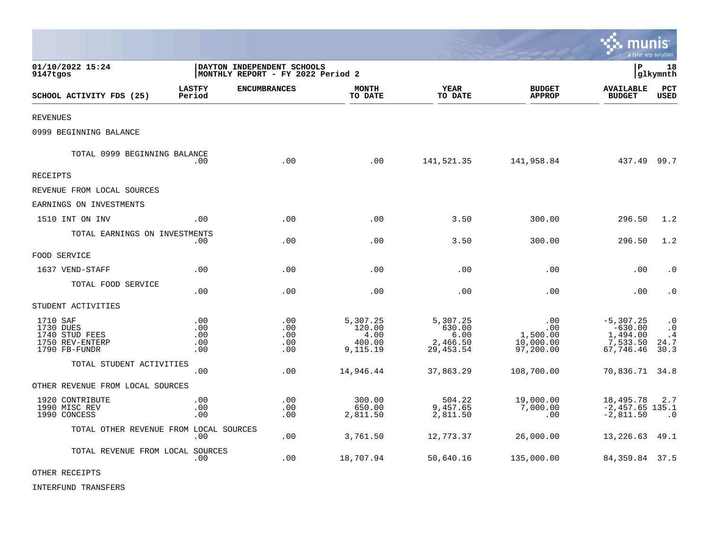|                                                                             |                                 |                                                                  |                                                  |                                                     |                                                  | munis<br>a tyler erp solution                                  |                                              |
|-----------------------------------------------------------------------------|---------------------------------|------------------------------------------------------------------|--------------------------------------------------|-----------------------------------------------------|--------------------------------------------------|----------------------------------------------------------------|----------------------------------------------|
| 01/10/2022 15:24<br>9147tgos                                                |                                 | DAYTON INDEPENDENT SCHOOLS<br> MONTHLY REPORT - FY 2022 Period 2 |                                                  |                                                     |                                                  | l P                                                            | 18<br> glkymnth                              |
| SCHOOL ACTIVITY FDS (25)                                                    | <b>LASTFY</b><br>Period         | <b>ENCUMBRANCES</b>                                              | <b>MONTH</b><br>TO DATE                          | <b>YEAR</b><br>TO DATE                              | <b>BUDGET</b><br><b>APPROP</b>                   | <b>AVAILABLE</b><br><b>BUDGET</b>                              | PCT<br><b>USED</b>                           |
| <b>REVENUES</b>                                                             |                                 |                                                                  |                                                  |                                                     |                                                  |                                                                |                                              |
| 0999 BEGINNING BALANCE                                                      |                                 |                                                                  |                                                  |                                                     |                                                  |                                                                |                                              |
| TOTAL 0999 BEGINNING BALANCE                                                | .00                             | .00                                                              | .00                                              | 141,521.35                                          | 141,958.84                                       | 437.49 99.7                                                    |                                              |
| RECEIPTS                                                                    |                                 |                                                                  |                                                  |                                                     |                                                  |                                                                |                                              |
| REVENUE FROM LOCAL SOURCES                                                  |                                 |                                                                  |                                                  |                                                     |                                                  |                                                                |                                              |
| EARNINGS ON INVESTMENTS                                                     |                                 |                                                                  |                                                  |                                                     |                                                  |                                                                |                                              |
| 1510 INT ON INV                                                             | .00                             | .00                                                              | .00                                              | 3.50                                                | 300.00                                           | 296.50                                                         | 1.2                                          |
| TOTAL EARNINGS ON INVESTMENTS                                               | .00                             | .00                                                              | .00                                              | 3.50                                                | 300.00                                           | 296.50                                                         | 1.2                                          |
| FOOD SERVICE                                                                |                                 |                                                                  |                                                  |                                                     |                                                  |                                                                |                                              |
| 1637 VEND-STAFF                                                             | .00                             | .00                                                              | .00                                              | .00                                                 | .00                                              | .00                                                            | $\cdot$ 0                                    |
| TOTAL FOOD SERVICE                                                          | .00                             | .00                                                              | .00                                              | .00                                                 | .00                                              | .00                                                            | $\cdot$ 0                                    |
| STUDENT ACTIVITIES                                                          |                                 |                                                                  |                                                  |                                                     |                                                  |                                                                |                                              |
| 1710 SAF<br>1730 DUES<br>1740 STUD FEES<br>1750 REV-ENTERP<br>1790 FB-FUNDR | .00<br>.00<br>.00<br>.00<br>.00 | .00<br>.00<br>.00<br>.00<br>.00                                  | 5,307.25<br>120.00<br>4.00<br>400.00<br>9,115.19 | 5,307.25<br>630.00<br>6.00<br>2,466.50<br>29,453.54 | .00<br>.00<br>1,500.00<br>10,000.00<br>97,200.00 | $-5, 307.25$<br>$-630.00$<br>1,494.00<br>7,533.50<br>67,746.46 | $\cdot$ 0<br>$\cdot$ 0<br>.4<br>24.7<br>30.3 |
| TOTAL STUDENT ACTIVITIES                                                    | .00                             | .00                                                              | 14,946.44                                        | 37,863.29                                           | 108,700.00                                       | 70,836.71                                                      | 34.8                                         |
| OTHER REVENUE FROM LOCAL SOURCES                                            |                                 |                                                                  |                                                  |                                                     |                                                  |                                                                |                                              |
| 1920 CONTRIBUTE<br>1990 MISC REV<br>1990 CONCESS                            | .00<br>.00<br>.00               | .00<br>.00<br>.00                                                | 300.00<br>650.00<br>2,811.50                     | 504.22<br>9,457.65<br>2,811.50                      | 19,000.00<br>7,000.00<br>.00                     | 18,495.78<br>$-2,457.65$ 135.1<br>$-2,811.50$                  | 2.7<br>$\cdot$ 0                             |
| TOTAL OTHER REVENUE FROM LOCAL SOURCES                                      | .00                             | .00                                                              | 3,761.50                                         | 12,773.37                                           | 26,000.00                                        | 13,226.63                                                      | 49.1                                         |
| TOTAL REVENUE FROM LOCAL SOURCES                                            | .00                             | .00                                                              | 18,707.94                                        | 50,640.16                                           | 135,000.00                                       | 84, 359.84 37.5                                                |                                              |

**D** 

OTHER RECEIPTS

INTERFUND TRANSFERS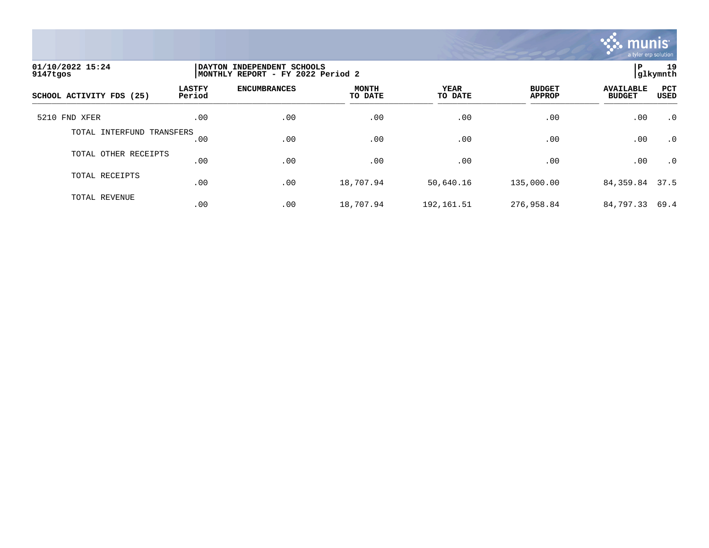

| 01/10/2022 15:24<br>9147tgos | DAYTON INDEPENDENT SCHOOLS<br>MONTHLY REPORT - FY 2022 Period 2 | 19<br>ΙP<br>glkymnth |                         |                        |                                |                                   |             |
|------------------------------|-----------------------------------------------------------------|----------------------|-------------------------|------------------------|--------------------------------|-----------------------------------|-------------|
| SCHOOL ACTIVITY FDS (25)     | <b>LASTFY</b><br>Period                                         | <b>ENCUMBRANCES</b>  | <b>MONTH</b><br>TO DATE | <b>YEAR</b><br>TO DATE | <b>BUDGET</b><br><b>APPROP</b> | <b>AVAILABLE</b><br><b>BUDGET</b> | PCT<br>USED |
| 5210 FND XFER                | .00                                                             | .00                  | .00                     | .00                    | .00                            | .00                               | $\cdot$ 0   |
| TOTAL INTERFUND TRANSFERS    | .00                                                             | .00                  | .00                     | .00                    | .00                            | .00                               | $\cdot$ 0   |
| TOTAL OTHER RECEIPTS         | .00                                                             | .00                  | .00                     | .00                    | .00                            | .00                               | $\cdot$ 0   |
| TOTAL RECEIPTS               | .00                                                             | .00                  | 18,707.94               | 50,640.16              | 135,000.00                     | 84,359.84                         | 37.5        |
| TOTAL REVENUE                | .00                                                             | .00                  | 18,707.94               | 192, 161.51            | 276,958.84                     | 84,797.33                         | 69.4        |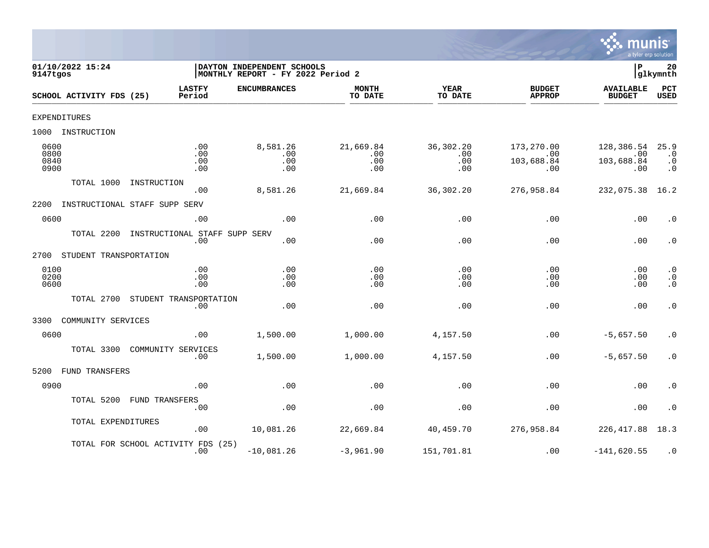

| 01/10/2022 15:24<br>9147tgos |                          |                                           | DAYTON INDEPENDENT SCHOOLS<br> MONTHLY REPORT - FY 2022 Period 2 |                                |                                |                                        | lР                                     | 20<br>glkymnth                              |
|------------------------------|--------------------------|-------------------------------------------|------------------------------------------------------------------|--------------------------------|--------------------------------|----------------------------------------|----------------------------------------|---------------------------------------------|
|                              | SCHOOL ACTIVITY FDS (25) | <b>LASTFY</b><br>Period                   | <b>ENCUMBRANCES</b>                                              | <b>MONTH</b><br>TO DATE        | <b>YEAR</b><br>TO DATE         | <b>BUDGET</b><br><b>APPROP</b>         | <b>AVAILABLE</b><br><b>BUDGET</b>      | PCT<br><b>USED</b>                          |
|                              | EXPENDITURES             |                                           |                                                                  |                                |                                |                                        |                                        |                                             |
| 1000                         | INSTRUCTION              |                                           |                                                                  |                                |                                |                                        |                                        |                                             |
| 0600<br>0800<br>0840<br>0900 |                          | .00<br>.00<br>.00<br>.00                  | 8,581.26<br>.00<br>.00<br>.00                                    | 21,669.84<br>.00<br>.00<br>.00 | 36,302.20<br>.00<br>.00<br>.00 | 173,270.00<br>.00<br>103,688.84<br>.00 | 128,386.54<br>.00<br>103,688.84<br>.00 | 25.9<br>$\cdot$ 0<br>$\cdot$ 0<br>$\cdot$ 0 |
|                              | TOTAL 1000               | INSTRUCTION<br>.00                        | 8,581.26                                                         | 21,669.84                      | 36,302.20                      | 276,958.84                             | 232,075.38                             | 16.2                                        |
| 2200                         |                          | INSTRUCTIONAL STAFF SUPP SERV             |                                                                  |                                |                                |                                        |                                        |                                             |
| 0600                         |                          | .00                                       | .00                                                              | .00                            | .00                            | .00                                    | .00                                    | $\cdot$ 0                                   |
|                              | TOTAL 2200               | INSTRUCTIONAL STAFF SUPP SERV<br>.00      | .00                                                              | .00                            | .00                            | .00                                    | .00                                    | $\cdot$ 0                                   |
| 2700                         | STUDENT TRANSPORTATION   |                                           |                                                                  |                                |                                |                                        |                                        |                                             |
| 0100<br>0200<br>0600         |                          | .00<br>.00<br>.00                         | .00<br>.00<br>.00                                                | .00<br>.00<br>.00              | .00<br>.00<br>.00              | .00<br>.00<br>.00                      | .00<br>.00<br>.00                      | $\cdot$ 0<br>$\cdot$ 0<br>$\ddot{0}$        |
|                              | TOTAL 2700               | STUDENT TRANSPORTATION<br>.00             | .00                                                              | .00                            | .00                            | .00                                    | .00                                    | $\cdot$ 0                                   |
| 3300                         | COMMUNITY SERVICES       |                                           |                                                                  |                                |                                |                                        |                                        |                                             |
| 0600                         |                          | .00                                       | 1,500.00                                                         | 1,000.00                       | 4,157.50                       | .00                                    | $-5,657.50$                            | $\cdot$ 0                                   |
|                              | TOTAL 3300               | COMMUNITY SERVICES<br>.00                 | 1,500.00                                                         | 1,000.00                       | 4,157.50                       | .00                                    | $-5,657.50$                            | $\cdot$ 0                                   |
| 5200                         | FUND TRANSFERS           |                                           |                                                                  |                                |                                |                                        |                                        |                                             |
| 0900                         |                          | .00                                       | .00                                                              | .00                            | .00                            | .00                                    | .00                                    | $\cdot$ 0                                   |
|                              | TOTAL 5200               | <b>FUND TRANSFERS</b><br>.00              | .00                                                              | .00                            | .00                            | .00                                    | .00                                    | $\cdot$ 0                                   |
|                              | TOTAL EXPENDITURES       | .00                                       | 10,081.26                                                        | 22,669.84                      | 40,459.70                      | 276,958.84                             | 226, 417.88                            | 18.3                                        |
|                              |                          | TOTAL FOR SCHOOL ACTIVITY FDS (25)<br>.00 | $-10,081.26$                                                     | $-3,961.90$                    | 151,701.81                     | .00                                    | $-141,620.55$                          | $\cdot$ 0                                   |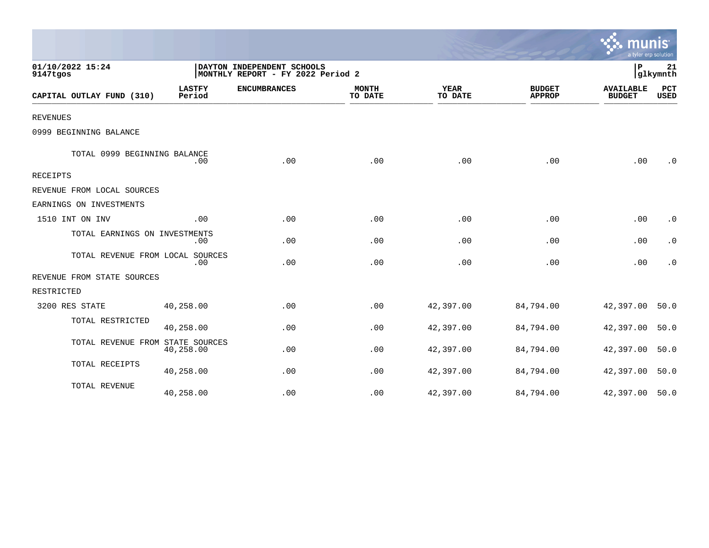|                                  |                                                                 |                     |                         |                        |                                | a tyler erp solution              |                    |
|----------------------------------|-----------------------------------------------------------------|---------------------|-------------------------|------------------------|--------------------------------|-----------------------------------|--------------------|
| 01/10/2022 15:24<br>9147tgos     | DAYTON INDEPENDENT SCHOOLS<br>MONTHLY REPORT - FY 2022 Period 2 |                     |                         |                        |                                | P                                 | 21<br>glkymnth     |
| CAPITAL OUTLAY FUND (310)        | <b>LASTFY</b><br>Period                                         | <b>ENCUMBRANCES</b> | <b>MONTH</b><br>TO DATE | <b>YEAR</b><br>TO DATE | <b>BUDGET</b><br><b>APPROP</b> | <b>AVAILABLE</b><br><b>BUDGET</b> | PCT<br><b>USED</b> |
| <b>REVENUES</b>                  |                                                                 |                     |                         |                        |                                |                                   |                    |
| 0999 BEGINNING BALANCE           |                                                                 |                     |                         |                        |                                |                                   |                    |
| TOTAL 0999 BEGINNING BALANCE     | .00                                                             | .00                 | .00                     | .00                    | .00                            | .00                               | $\cdot$ 0          |
| <b>RECEIPTS</b>                  |                                                                 |                     |                         |                        |                                |                                   |                    |
| REVENUE FROM LOCAL SOURCES       |                                                                 |                     |                         |                        |                                |                                   |                    |
| EARNINGS ON INVESTMENTS          |                                                                 |                     |                         |                        |                                |                                   |                    |
| 1510 INT ON INV                  | .00                                                             | .00                 | .00                     | .00                    | .00                            | .00                               | $\cdot$ 0          |
| TOTAL EARNINGS ON INVESTMENTS    | .00                                                             | .00                 | .00                     | .00                    | .00                            | .00                               | $\cdot$ 0          |
| TOTAL REVENUE FROM LOCAL SOURCES | .00                                                             | .00                 | .00                     | .00                    | .00                            | .00                               | $\cdot$ 0          |
| REVENUE FROM STATE SOURCES       |                                                                 |                     |                         |                        |                                |                                   |                    |
| RESTRICTED                       |                                                                 |                     |                         |                        |                                |                                   |                    |
| 3200 RES STATE                   | 40,258.00                                                       | .00                 | .00                     | 42,397.00              | 84,794.00                      | 42,397.00                         | 50.0               |
| TOTAL RESTRICTED                 | 40,258.00                                                       | .00                 | .00                     | 42,397.00              | 84,794.00                      | 42,397.00                         | 50.0               |
| TOTAL REVENUE FROM STATE SOURCES | 40,258.00                                                       | .00                 | .00                     | 42,397.00              | 84,794.00                      | 42,397.00                         | 50.0               |
| TOTAL RECEIPTS                   | 40,258.00                                                       | .00                 | .00                     | 42,397.00              | 84,794.00                      | 42,397.00                         | 50.0               |
| TOTAL REVENUE                    | 40,258.00                                                       | .00                 | .00                     | 42,397.00              | 84,794.00                      | 42,397.00                         | 50.0               |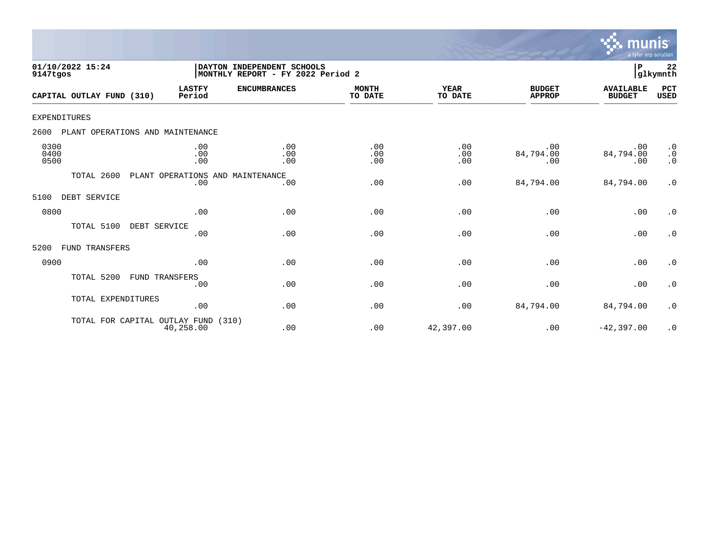

| 01/10/2022 15:24<br>9147tgos             |                                         | DAYTON INDEPENDENT SCHOOLS<br>MONTHLY REPORT - FY 2022 Period 2 |                         | P<br>glkymnth          |                                |                                   |                                     |
|------------------------------------------|-----------------------------------------|-----------------------------------------------------------------|-------------------------|------------------------|--------------------------------|-----------------------------------|-------------------------------------|
| CAPITAL OUTLAY FUND (310)                | <b>LASTFY</b><br>Period                 | <b>ENCUMBRANCES</b>                                             | <b>MONTH</b><br>TO DATE | <b>YEAR</b><br>TO DATE | <b>BUDGET</b><br><b>APPROP</b> | <b>AVAILABLE</b><br><b>BUDGET</b> | PCT<br><b>USED</b>                  |
| EXPENDITURES                             |                                         |                                                                 |                         |                        |                                |                                   |                                     |
| 2600<br>PLANT OPERATIONS AND MAINTENANCE |                                         |                                                                 |                         |                        |                                |                                   |                                     |
| 0300<br>0400<br>0500                     | .00<br>.00<br>.00                       | .00<br>.00<br>.00                                               | .00<br>.00<br>.00       | .00<br>.00<br>.00      | .00<br>84,794.00<br>.00        | .00<br>84,794.00<br>.00           | $\cdot$ 0<br>$\cdot$ 0<br>$\cdot$ 0 |
| TOTAL 2600                               | PLANT OPERATIONS AND MAINTENANCE<br>.00 | .00                                                             | .00                     | .00                    | 84,794.00                      | 84,794.00                         | $\cdot$ 0                           |
| DEBT SERVICE<br>5100                     |                                         |                                                                 |                         |                        |                                |                                   |                                     |
| 0800                                     | .00                                     | .00                                                             | .00                     | .00                    | .00                            | .00                               | $\cdot$ 0                           |
| TOTAL 5100                               | DEBT SERVICE<br>.00                     | .00                                                             | .00                     | .00                    | .00                            | .00                               | $\cdot$ 0                           |
| FUND TRANSFERS<br>5200                   |                                         |                                                                 |                         |                        |                                |                                   |                                     |
| 0900                                     | .00                                     | .00                                                             | .00                     | .00                    | .00                            | .00                               | $\cdot$ 0                           |
| TOTAL 5200                               | <b>FUND TRANSFERS</b><br>.00            | .00                                                             | .00                     | .00                    | .00                            | .00                               | $\cdot$ 0                           |
| TOTAL EXPENDITURES                       | .00                                     | .00                                                             | .00                     | .00                    | 84,794.00                      | 84,794.00                         | $\cdot$ 0                           |
| TOTAL FOR CAPITAL OUTLAY FUND            | 40,258.00                               | (310)<br>.00                                                    | .00                     | 42,397.00              | .00                            | $-42, 397.00$                     | $\cdot$ 0                           |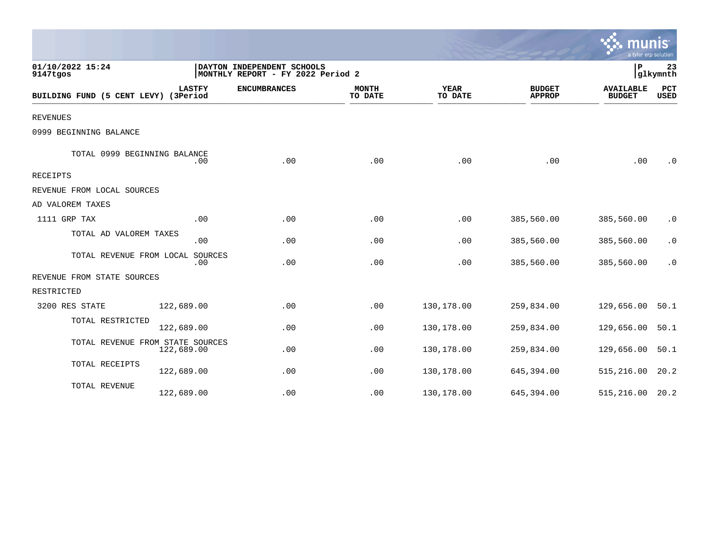|                                      |                |                                                                 |                         |                        |                                | $\sim$ munis<br>a tyler erp solution |                    |
|--------------------------------------|----------------|-----------------------------------------------------------------|-------------------------|------------------------|--------------------------------|--------------------------------------|--------------------|
| 01/10/2022 15:24<br>9147tgos         |                | DAYTON INDEPENDENT SCHOOLS<br>MONTHLY REPORT - FY 2022 Period 2 |                         |                        |                                | $\mathbf{P}$                         | 23<br>glkymnth     |
| BUILDING FUND (5 CENT LEVY) (3Period | <b>LASTFY</b>  | <b>ENCUMBRANCES</b>                                             | <b>MONTH</b><br>TO DATE | <b>YEAR</b><br>TO DATE | <b>BUDGET</b><br><b>APPROP</b> | <b>AVAILABLE</b><br><b>BUDGET</b>    | PCT<br><b>USED</b> |
| <b>REVENUES</b>                      |                |                                                                 |                         |                        |                                |                                      |                    |
| 0999 BEGINNING BALANCE               |                |                                                                 |                         |                        |                                |                                      |                    |
| TOTAL 0999 BEGINNING BALANCE         | .00            | .00                                                             | .00                     | .00                    | .00                            | .00                                  | .0                 |
| <b>RECEIPTS</b>                      |                |                                                                 |                         |                        |                                |                                      |                    |
| REVENUE FROM LOCAL SOURCES           |                |                                                                 |                         |                        |                                |                                      |                    |
| AD VALOREM TAXES                     |                |                                                                 |                         |                        |                                |                                      |                    |
| 1111 GRP TAX                         | .00            | .00                                                             | .00                     | .00                    | 385,560.00                     | 385,560.00                           | $\cdot$ 0          |
| TOTAL AD VALOREM TAXES               | .00            | .00                                                             | .00                     | .00                    | 385,560.00                     | 385,560.00                           | $\cdot$ 0          |
| TOTAL REVENUE FROM LOCAL             | SOURCES<br>.00 | .00                                                             | .00                     | .00                    | 385,560.00                     | 385,560.00                           | $\cdot$ 0          |
| REVENUE FROM STATE SOURCES           |                |                                                                 |                         |                        |                                |                                      |                    |
| RESTRICTED                           |                |                                                                 |                         |                        |                                |                                      |                    |
| 3200 RES STATE                       | 122,689.00     | .00                                                             | .00                     | 130,178.00             | 259,834.00                     | 129,656.00                           | 50.1               |
| TOTAL RESTRICTED                     | 122,689.00     | .00                                                             | .00                     | 130,178.00             | 259,834.00                     | 129,656.00                           | 50.1               |
| TOTAL REVENUE FROM STATE SOURCES     | 122,689.00     | .00                                                             | .00                     | 130,178.00             | 259,834.00                     | 129,656.00                           | 50.1               |
| TOTAL RECEIPTS                       | 122,689.00     | .00                                                             | .00                     | 130,178.00             | 645,394.00                     | 515,216.00                           | 20.2               |
| TOTAL REVENUE                        | 122,689.00     | .00                                                             | .00                     | 130,178.00             | 645, 394.00                    | 515,216.00                           | 20.2               |

 $\sim$   $\sim$   $\sim$   $\sim$   $\sim$   $\sim$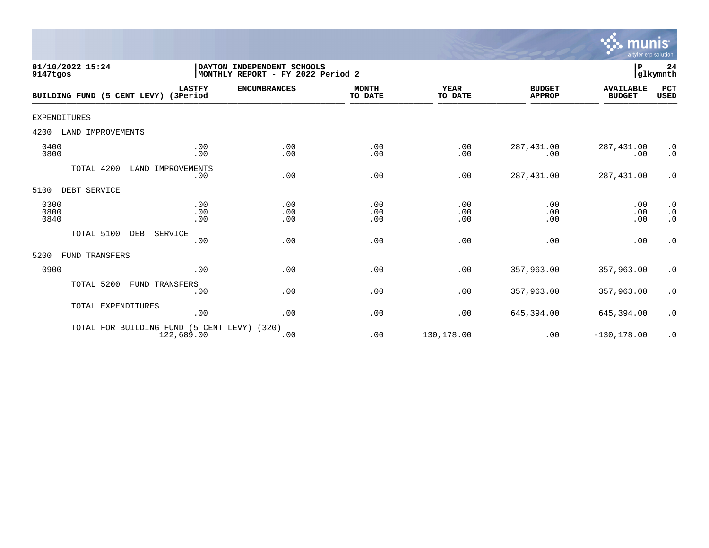

| 01/10/2022 15:24<br>9147tgos          | DAYTON INDEPENDENT SCHOOLS<br>MONTHLY REPORT - FY 2022 Period 2 |                   |                         |                   |                                | ${\bf P}$                         | 24<br>glkymnth                                                  |
|---------------------------------------|-----------------------------------------------------------------|-------------------|-------------------------|-------------------|--------------------------------|-----------------------------------|-----------------------------------------------------------------|
| BUILDING FUND (5 CENT LEVY) (3Period  | <b>LASTFY</b><br><b>ENCUMBRANCES</b>                            |                   | <b>MONTH</b><br>TO DATE | YEAR<br>TO DATE   | <b>BUDGET</b><br><b>APPROP</b> | <b>AVAILABLE</b><br><b>BUDGET</b> | PCT<br><b>USED</b>                                              |
| <b>EXPENDITURES</b>                   |                                                                 |                   |                         |                   |                                |                                   |                                                                 |
| LAND IMPROVEMENTS<br>4200             |                                                                 |                   |                         |                   |                                |                                   |                                                                 |
| 0400<br>0800                          | .00<br>.00                                                      | .00<br>.00        | .00<br>.00              | .00<br>.00        | 287, 431.00<br>.00             | 287,431.00<br>.00                 | $\cdot$ 0<br>$\cdot$ 0                                          |
| TOTAL 4200<br>LAND IMPROVEMENTS       | .00                                                             | .00               | .00                     | .00               | 287, 431.00                    | 287,431.00                        | $\cdot$ 0                                                       |
| 5100<br>DEBT SERVICE                  |                                                                 |                   |                         |                   |                                |                                   |                                                                 |
| 0300<br>0800<br>0840                  | .00<br>.00<br>.00                                               | .00<br>.00<br>.00 | .00<br>.00<br>.00       | .00<br>.00<br>.00 | .00<br>.00<br>.00              | .00<br>.00<br>.00                 | $\begin{smallmatrix} 0.1 \\ 0.1 \end{smallmatrix}$<br>$\cdot$ 0 |
| TOTAL 5100<br>DEBT SERVICE            |                                                                 |                   |                         |                   |                                |                                   |                                                                 |
|                                       | .00                                                             | .00               | .00                     | .00               | .00                            | .00                               | $\cdot$ 0                                                       |
| 5200<br><b>FUND TRANSFERS</b>         |                                                                 |                   |                         |                   |                                |                                   |                                                                 |
| 0900                                  | .00                                                             | .00               | .00                     | .00               | 357,963.00                     | 357,963.00                        | $\cdot$ 0                                                       |
| TOTAL 5200<br>FUND TRANSFERS          | .00                                                             | .00               | .00                     | .00               | 357,963.00                     | 357,963.00                        | $\cdot$ 0                                                       |
| TOTAL EXPENDITURES                    | .00                                                             | .00               | .00                     | .00               | 645,394.00                     | 645,394.00                        | $\cdot$ 0                                                       |
| TOTAL FOR BUILDING FUND<br>122,689.00 | (5 CENT LEVY)<br>(320)                                          | .00               | .00                     | 130,178.00        | .00                            | $-130, 178.00$                    | $\cdot$ 0                                                       |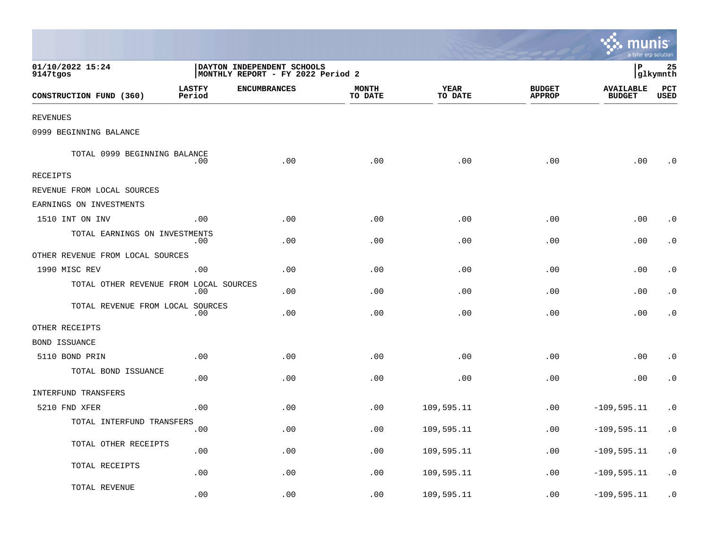|                                        |                         |                                                                 |                         |                 |                                | munis'<br>a tyler erp solution    |                        |
|----------------------------------------|-------------------------|-----------------------------------------------------------------|-------------------------|-----------------|--------------------------------|-----------------------------------|------------------------|
| 01/10/2022 15:24<br>9147tgos           |                         | DAYTON INDEPENDENT SCHOOLS<br>MONTHLY REPORT - FY 2022 Period 2 |                         |                 |                                | ∣P                                | 25<br> glkymnth        |
| CONSTRUCTION FUND (360)                | <b>LASTFY</b><br>Period | <b>ENCUMBRANCES</b>                                             | <b>MONTH</b><br>TO DATE | YEAR<br>TO DATE | <b>BUDGET</b><br><b>APPROP</b> | <b>AVAILABLE</b><br><b>BUDGET</b> | PCT<br>USED            |
| <b>REVENUES</b>                        |                         |                                                                 |                         |                 |                                |                                   |                        |
| 0999 BEGINNING BALANCE                 |                         |                                                                 |                         |                 |                                |                                   |                        |
| TOTAL 0999 BEGINNING BALANCE           | .00                     | .00                                                             | .00                     | .00             | .00                            | .00                               | . 0                    |
| RECEIPTS                               |                         |                                                                 |                         |                 |                                |                                   |                        |
| REVENUE FROM LOCAL SOURCES             |                         |                                                                 |                         |                 |                                |                                   |                        |
| EARNINGS ON INVESTMENTS                |                         |                                                                 |                         |                 |                                |                                   |                        |
| 1510 INT ON INV                        | .00                     | .00                                                             | .00                     | .00             | .00                            | .00                               | $\cdot$ 0              |
| TOTAL EARNINGS ON INVESTMENTS          | .00                     | .00                                                             | .00                     | .00             | .00                            | .00                               | $\cdot$ 0              |
| OTHER REVENUE FROM LOCAL SOURCES       |                         |                                                                 |                         |                 |                                |                                   |                        |
| 1990 MISC REV                          | .00                     | .00                                                             | .00                     | .00             | .00                            | .00                               | . 0                    |
| TOTAL OTHER REVENUE FROM LOCAL SOURCES | .00                     | .00                                                             | .00                     | .00             | .00                            | .00                               | $\cdot$ 0              |
| TOTAL REVENUE FROM LOCAL SOURCES       | .00                     | .00                                                             | .00                     | .00             | .00                            | .00                               | $\cdot$ 0              |
| OTHER RECEIPTS                         |                         |                                                                 |                         |                 |                                |                                   |                        |
| BOND ISSUANCE                          |                         |                                                                 |                         |                 |                                |                                   |                        |
| 5110 BOND PRIN                         | .00                     | .00                                                             | .00                     | .00             | .00                            | .00                               | $\cdot$ 0              |
| TOTAL BOND ISSUANCE                    | .00                     | .00                                                             | .00                     | .00             | .00                            | .00                               | $\cdot$ 0              |
| <b>INTERFUND TRANSFERS</b>             |                         |                                                                 |                         |                 |                                |                                   |                        |
| 5210 FND XFER                          | .00                     | .00                                                             | .00                     | 109,595.11      | .00                            | $-109, 595.11$                    | $\cdot$ 0              |
| TOTAL INTERFUND TRANSFERS              | .00                     | .00                                                             | .00                     | 109,595.11      | .00                            | $-109, 595.11$                    | $\cdot$ 0              |
| TOTAL OTHER RECEIPTS                   | .00                     | .00                                                             | .00                     | 109,595.11      | .00                            | $-109, 595.11$                    | $\boldsymbol{\cdot}$ 0 |
| TOTAL RECEIPTS                         | .00                     | .00                                                             | .00                     | 109,595.11      | .00                            | $-109, 595.11$                    | $\cdot$ 0              |
| TOTAL REVENUE                          | .00                     | .00                                                             | .00                     | 109,595.11      | .00                            | $-109, 595.11$                    | $\cdot$ 0              |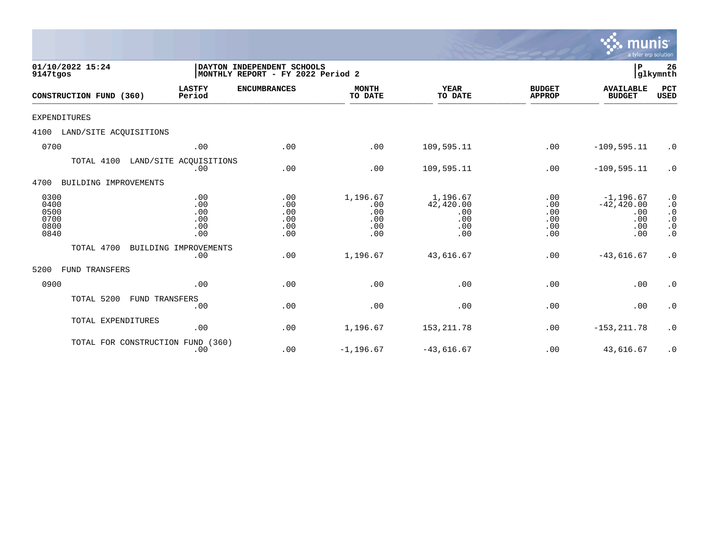|                                              |                                        |                                                                 |                                             |                                                   |                                        | <u>munis</u><br>a tyler erp solution                      |                                                                            |
|----------------------------------------------|----------------------------------------|-----------------------------------------------------------------|---------------------------------------------|---------------------------------------------------|----------------------------------------|-----------------------------------------------------------|----------------------------------------------------------------------------|
| 01/10/2022 15:24<br>9147tgos                 |                                        | DAYTON INDEPENDENT SCHOOLS<br>MONTHLY REPORT - FY 2022 Period 2 |                                             |                                                   |                                        | P<br>26<br> glkymnth                                      |                                                                            |
| CONSTRUCTION FUND (360)                      | <b>LASTFY</b><br>Period                | <b>ENCUMBRANCES</b>                                             | <b>MONTH</b><br>TO DATE                     | <b>YEAR</b><br>TO DATE                            | <b>BUDGET</b><br><b>APPROP</b>         | <b>AVAILABLE</b><br><b>BUDGET</b>                         | PCT<br><b>USED</b>                                                         |
| EXPENDITURES                                 |                                        |                                                                 |                                             |                                                   |                                        |                                                           |                                                                            |
| LAND/SITE ACQUISITIONS<br>4100               |                                        |                                                                 |                                             |                                                   |                                        |                                                           |                                                                            |
| 0700                                         | .00                                    | .00                                                             | .00                                         | 109,595.11                                        | .00                                    | $-109, 595.11$                                            | $\cdot$ 0                                                                  |
| TOTAL 4100 LAND/SITE ACOUISITIONS            | .00                                    | .00                                                             | .00                                         | 109,595.11                                        | .00                                    | $-109, 595.11$                                            | $\cdot$ 0                                                                  |
| 4700<br>BUILDING IMPROVEMENTS                |                                        |                                                                 |                                             |                                                   |                                        |                                                           |                                                                            |
| 0300<br>0400<br>0500<br>0700<br>0800<br>0840 | .00<br>.00<br>.00<br>.00<br>.00<br>.00 | .00<br>.00<br>.00<br>.00<br>.00<br>.00                          | 1,196.67<br>.00<br>.00<br>.00<br>.00<br>.00 | 1,196.67<br>42,420.00<br>.00<br>.00<br>.00<br>.00 | .00<br>.00<br>.00<br>.00<br>.00<br>.00 | $-1, 196.67$<br>$-42, 420.00$<br>.00<br>.00<br>.00<br>.00 | $\cdot$ 0<br>$\cdot$ 0<br>$\cdot$ 0<br>$\cdot$ 0<br>$\cdot$ 0<br>$\cdot$ 0 |
| TOTAL 4700                                   | BUILDING IMPROVEMENTS<br>.00           | .00                                                             | 1,196.67                                    | 43,616.67                                         | .00                                    | $-43,616.67$                                              | $\cdot$ 0                                                                  |
| 5200<br><b>FUND TRANSFERS</b>                |                                        |                                                                 |                                             |                                                   |                                        |                                                           |                                                                            |
| 0900                                         | .00                                    | .00                                                             | .00                                         | .00                                               | .00                                    | .00                                                       | $\cdot$ 0                                                                  |
| TOTAL 5200<br><b>FUND TRANSFERS</b>          | .00                                    | .00                                                             | .00                                         | .00                                               | .00                                    | .00                                                       | $\cdot$ 0                                                                  |
| TOTAL EXPENDITURES                           | .00                                    | .00                                                             | 1,196.67                                    | 153, 211.78                                       | .00                                    | $-153, 211.78$                                            | $\cdot$ 0                                                                  |
| TOTAL FOR CONSTRUCTION FUND (360)            |                                        |                                                                 |                                             |                                                   |                                        |                                                           |                                                                            |

.00 .00 -1,196.67 -43,616.67 .00 43,616.67 .0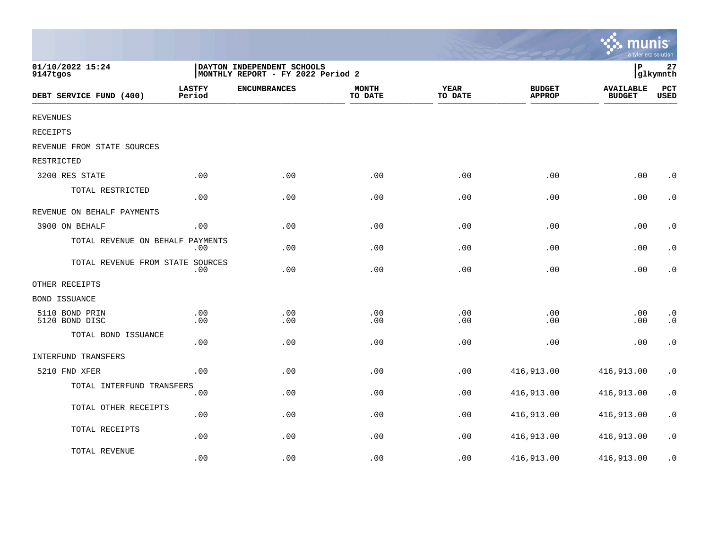|                                  |                         |                                                                 |                         |                        |                                | $\mathcal{C}$ munis<br>a tyler erp solution |                        |
|----------------------------------|-------------------------|-----------------------------------------------------------------|-------------------------|------------------------|--------------------------------|---------------------------------------------|------------------------|
| 01/10/2022 15:24<br>9147tgos     |                         | DAYTON INDEPENDENT SCHOOLS<br>MONTHLY REPORT - FY 2022 Period 2 |                         |                        |                                | İР                                          | 27<br>glkymnth         |
| DEBT SERVICE FUND (400)          | <b>LASTFY</b><br>Period | <b>ENCUMBRANCES</b>                                             | <b>MONTH</b><br>TO DATE | <b>YEAR</b><br>TO DATE | <b>BUDGET</b><br><b>APPROP</b> | <b>AVAILABLE</b><br><b>BUDGET</b>           | PCT<br>USED            |
| <b>REVENUES</b>                  |                         |                                                                 |                         |                        |                                |                                             |                        |
| <b>RECEIPTS</b>                  |                         |                                                                 |                         |                        |                                |                                             |                        |
| REVENUE FROM STATE SOURCES       |                         |                                                                 |                         |                        |                                |                                             |                        |
| RESTRICTED                       |                         |                                                                 |                         |                        |                                |                                             |                        |
| 3200 RES STATE                   | .00                     | .00                                                             | .00                     | .00                    | .00                            | .00                                         | $\cdot$ 0              |
| TOTAL RESTRICTED                 | .00                     | .00                                                             | .00                     | .00                    | .00                            | .00                                         | $\boldsymbol{\cdot}$ 0 |
| REVENUE ON BEHALF PAYMENTS       |                         |                                                                 |                         |                        |                                |                                             |                        |
| 3900 ON BEHALF                   | .00.                    | .00                                                             | .00                     | .00                    | .00                            | .00                                         | $\cdot$ 0              |
| TOTAL REVENUE ON BEHALF PAYMENTS | $.00 \,$                | .00                                                             | .00                     | .00                    | .00                            | .00                                         | $\boldsymbol{\cdot}$ 0 |
| TOTAL REVENUE FROM STATE SOURCES | .00                     | .00                                                             | .00                     | .00                    | .00                            | .00                                         | $\boldsymbol{\cdot}$ 0 |
| OTHER RECEIPTS                   |                         |                                                                 |                         |                        |                                |                                             |                        |
| BOND ISSUANCE                    |                         |                                                                 |                         |                        |                                |                                             |                        |
| 5110 BOND PRIN<br>5120 BOND DISC | .00<br>.00              | .00<br>.00                                                      | .00<br>.00              | .00<br>.00             | .00<br>.00                     | .00<br>.00                                  | $\cdot$ 0<br>$\cdot$ 0 |
| TOTAL BOND ISSUANCE              | .00                     | .00                                                             | .00                     | .00                    | .00                            | .00                                         | $\cdot$ 0              |
| <b>INTERFUND TRANSFERS</b>       |                         |                                                                 |                         |                        |                                |                                             |                        |
| 5210 FND XFER                    | .00                     | .00                                                             | .00                     | .00                    | 416,913.00                     | 416,913.00                                  | $\cdot$ 0              |
| TOTAL INTERFUND TRANSFERS        | .00                     | .00                                                             | .00                     | .00                    | 416,913.00                     | 416,913.00                                  | $\boldsymbol{\cdot}$ 0 |
| TOTAL OTHER RECEIPTS             | .00                     | .00                                                             | .00                     | .00                    | 416,913.00                     | 416,913.00                                  | $\boldsymbol{\cdot}$ 0 |
| TOTAL RECEIPTS                   | .00                     | .00                                                             | .00                     | .00                    | 416,913.00                     | 416,913.00                                  | $\boldsymbol{\cdot}$ 0 |
| TOTAL REVENUE                    | .00                     | .00                                                             | .00                     | .00                    | 416,913.00                     | 416,913.00                                  | $\cdot$ 0              |

the contract of the contract of the contract of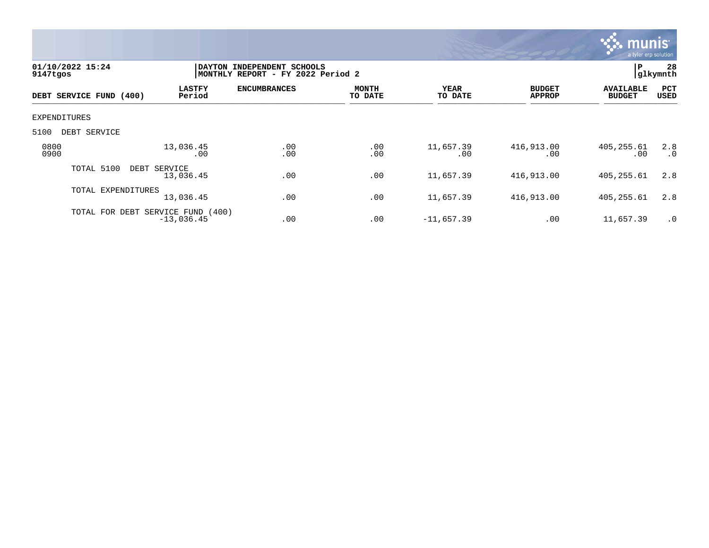

| 9147tgos     | 01/10/2022 15:24                  | DAYTON INDEPENDENT SCHOOLS<br>MONTHLY REPORT - FY 2022 Period 2 | l P                 | 28<br>glkymnth          |                  |                                |                                   |                  |
|--------------|-----------------------------------|-----------------------------------------------------------------|---------------------|-------------------------|------------------|--------------------------------|-----------------------------------|------------------|
|              | DEBT SERVICE FUND (400)           | <b>LASTFY</b><br>Period                                         | <b>ENCUMBRANCES</b> | <b>MONTH</b><br>TO DATE | YEAR<br>TO DATE  | <b>BUDGET</b><br><b>APPROP</b> | <b>AVAILABLE</b><br><b>BUDGET</b> | PCT<br>USED      |
| EXPENDITURES |                                   |                                                                 |                     |                         |                  |                                |                                   |                  |
| 5100         | DEBT SERVICE                      |                                                                 |                     |                         |                  |                                |                                   |                  |
| 0800<br>0900 |                                   | 13,036.45<br>.00                                                | .00<br>.00          | .00<br>.00              | 11,657.39<br>.00 | 416,913.00<br>.00              | 405, 255.61<br>.00                | 2.8<br>$\cdot$ 0 |
|              | TOTAL 5100                        | DEBT SERVICE<br>13,036.45                                       | .00                 | .00                     | 11,657.39        | 416,913.00                     | 405, 255.61                       | 2.8              |
|              | TOTAL EXPENDITURES                | 13,036.45                                                       | .00                 | .00                     | 11,657.39        | 416,913.00                     | 405, 255.61                       | 2.8              |
|              | TOTAL FOR DEBT SERVICE FUND (400) | $-13,036.45$                                                    | .00                 | .00                     | $-11,657.39$     | .00                            | 11,657.39                         | $\cdot$ 0        |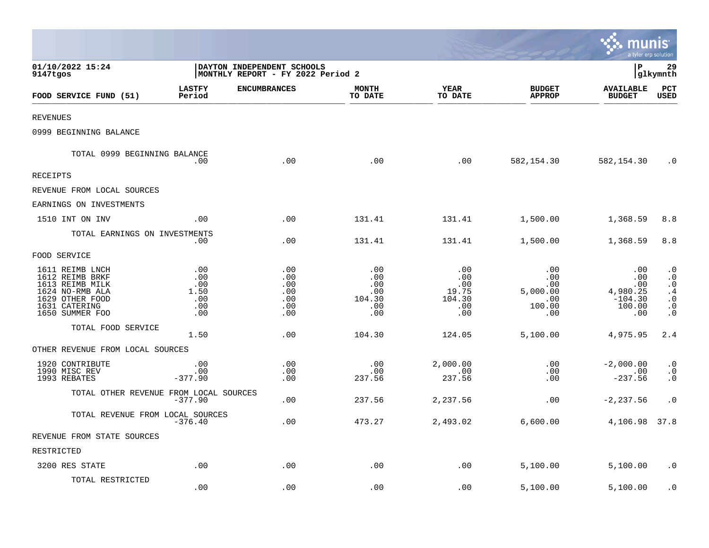|                                                                                                                                 |                                                |                                                                 |                                                  |                                                    |                                                       | munis<br>a tyler erp solution                               |                                                                                  |
|---------------------------------------------------------------------------------------------------------------------------------|------------------------------------------------|-----------------------------------------------------------------|--------------------------------------------------|----------------------------------------------------|-------------------------------------------------------|-------------------------------------------------------------|----------------------------------------------------------------------------------|
| 01/10/2022 15:24<br>9147tgos                                                                                                    |                                                | DAYTON INDEPENDENT SCHOOLS<br>MONTHLY REPORT - FY 2022 Period 2 |                                                  |                                                    |                                                       | l P                                                         | 29<br>glkymnth                                                                   |
| FOOD SERVICE FUND (51)                                                                                                          | <b>LASTFY</b><br>Period                        | <b>ENCUMBRANCES</b>                                             | <b>MONTH</b><br>TO DATE                          | YEAR<br>TO DATE                                    | <b>BUDGET</b><br><b>APPROP</b>                        | <b>AVAILABLE</b><br><b>BUDGET</b>                           | $_{\rm PCT}$<br><b>USED</b>                                                      |
| REVENUES                                                                                                                        |                                                |                                                                 |                                                  |                                                    |                                                       |                                                             |                                                                                  |
| 0999 BEGINNING BALANCE                                                                                                          |                                                |                                                                 |                                                  |                                                    |                                                       |                                                             |                                                                                  |
| TOTAL 0999 BEGINNING BALANCE                                                                                                    | .00                                            | .00                                                             | .00                                              | .00                                                | 582,154.30                                            | 582,154.30                                                  | $\cdot$ 0                                                                        |
| RECEIPTS                                                                                                                        |                                                |                                                                 |                                                  |                                                    |                                                       |                                                             |                                                                                  |
| REVENUE FROM LOCAL SOURCES                                                                                                      |                                                |                                                                 |                                                  |                                                    |                                                       |                                                             |                                                                                  |
| EARNINGS ON INVESTMENTS                                                                                                         |                                                |                                                                 |                                                  |                                                    |                                                       |                                                             |                                                                                  |
| 1510 INT ON INV                                                                                                                 | .00                                            | .00                                                             | 131.41                                           | 131.41                                             | 1,500.00                                              | 1,368.59                                                    | 8.8                                                                              |
| TOTAL EARNINGS ON INVESTMENTS                                                                                                   | .00                                            | .00                                                             | 131.41                                           | 131.41                                             | 1,500.00                                              | 1,368.59                                                    | 8.8                                                                              |
| FOOD SERVICE                                                                                                                    |                                                |                                                                 |                                                  |                                                    |                                                       |                                                             |                                                                                  |
| 1611 REIMB LNCH<br>1612 REIMB BRKF<br>1613 REIMB MILK<br>1624 NO-RMB ALA<br>1629 OTHER FOOD<br>1631 CATERING<br>1650 SUMMER FOO | .00<br>.00<br>.00<br>1.50<br>.00<br>.00<br>.00 | .00<br>.00<br>.00<br>.00<br>.00<br>.00<br>.00                   | .00<br>.00<br>.00<br>.00<br>104.30<br>.00<br>.00 | .00<br>.00<br>.00<br>19.75<br>104.30<br>.00<br>.00 | .00<br>.00<br>.00<br>5,000.00<br>.00<br>100.00<br>.00 | .00<br>.00<br>.00<br>4,980.25<br>$-104.30$<br>100.00<br>.00 | $\cdot$ 0<br>$\cdot$ 0<br>$\cdot$ 0<br>.4<br>$\cdot$ 0<br>$\cdot$ 0<br>$\cdot$ 0 |
| TOTAL FOOD SERVICE                                                                                                              | 1.50                                           | .00                                                             | 104.30                                           | 124.05                                             | 5,100.00                                              | 4,975.95                                                    | 2.4                                                                              |
| OTHER REVENUE FROM LOCAL SOURCES                                                                                                |                                                |                                                                 |                                                  |                                                    |                                                       |                                                             |                                                                                  |
| 1920 CONTRIBUTE<br>1990 MISC REV<br>1993 REBATES                                                                                | .00<br>.00<br>$-377.90$                        | .00<br>.00<br>.00                                               | .00<br>.00<br>237.56                             | 2,000.00<br>.00<br>237.56                          | .00<br>.00<br>.00                                     | $-2,000.00$<br>.00<br>$-237.56$                             | $\cdot$ 0<br>$\cdot$ 0<br>$\cdot$ 0                                              |
| TOTAL OTHER REVENUE FROM LOCAL SOURCES                                                                                          | $-377.90$                                      | .00                                                             | 237.56                                           | 2,237.56                                           | .00                                                   | $-2, 237.56$                                                | $\cdot$ 0                                                                        |
| TOTAL REVENUE FROM LOCAL SOURCES                                                                                                | $-376.40$                                      | .00                                                             | 473.27                                           | 2,493.02                                           | 6,600.00                                              | 4,106.98 37.8                                               |                                                                                  |
| REVENUE FROM STATE SOURCES                                                                                                      |                                                |                                                                 |                                                  |                                                    |                                                       |                                                             |                                                                                  |
| RESTRICTED                                                                                                                      |                                                |                                                                 |                                                  |                                                    |                                                       |                                                             |                                                                                  |
| 3200 RES STATE                                                                                                                  | .00                                            | .00                                                             | .00                                              | .00                                                | 5,100.00                                              | 5,100.00                                                    | $\cdot$ 0                                                                        |
| TOTAL RESTRICTED                                                                                                                | .00                                            | .00                                                             | .00                                              | .00                                                | 5,100.00                                              | 5,100.00                                                    | . 0                                                                              |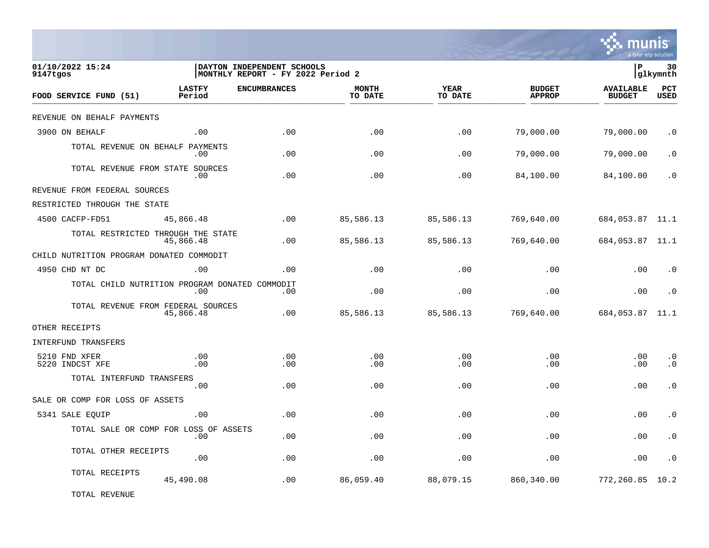

| 01/10/2022 15:24<br>9147tgos                   |                         | DAYTON INDEPENDENT SCHOOLS<br>MONTHLY REPORT - FY 2022 Period 2 |                         |                        |                                | l P                               | 30<br> glkymnth        |
|------------------------------------------------|-------------------------|-----------------------------------------------------------------|-------------------------|------------------------|--------------------------------|-----------------------------------|------------------------|
| FOOD SERVICE FUND (51)                         | <b>LASTFY</b><br>Period | <b>ENCUMBRANCES</b>                                             | <b>MONTH</b><br>TO DATE | <b>YEAR</b><br>TO DATE | <b>BUDGET</b><br><b>APPROP</b> | <b>AVAILABLE</b><br><b>BUDGET</b> | PCT<br><b>USED</b>     |
| REVENUE ON BEHALF PAYMENTS                     |                         |                                                                 |                         |                        |                                |                                   |                        |
| 3900 ON BEHALF                                 | .00                     | .00                                                             | .00                     | .00                    | 79,000.00                      | 79,000.00                         | $\cdot$ 0              |
| TOTAL REVENUE ON BEHALF PAYMENTS               | $.00 \,$                | .00                                                             | .00                     | .00                    | 79,000.00                      | 79,000.00                         | $\cdot$ 0              |
| TOTAL REVENUE FROM STATE SOURCES               | $.00 \,$                | .00                                                             | .00                     | .00                    | 84,100.00                      | 84,100.00                         | $\cdot$ 0              |
| REVENUE FROM FEDERAL SOURCES                   |                         |                                                                 |                         |                        |                                |                                   |                        |
| RESTRICTED THROUGH THE STATE                   |                         |                                                                 |                         |                        |                                |                                   |                        |
| 4500 CACFP-FD51                                | 45,866.48               | .00                                                             | 85,586.13               | 85,586.13              | 769,640.00                     | 684,053.87 11.1                   |                        |
| TOTAL RESTRICTED THROUGH THE STATE             | 45,866.48               | .00                                                             | 85,586.13               | 85,586.13              | 769,640.00                     | 684,053.87 11.1                   |                        |
| CHILD NUTRITION PROGRAM DONATED COMMODIT       |                         |                                                                 |                         |                        |                                |                                   |                        |
| 4950 CHD NT DC                                 | .00                     | .00                                                             | .00                     | .00                    | .00                            | .00                               | $\cdot$ 0              |
| TOTAL CHILD NUTRITION PROGRAM DONATED COMMODIT | .00                     | .00                                                             | .00                     | .00                    | .00                            | .00                               | $\cdot$ 0              |
| TOTAL REVENUE FROM FEDERAL SOURCES             | 45,866.48               | .00                                                             | 85,586.13               | 85,586.13              | 769,640.00                     | 684,053.87                        | 11.1                   |
| OTHER RECEIPTS                                 |                         |                                                                 |                         |                        |                                |                                   |                        |
| INTERFUND TRANSFERS                            |                         |                                                                 |                         |                        |                                |                                   |                        |
| 5210 FND XFER<br>5220 INDCST XFE               | .00<br>.00              | .00<br>.00                                                      | .00<br>.00              | .00<br>.00             | .00<br>.00                     | .00<br>.00                        | $\cdot$ 0<br>$\cdot$ 0 |
| TOTAL INTERFUND TRANSFERS                      | .00                     | .00                                                             | .00                     | .00                    | .00                            | .00                               | $\cdot$ 0              |
| SALE OR COMP FOR LOSS OF ASSETS                |                         |                                                                 |                         |                        |                                |                                   |                        |
| 5341 SALE EQUIP                                | .00                     | .00                                                             | .00                     | .00                    | .00                            | .00                               | $\cdot$ 0              |
| TOTAL SALE OR COMP FOR LOSS OF ASSETS          | .00                     | .00                                                             | .00                     | .00                    | .00                            | .00                               | $\cdot$ 0              |
| TOTAL OTHER RECEIPTS                           | .00                     | .00                                                             | .00                     | .00                    | .00                            | .00                               | $\cdot$ 0              |
| TOTAL RECEIPTS                                 | 45,490.08               | .00                                                             | 86,059.40               | 88,079.15              | 860,340.00                     | 772,260.85                        | 10.2                   |
|                                                |                         |                                                                 |                         |                        |                                |                                   |                        |

TOTAL REVENUE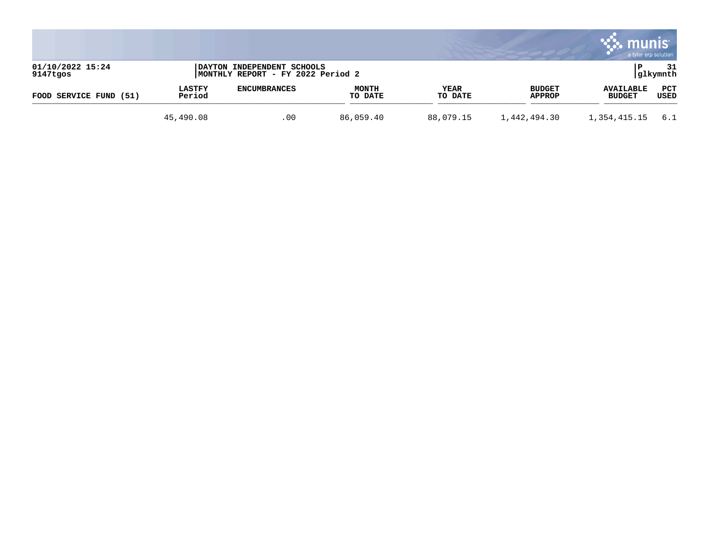|                              |                         |                                                                 |                         |                 |                                | munis                             | a tyler erp solution |
|------------------------------|-------------------------|-----------------------------------------------------------------|-------------------------|-----------------|--------------------------------|-----------------------------------|----------------------|
| 01/10/2022 15:24<br>9147tgos |                         | DAYTON INDEPENDENT SCHOOLS<br>MONTHLY REPORT - FY 2022 Period 2 |                         |                 |                                |                                   | 31<br> glkymnth      |
| FOOD SERVICE FUND<br>(51)    | <b>LASTFY</b><br>Period | <b>ENCUMBRANCES</b>                                             | <b>MONTH</b><br>TO DATE | YEAR<br>TO DATE | <b>BUDGET</b><br><b>APPROP</b> | <b>AVAILABLE</b><br><b>BUDGET</b> | PCT<br>USED          |
|                              | 45,490.08               | .00                                                             | 86,059.40               | 88,079.15       | 1,442,494.30                   | 1,354,415.15                      | -6.1                 |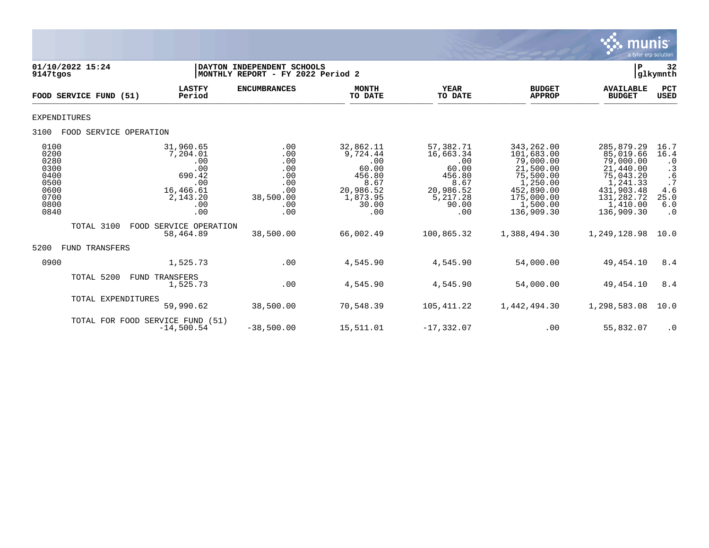

| 01/10/2022 15:24<br>9147tgos                                                 |                                                                                             | DAYTON INDEPENDENT SCHOOLS<br>MONTHLY REPORT - FY 2022 Period 2          |                                                                                                  |                                                                                                   |                                                                                                                                    | P                                                                                                                                | 32<br>glkymnth                                                                               |
|------------------------------------------------------------------------------|---------------------------------------------------------------------------------------------|--------------------------------------------------------------------------|--------------------------------------------------------------------------------------------------|---------------------------------------------------------------------------------------------------|------------------------------------------------------------------------------------------------------------------------------------|----------------------------------------------------------------------------------------------------------------------------------|----------------------------------------------------------------------------------------------|
| FOOD SERVICE FUND (51)                                                       | <b>LASTFY</b><br>Period                                                                     | <b>ENCUMBRANCES</b>                                                      | <b>MONTH</b><br>TO DATE                                                                          | <b>YEAR</b><br>TO DATE                                                                            | <b>BUDGET</b><br><b>APPROP</b>                                                                                                     | <b>AVAILABLE</b><br><b>BUDGET</b>                                                                                                | PCT<br><b>USED</b>                                                                           |
| <b>EXPENDITURES</b>                                                          |                                                                                             |                                                                          |                                                                                                  |                                                                                                   |                                                                                                                                    |                                                                                                                                  |                                                                                              |
| 3100<br>FOOD SERVICE OPERATION                                               |                                                                                             |                                                                          |                                                                                                  |                                                                                                   |                                                                                                                                    |                                                                                                                                  |                                                                                              |
| 0100<br>0200<br>0280<br>0300<br>0400<br>0500<br>0600<br>0700<br>0800<br>0840 | 31,960.65<br>7,204.01<br>.00<br>.00<br>690.42<br>.00<br>16,466.61<br>2,143.20<br>.00<br>.00 | .00<br>.00<br>.00<br>.00<br>.00<br>.00<br>.00<br>38,500.00<br>.00<br>.00 | 32,862.11<br>9,724.44<br>.00<br>60.00<br>456.80<br>8.67<br>20,986.52<br>1,873.95<br>30.00<br>.00 | 57,382.71<br>16,663.34<br>.00<br>60.00<br>456.80<br>8.67<br>20,986.52<br>5,217.28<br>90.00<br>.00 | 343, 262.00<br>101,683.00<br>79,000.00<br>21,500.00<br>75,500.00<br>1,250.00<br>452,890.00<br>175,000.00<br>1,500.00<br>136,909.30 | 285,879.29<br>85,019.66<br>79,000.00<br>21,440.00<br>75,043.20<br>1,241.33<br>431,903.48<br>131,282.72<br>1,410.00<br>136,909.30 | 16.7<br>16.4<br>$\cdot$ 0<br>$\cdot$ 3<br>.6<br>$\cdot$ 7<br>4.6<br>25.0<br>6.0<br>$\cdot$ 0 |
| TOTAL 3100                                                                   | FOOD SERVICE OPERATION<br>58,464.89                                                         | 38,500.00                                                                | 66,002.49                                                                                        | 100,865.32                                                                                        | 1,388,494.30                                                                                                                       | 1,249,128.98                                                                                                                     | 10.0                                                                                         |
| 5200<br>TRANSFERS<br>FUND                                                    |                                                                                             |                                                                          |                                                                                                  |                                                                                                   |                                                                                                                                    |                                                                                                                                  |                                                                                              |
| 0900                                                                         | 1,525.73                                                                                    | .00                                                                      | 4,545.90                                                                                         | 4,545.90                                                                                          | 54,000.00                                                                                                                          | 49,454.10                                                                                                                        | 8.4                                                                                          |
| TOTAL 5200                                                                   | FUND<br>TRANSFERS<br>1,525.73                                                               | .00                                                                      | 4,545.90                                                                                         | 4,545.90                                                                                          | 54,000.00                                                                                                                          | 49,454.10                                                                                                                        | 8.4                                                                                          |
| TOTAL EXPENDITURES                                                           | 59,990.62                                                                                   | 38,500.00                                                                | 70,548.39                                                                                        | 105, 411.22                                                                                       | 1,442,494.30                                                                                                                       | 1,298,583.08                                                                                                                     | 10.0                                                                                         |
|                                                                              | TOTAL FOR FOOD SERVICE FUND (51)<br>$-14,500.54$                                            | $-38,500.00$                                                             | 15,511.01                                                                                        | $-17, 332.07$                                                                                     | .00                                                                                                                                | 55,832.07                                                                                                                        | $\cdot$ 0                                                                                    |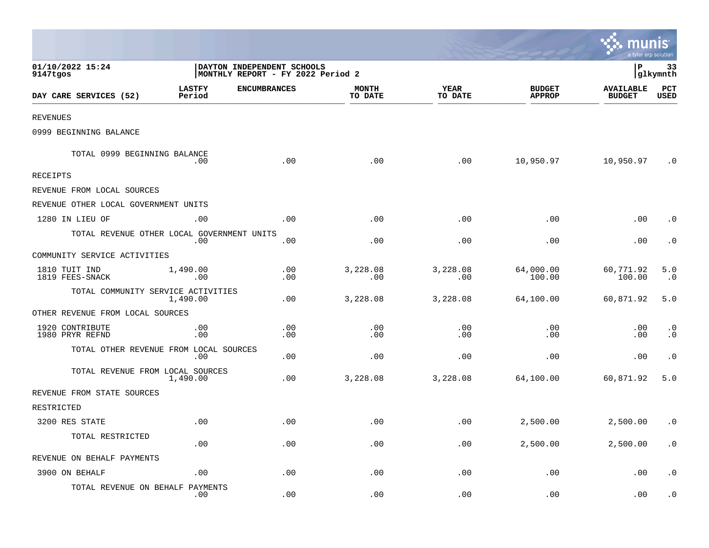|                                            |                         |                                                                 |                         |                        |                                | se munis<br>a tyler erp solution  |                           |
|--------------------------------------------|-------------------------|-----------------------------------------------------------------|-------------------------|------------------------|--------------------------------|-----------------------------------|---------------------------|
| 01/10/2022 15:24<br>9147tgos               |                         | DAYTON INDEPENDENT SCHOOLS<br>MONTHLY REPORT - FY 2022 Period 2 |                         |                        |                                | l P                               | 33<br> glkymnth           |
| DAY CARE SERVICES (52)                     | <b>LASTFY</b><br>Period | <b>ENCUMBRANCES</b>                                             | <b>MONTH</b><br>TO DATE | <b>YEAR</b><br>TO DATE | <b>BUDGET</b><br><b>APPROP</b> | <b>AVAILABLE</b><br><b>BUDGET</b> | <b>PCT</b><br><b>USED</b> |
| <b>REVENUES</b>                            |                         |                                                                 |                         |                        |                                |                                   |                           |
| 0999 BEGINNING BALANCE                     |                         |                                                                 |                         |                        |                                |                                   |                           |
| TOTAL 0999 BEGINNING BALANCE               | .00                     | .00                                                             | .00                     | .00                    | 10,950.97                      | 10,950.97                         | $\cdot$ 0                 |
| RECEIPTS                                   |                         |                                                                 |                         |                        |                                |                                   |                           |
| REVENUE FROM LOCAL SOURCES                 |                         |                                                                 |                         |                        |                                |                                   |                           |
| REVENUE OTHER LOCAL GOVERNMENT UNITS       |                         |                                                                 |                         |                        |                                |                                   |                           |
| 1280 IN LIEU OF                            | .00                     | .00                                                             | .00                     | .00                    | .00                            | .00                               | $\cdot$ 0                 |
| TOTAL REVENUE OTHER LOCAL GOVERNMENT UNITS | .00                     | .00                                                             | .00                     | .00                    | .00                            | .00                               | $\cdot$ 0                 |
| COMMUNITY SERVICE ACTIVITIES               |                         |                                                                 |                         |                        |                                |                                   |                           |
| 1810 TUIT IND<br>1819 FEES-SNACK           | 1,490.00<br>.00         | .00<br>.00                                                      | 3,228.08<br>.00         | 3,228.08<br>.00        | 64,000.00<br>100.00            | 60,771.92<br>100.00               | 5.0<br>$\cdot$ 0          |
| TOTAL COMMUNITY SERVICE ACTIVITIES         | 1,490.00                | .00                                                             | 3,228.08                | 3,228.08               | 64,100.00                      | 60,871.92                         | 5.0                       |
| OTHER REVENUE FROM LOCAL SOURCES           |                         |                                                                 |                         |                        |                                |                                   |                           |
| 1920 CONTRIBUTE<br>1980 PRYR REFND         | .00<br>.00              | .00<br>.00                                                      | .00<br>.00              | .00<br>.00             | .00<br>.00                     | .00<br>.00                        | $\cdot$ 0<br>$\cdot$ 0    |
| TOTAL OTHER REVENUE FROM LOCAL SOURCES     | .00                     | .00                                                             | .00                     | .00                    | .00                            | .00                               | $\cdot$ 0                 |
| TOTAL REVENUE FROM LOCAL SOURCES           | 1,490.00                | .00                                                             | 3,228.08                | 3,228.08               | 64,100.00                      | 60,871.92                         | 5.0                       |
| REVENUE FROM STATE SOURCES                 |                         |                                                                 |                         |                        |                                |                                   |                           |
| RESTRICTED                                 |                         |                                                                 |                         |                        |                                |                                   |                           |
| 3200 RES STATE                             | .00                     | .00                                                             | .00                     | .00                    | 2,500.00                       | 2,500.00                          | $\cdot$ 0                 |
| TOTAL RESTRICTED                           | .00                     | .00                                                             | .00                     | .00                    | 2,500.00                       | 2,500.00                          | $\cdot$ 0                 |
| REVENUE ON BEHALF PAYMENTS                 |                         |                                                                 |                         |                        |                                |                                   |                           |
| 3900 ON BEHALF                             | .00                     | .00                                                             | .00                     | .00                    | .00                            | .00                               | $\cdot$ 0                 |
| TOTAL REVENUE ON BEHALF PAYMENTS           | .00                     | .00                                                             | .00                     | .00                    | .00                            | .00                               | $\cdot$ 0                 |

the contract of the contract of the contract of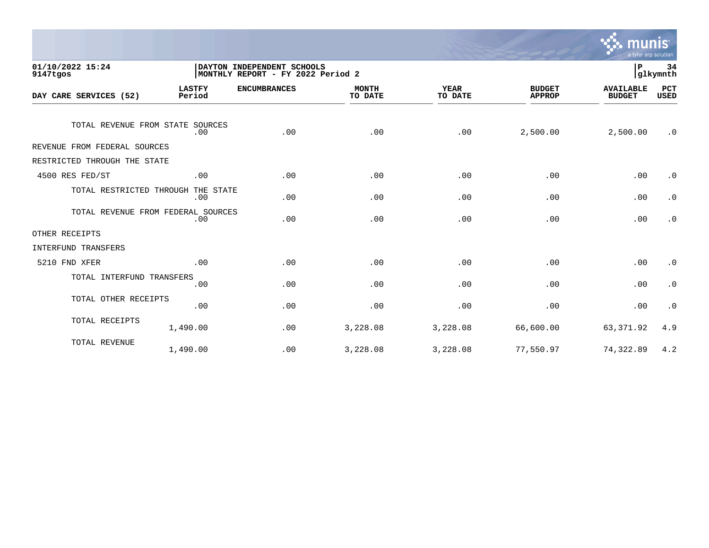

| 01/10/2022 15:24<br>9147tgos       |                         | DAYTON INDEPENDENT SCHOOLS<br>MONTHLY REPORT - FY 2022 Period 2 |                         |                        |                                | 34<br>lР<br>glkymnth              |                    |
|------------------------------------|-------------------------|-----------------------------------------------------------------|-------------------------|------------------------|--------------------------------|-----------------------------------|--------------------|
| DAY CARE SERVICES (52)             | <b>LASTFY</b><br>Period | <b>ENCUMBRANCES</b>                                             | <b>MONTH</b><br>TO DATE | <b>YEAR</b><br>TO DATE | <b>BUDGET</b><br><b>APPROP</b> | <b>AVAILABLE</b><br><b>BUDGET</b> | PCT<br><b>USED</b> |
| TOTAL REVENUE FROM STATE SOURCES   | .00                     | .00                                                             | .00                     | .00                    | 2,500.00                       | 2,500.00                          | $\cdot$ 0          |
| REVENUE FROM FEDERAL SOURCES       |                         |                                                                 |                         |                        |                                |                                   |                    |
| RESTRICTED THROUGH THE STATE       |                         |                                                                 |                         |                        |                                |                                   |                    |
| 4500 RES FED/ST                    | .00                     | .00                                                             | .00                     | .00                    | .00                            | .00                               | $\cdot$ 0          |
| TOTAL RESTRICTED THROUGH THE STATE | .00                     | .00                                                             | .00                     | .00                    | .00                            | .00                               | $\cdot$ 0          |
| TOTAL REVENUE FROM FEDERAL SOURCES | .00                     | .00                                                             | .00                     | .00                    | .00                            | .00                               | $\cdot$ 0          |
| OTHER RECEIPTS                     |                         |                                                                 |                         |                        |                                |                                   |                    |
| INTERFUND TRANSFERS                |                         |                                                                 |                         |                        |                                |                                   |                    |
| 5210 FND XFER                      | .00                     | .00                                                             | .00                     | .00                    | .00                            | .00                               | $\cdot$ 0          |
| TOTAL INTERFUND TRANSFERS          | .00                     | .00                                                             | .00                     | .00                    | .00                            | .00                               | $\cdot$ 0          |
| TOTAL OTHER RECEIPTS               | .00                     | .00                                                             | .00                     | .00                    | .00                            | .00                               | $\cdot$ 0          |
| TOTAL RECEIPTS                     | 1,490.00                | .00                                                             | 3,228.08                | 3,228.08               | 66,600.00                      | 63, 371.92                        | 4.9                |
| TOTAL REVENUE                      | 1,490.00                | .00                                                             | 3,228.08                | 3,228.08               | 77,550.97                      | 74,322.89                         | 4.2                |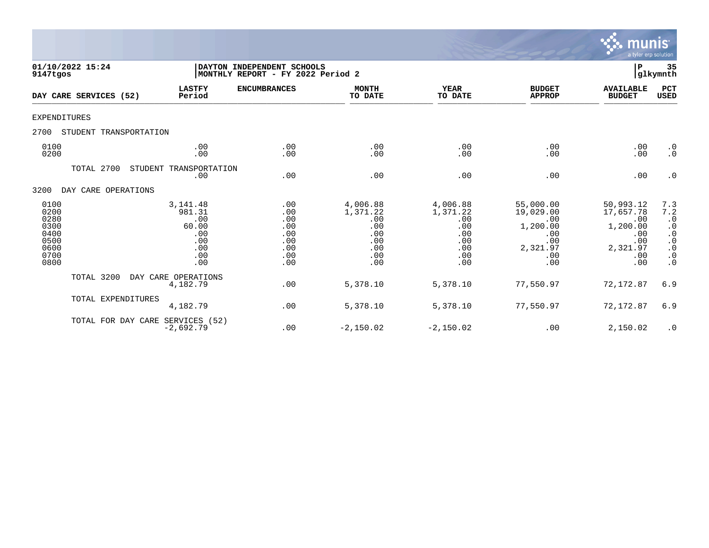

| 01/10/2022 15:24<br>9147tgos                                         |                                                                        | DAYTON INDEPENDENT SCHOOLS<br>MONTHLY REPORT - FY 2022 Period 2 |                                                                       |                                                                       |                                                                                   | $\mathbf P$                                                                       | 35<br>glkymnth                                                                                        |
|----------------------------------------------------------------------|------------------------------------------------------------------------|-----------------------------------------------------------------|-----------------------------------------------------------------------|-----------------------------------------------------------------------|-----------------------------------------------------------------------------------|-----------------------------------------------------------------------------------|-------------------------------------------------------------------------------------------------------|
| DAY CARE SERVICES (52)                                               | <b>LASTFY</b><br>Period                                                | <b>ENCUMBRANCES</b>                                             | <b>MONTH</b><br>TO DATE                                               | <b>YEAR</b><br>TO DATE                                                | <b>BUDGET</b><br><b>APPROP</b>                                                    | <b>AVAILABLE</b><br><b>BUDGET</b>                                                 | PCT<br><b>USED</b>                                                                                    |
| <b>EXPENDITURES</b>                                                  |                                                                        |                                                                 |                                                                       |                                                                       |                                                                                   |                                                                                   |                                                                                                       |
| 2700<br>STUDENT TRANSPORTATION                                       |                                                                        |                                                                 |                                                                       |                                                                       |                                                                                   |                                                                                   |                                                                                                       |
| 0100<br>0200                                                         | .00<br>.00                                                             | .00<br>.00                                                      | .00<br>.00                                                            | .00<br>.00                                                            | .00<br>.00                                                                        | .00<br>.00                                                                        | $\cdot$ 0<br>$\cdot$ 0                                                                                |
| TOTAL 2700                                                           | STUDENT TRANSPORTATION<br>.00                                          | .00                                                             | .00                                                                   | .00                                                                   | .00                                                                               | .00                                                                               | $\cdot$ 0                                                                                             |
| 3200<br>DAY CARE OPERATIONS                                          |                                                                        |                                                                 |                                                                       |                                                                       |                                                                                   |                                                                                   |                                                                                                       |
| 0100<br>0200<br>0280<br>0300<br>0400<br>0500<br>0600<br>0700<br>0800 | 3, 141.48<br>981.31<br>.00<br>60.00<br>.00<br>.00<br>.00<br>.00<br>.00 | .00<br>.00<br>.00<br>.00<br>.00<br>.00<br>.00<br>.00<br>.00     | 4,006.88<br>1,371.22<br>.00<br>.00<br>.00<br>.00<br>.00<br>.00<br>.00 | 4,006.88<br>1,371.22<br>.00<br>.00<br>.00<br>.00<br>.00<br>.00<br>.00 | 55,000.00<br>19,029.00<br>.00<br>1,200.00<br>.00<br>.00<br>2,321.97<br>.00<br>.00 | 50,993.12<br>17,657.78<br>.00<br>1,200.00<br>.00<br>.00<br>2,321.97<br>.00<br>.00 | 7.3<br>7.2<br>$\cdot$ 0<br>$\cdot$ 0<br>$\cdot$ 0<br>$\cdot$ 0<br>$\cdot$ 0<br>$\cdot$ 0<br>$\cdot$ 0 |
| TOTAL 3200                                                           | DAY CARE OPERATIONS<br>4,182.79                                        | .00                                                             | 5,378.10                                                              | 5,378.10                                                              | 77,550.97                                                                         | 72,172.87                                                                         | 6.9                                                                                                   |
| TOTAL EXPENDITURES                                                   | 4,182.79                                                               | .00                                                             | 5,378.10                                                              | 5,378.10                                                              | 77,550.97                                                                         | 72, 172.87                                                                        | 6.9                                                                                                   |
|                                                                      | TOTAL FOR DAY CARE SERVICES (52)<br>$-2,692.79$                        | .00                                                             | $-2,150.02$                                                           | $-2,150.02$                                                           | .00                                                                               | 2,150.02                                                                          | $\cdot$ 0                                                                                             |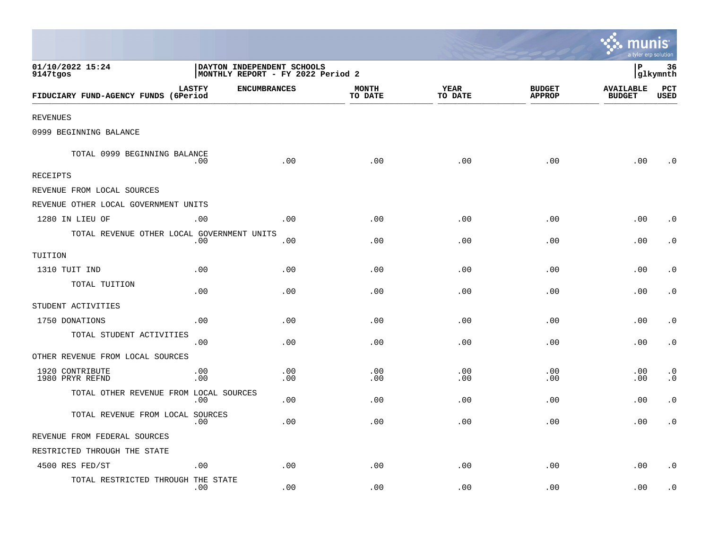|                                            |                                                                 |                     |                         |                        |                                | munis<br>a tyler erp solution     |                        |
|--------------------------------------------|-----------------------------------------------------------------|---------------------|-------------------------|------------------------|--------------------------------|-----------------------------------|------------------------|
| 01/10/2022 15:24<br>9147tgos               | DAYTON INDEPENDENT SCHOOLS<br>MONTHLY REPORT - FY 2022 Period 2 |                     |                         |                        |                                | lР<br>36<br>glkymnth              |                        |
| FIDUCIARY FUND-AGENCY FUNDS (6Period       | <b>LASTFY</b>                                                   | <b>ENCUMBRANCES</b> | <b>MONTH</b><br>TO DATE | <b>YEAR</b><br>TO DATE | <b>BUDGET</b><br><b>APPROP</b> | <b>AVAILABLE</b><br><b>BUDGET</b> | PCT<br><b>USED</b>     |
| <b>REVENUES</b>                            |                                                                 |                     |                         |                        |                                |                                   |                        |
| 0999 BEGINNING BALANCE                     |                                                                 |                     |                         |                        |                                |                                   |                        |
| TOTAL 0999 BEGINNING BALANCE               | .00                                                             | .00                 | .00                     | .00                    | .00                            | .00                               | . 0                    |
| <b>RECEIPTS</b>                            |                                                                 |                     |                         |                        |                                |                                   |                        |
| REVENUE FROM LOCAL SOURCES                 |                                                                 |                     |                         |                        |                                |                                   |                        |
| REVENUE OTHER LOCAL GOVERNMENT UNITS       |                                                                 |                     |                         |                        |                                |                                   |                        |
| 1280 IN LIEU OF                            | .00                                                             | .00                 | .00                     | .00                    | .00                            | .00                               | $\cdot$ 0              |
| TOTAL REVENUE OTHER LOCAL GOVERNMENT UNITS | .00                                                             | .00                 | .00                     | .00                    | .00                            | .00                               | $\cdot$ 0              |
| TUITION                                    |                                                                 |                     |                         |                        |                                |                                   |                        |
| 1310 TUIT IND                              | .00                                                             | .00                 | .00                     | .00                    | .00                            | .00                               | $\cdot$ 0              |
| TOTAL TUITION                              | .00                                                             | .00                 | .00                     | .00                    | .00                            | .00                               | $\cdot$ 0              |
| STUDENT ACTIVITIES                         |                                                                 |                     |                         |                        |                                |                                   |                        |
| 1750 DONATIONS                             | .00                                                             | .00                 | .00                     | .00                    | .00                            | .00                               | $\cdot$ 0              |
| TOTAL STUDENT ACTIVITIES                   | .00                                                             | .00                 | .00                     | .00                    | .00                            | .00                               | $\cdot$ 0              |
| OTHER REVENUE FROM LOCAL SOURCES           |                                                                 |                     |                         |                        |                                |                                   |                        |
| 1920 CONTRIBUTE<br>1980 PRYR REFND         | .00<br>.00                                                      | .00<br>.00          | .00<br>.00              | .00<br>.00             | .00<br>.00                     | .00<br>.00                        | $\cdot$ 0<br>$\cdot$ 0 |
| TOTAL OTHER REVENUE FROM LOCAL SOURCES     | .00                                                             | .00                 | .00                     | .00                    | .00                            | .00                               | $\cdot$ 0              |
| TOTAL REVENUE FROM LOCAL SOURCES           | .00                                                             | .00                 | .00                     | .00                    | .00                            | .00                               | $\cdot$ 0              |
| REVENUE FROM FEDERAL SOURCES               |                                                                 |                     |                         |                        |                                |                                   |                        |
| RESTRICTED THROUGH THE STATE               |                                                                 |                     |                         |                        |                                |                                   |                        |
| 4500 RES FED/ST                            | .00                                                             | .00                 | .00                     | .00                    | .00                            | .00                               | $\cdot$ 0              |
| TOTAL RESTRICTED THROUGH THE STATE         | .00                                                             | .00                 | .00                     | .00                    | .00                            | .00                               | $\cdot$ 0              |

 $\sim$   $\sim$   $\sim$   $\sim$   $\sim$   $\sim$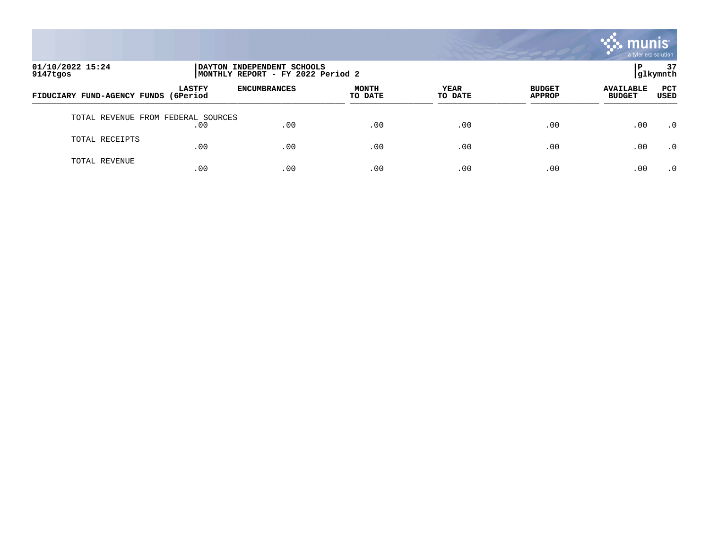

| 01/10/2022 15:24<br>9147tgos       | DAYTON INDEPENDENT SCHOOLS<br>MONTHLY REPORT - FY 2022 Period 2 |                     |                         |                 |                                |                                   | 37<br> glkymnth    |
|------------------------------------|-----------------------------------------------------------------|---------------------|-------------------------|-----------------|--------------------------------|-----------------------------------|--------------------|
| FIDUCIARY FUND-AGENCY FUNDS        | <b>LASTFY</b><br>(6Period                                       | <b>ENCUMBRANCES</b> | <b>MONTH</b><br>TO DATE | YEAR<br>TO DATE | <b>BUDGET</b><br><b>APPROP</b> | <b>AVAILABLE</b><br><b>BUDGET</b> | <b>PCT</b><br>USED |
| TOTAL REVENUE FROM FEDERAL SOURCES | .00                                                             | .00                 | .00                     | .00             | .00                            | .00                               | $\cdot$ 0          |
| TOTAL RECEIPTS                     | .00                                                             | .00                 | .00                     | .00             | .00                            | .00                               | .0                 |
| TOTAL REVENUE                      | .00                                                             | .00                 | .00                     | .00             | .00                            | .00                               | $\cdot$ 0          |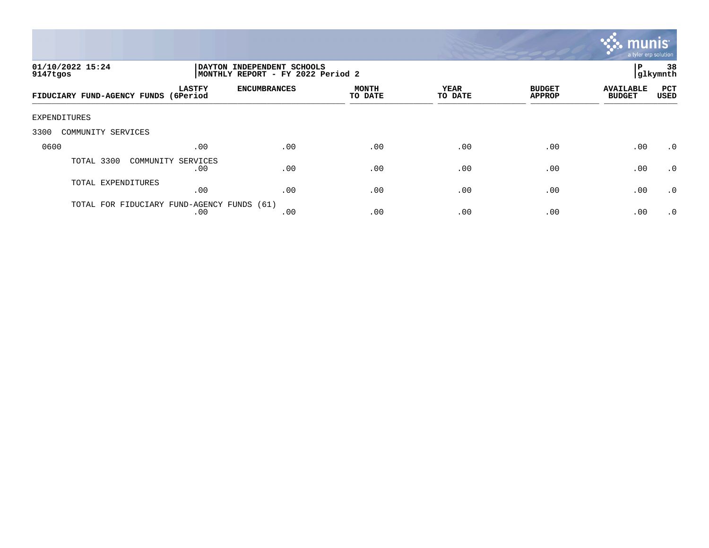

| 01/10/2022 15:24<br>9147tgos         |                                         | DAYTON INDEPENDENT SCHOOLS<br>MONTHLY REPORT - FY 2022 Period 2 |                         |                 |                                |                                   | 38<br>glkymnth     |
|--------------------------------------|-----------------------------------------|-----------------------------------------------------------------|-------------------------|-----------------|--------------------------------|-----------------------------------|--------------------|
| FIDUCIARY FUND-AGENCY FUNDS (6Period | <b>LASTFY</b>                           | <b>ENCUMBRANCES</b>                                             | <b>MONTH</b><br>TO DATE | YEAR<br>TO DATE | <b>BUDGET</b><br><b>APPROP</b> | <b>AVAILABLE</b><br><b>BUDGET</b> | <b>PCT</b><br>USED |
| <b>EXPENDITURES</b>                  |                                         |                                                                 |                         |                 |                                |                                   |                    |
| COMMUNITY SERVICES<br>3300           |                                         |                                                                 |                         |                 |                                |                                   |                    |
| 0600                                 | .00                                     | .00                                                             | .00                     | .00             | .00                            | .00                               | $\cdot$ 0          |
| TOTAL 3300                           | COMMUNITY SERVICES<br>.00               | .00                                                             | .00                     | .00             | .00                            | .00                               | $\cdot$ 0          |
| TOTAL EXPENDITURES                   | .00                                     | .00                                                             | .00                     | .00             | .00                            | .00                               | .0                 |
| TOTAL FOR                            | FIDUCIARY FUND-AGENCY FUNDS (61)<br>.00 | .00                                                             | .00                     | .00             | .00                            | .00                               | $\cdot$ 0          |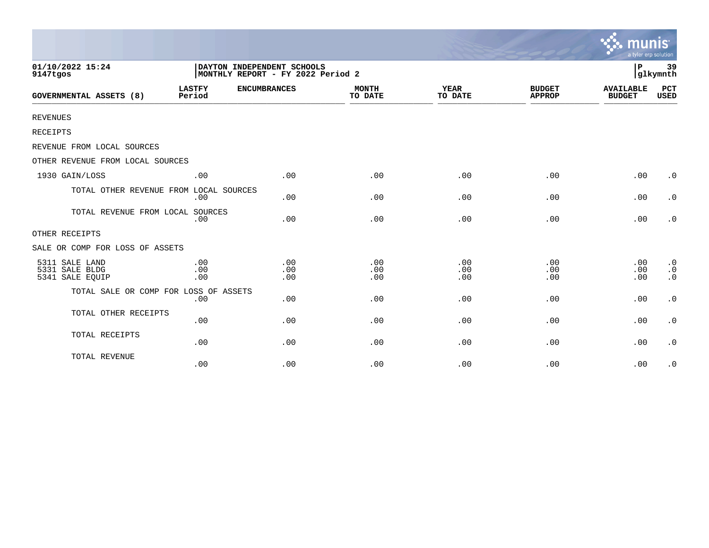|                                                     |                         |                                                                 |                         |                        |                                | munis<br>a tyler erp solution     |                                                  |
|-----------------------------------------------------|-------------------------|-----------------------------------------------------------------|-------------------------|------------------------|--------------------------------|-----------------------------------|--------------------------------------------------|
| 01/10/2022 15:24<br>9147tgos                        |                         | DAYTON INDEPENDENT SCHOOLS<br>MONTHLY REPORT - FY 2022 Period 2 |                         |                        |                                | $\, {\bf P}$                      | 39<br>glkymnth                                   |
| <b>GOVERNMENTAL ASSETS (8)</b>                      | <b>LASTFY</b><br>Period | <b>ENCUMBRANCES</b>                                             | <b>MONTH</b><br>TO DATE | <b>YEAR</b><br>TO DATE | <b>BUDGET</b><br><b>APPROP</b> | <b>AVAILABLE</b><br><b>BUDGET</b> | PCT<br><b>USED</b>                               |
| <b>REVENUES</b>                                     |                         |                                                                 |                         |                        |                                |                                   |                                                  |
| <b>RECEIPTS</b>                                     |                         |                                                                 |                         |                        |                                |                                   |                                                  |
| REVENUE FROM LOCAL SOURCES                          |                         |                                                                 |                         |                        |                                |                                   |                                                  |
| OTHER REVENUE FROM LOCAL SOURCES                    |                         |                                                                 |                         |                        |                                |                                   |                                                  |
| 1930 GAIN/LOSS                                      | .00                     | .00                                                             | .00                     | .00                    | .00                            | .00                               | $\cdot$ 0                                        |
| TOTAL OTHER REVENUE FROM LOCAL SOURCES              | .00                     | .00                                                             | .00                     | .00                    | .00                            | .00                               | $\cdot$ 0                                        |
| TOTAL REVENUE FROM LOCAL SOURCES                    | .00                     | .00                                                             | .00                     | .00                    | .00                            | .00                               | $\cdot$ 0                                        |
| OTHER RECEIPTS                                      |                         |                                                                 |                         |                        |                                |                                   |                                                  |
| SALE OR COMP FOR LOSS OF ASSETS                     |                         |                                                                 |                         |                        |                                |                                   |                                                  |
| 5311 SALE LAND<br>5331 SALE BLDG<br>5341 SALE EQUIP | .00<br>.00<br>.00       | .00<br>.00<br>.00                                               | .00<br>.00<br>.00       | .00<br>.00<br>.00      | .00<br>.00<br>.00              | .00<br>.00<br>.00                 | $\cdot$ 0<br>$\cdot$ 0<br>$\boldsymbol{\cdot}$ 0 |
| TOTAL SALE OR COMP FOR LOSS OF ASSETS               | .00                     | .00                                                             | .00                     | .00                    | .00                            | .00                               | $\boldsymbol{\cdot}$ 0                           |
| TOTAL OTHER RECEIPTS                                | .00                     | .00                                                             | .00                     | .00                    | .00                            | .00                               | $\cdot$ 0                                        |
| TOTAL RECEIPTS                                      | .00                     | .00                                                             | .00                     | .00                    | .00                            | .00                               | $\cdot$ 0                                        |
| TOTAL REVENUE                                       | .00                     | .00                                                             | .00                     | .00                    | .00                            | .00                               | $\cdot$ 0                                        |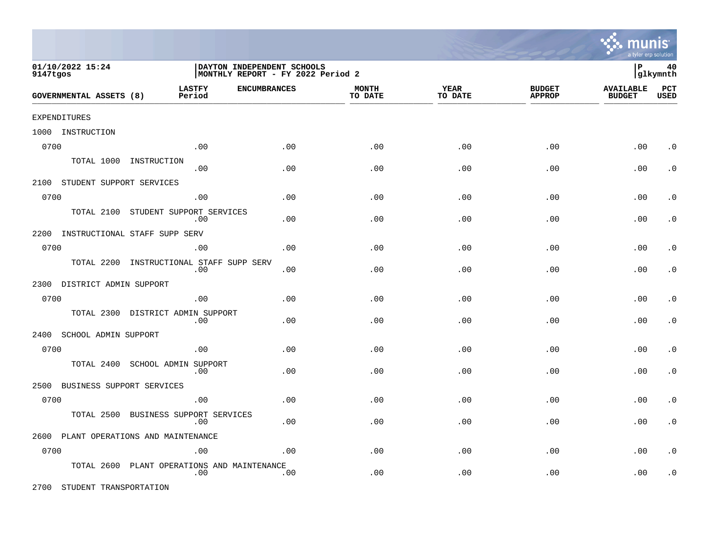|                                                                                                 |                                      |                     |                         |                        |                                | a tyler erp solution              |                |
|-------------------------------------------------------------------------------------------------|--------------------------------------|---------------------|-------------------------|------------------------|--------------------------------|-----------------------------------|----------------|
| 01/10/2022 15:24<br>DAYTON INDEPENDENT SCHOOLS<br>MONTHLY REPORT - FY 2022 Period 2<br>9147tgos |                                      |                     |                         |                        |                                |                                   | 40<br>glkymnth |
| <b>GOVERNMENTAL ASSETS (8)</b>                                                                  | <b>LASTFY</b><br>Period              | <b>ENCUMBRANCES</b> | <b>MONTH</b><br>TO DATE | <b>YEAR</b><br>TO DATE | <b>BUDGET</b><br><b>APPROP</b> | <b>AVAILABLE</b><br><b>BUDGET</b> | PCT<br>USED    |
| <b>EXPENDITURES</b>                                                                             |                                      |                     |                         |                        |                                |                                   |                |
| 1000 INSTRUCTION                                                                                |                                      |                     |                         |                        |                                |                                   |                |
| 0700                                                                                            | .00                                  | .00                 | .00                     | .00                    | .00                            | .00                               | $\cdot$ 0      |
| TOTAL 1000<br>INSTRUCTION                                                                       | .00                                  | .00                 | .00                     | .00                    | .00                            | .00                               | $\cdot$ 0      |
| 2100<br>STUDENT SUPPORT SERVICES                                                                |                                      |                     |                         |                        |                                |                                   |                |
| 0700                                                                                            | .00                                  | .00                 | .00                     | .00                    | .00                            | .00                               | $\cdot$ 0      |
| TOTAL 2100                                                                                      | STUDENT SUPPORT SERVICES<br>.00      | .00                 | .00                     | .00                    | .00                            | .00                               | $\cdot$ 0      |
| 2200<br>INSTRUCTIONAL STAFF SUPP SERV                                                           |                                      |                     |                         |                        |                                |                                   |                |
| 0700                                                                                            | .00                                  | .00                 | .00                     | .00                    | .00                            | .00                               | $\cdot$ 0      |
| TOTAL 2200                                                                                      | INSTRUCTIONAL STAFF SUPP SERV<br>.00 | .00                 | .00                     | .00                    | .00                            | .00                               | $\cdot$ 0      |
| 2300<br>DISTRICT ADMIN SUPPORT                                                                  |                                      |                     |                         |                        |                                |                                   |                |
| 0700                                                                                            | .00                                  | .00                 | .00                     | .00                    | .00                            | .00                               | $\cdot$ 0      |
| TOTAL 2300                                                                                      | DISTRICT ADMIN SUPPORT<br>.00        | .00                 | .00                     | .00                    | .00                            | .00                               | $\cdot$ 0      |
| 2400<br>SCHOOL ADMIN SUPPORT                                                                    |                                      |                     |                         |                        |                                |                                   |                |
| 0700                                                                                            | .00                                  | .00                 | .00                     | .00                    | .00                            | .00                               | $\cdot$ 0      |
| TOTAL 2400                                                                                      | SCHOOL ADMIN SUPPORT<br>.00          | .00                 | .00                     | .00                    | .00                            | .00                               | $\cdot$ 0      |
| BUSINESS SUPPORT SERVICES<br>2500                                                               |                                      |                     |                         |                        |                                |                                   |                |
| 0700                                                                                            | .00                                  | .00                 | .00                     | .00                    | .00                            | .00                               | $\cdot$ 0      |

TOTAL 2500 BUSINESS SUPPORT SERVICES .00 .00 .00 .00 .00 .00 .0 2600 PLANT OPERATIONS AND MAINTENANCE 0700 .00 .00 .00 .00 .00 .00 .0 TOTAL 2600 PLANT OPERATIONS AND MAINTENANCE .00 .00 .00 .00 .00 .00 .0

2700 STUDENT TRANSPORTATION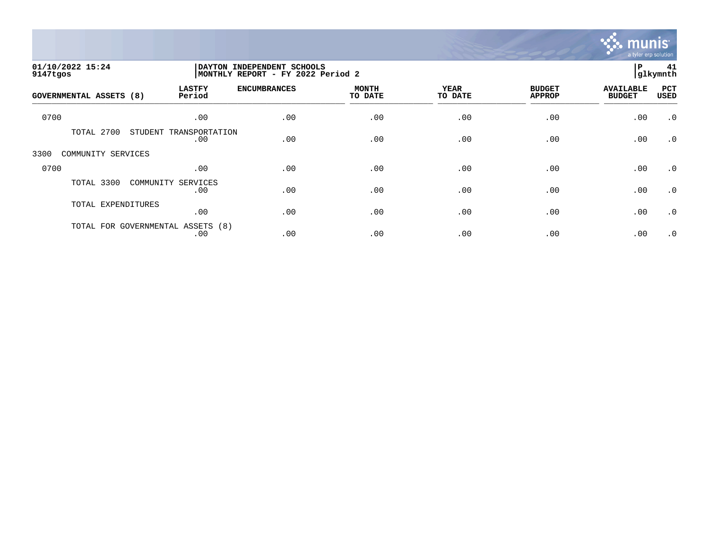

| 01/10/2022 15:24<br>9147tgos   |                                   |                               | <b>DAYTON</b><br>INDEPENDENT SCHOOLS<br>MONTHLY REPORT - FY 2022 Period 2 |                         |                        |                                |                                   |                    |
|--------------------------------|-----------------------------------|-------------------------------|---------------------------------------------------------------------------|-------------------------|------------------------|--------------------------------|-----------------------------------|--------------------|
| <b>GOVERNMENTAL ASSETS (8)</b> |                                   | <b>LASTFY</b><br>Period       | <b>ENCUMBRANCES</b>                                                       | <b>MONTH</b><br>TO DATE | <b>YEAR</b><br>TO DATE | <b>BUDGET</b><br><b>APPROP</b> | <b>AVAILABLE</b><br><b>BUDGET</b> | PCT<br><b>USED</b> |
| 0700                           |                                   | .00                           | .00                                                                       | .00                     | .00                    | .00                            | .00                               | $\cdot$ 0          |
|                                | TOTAL 2700                        | STUDENT TRANSPORTATION<br>.00 | .00                                                                       | .00                     | .00                    | .00                            | .00                               | $\cdot$ 0          |
| 3300                           | COMMUNITY SERVICES                |                               |                                                                           |                         |                        |                                |                                   |                    |
| 0700                           |                                   | .00                           | .00                                                                       | .00                     | .00                    | .00                            | .00                               | $\cdot$ 0          |
|                                | TOTAL 3300<br>COMMUNITY           | SERVICES<br>.00               | .00                                                                       | .00                     | .00                    | .00                            | .00                               | $\cdot$ 0          |
|                                | TOTAL EXPENDITURES                | .00                           | .00                                                                       | .00                     | .00                    | .00                            | .00                               | $\cdot$ 0          |
|                                | TOTAL FOR GOVERNMENTAL ASSETS (8) | .00                           | .00                                                                       | .00                     | .00                    | .00                            | .00                               | $\cdot$ 0          |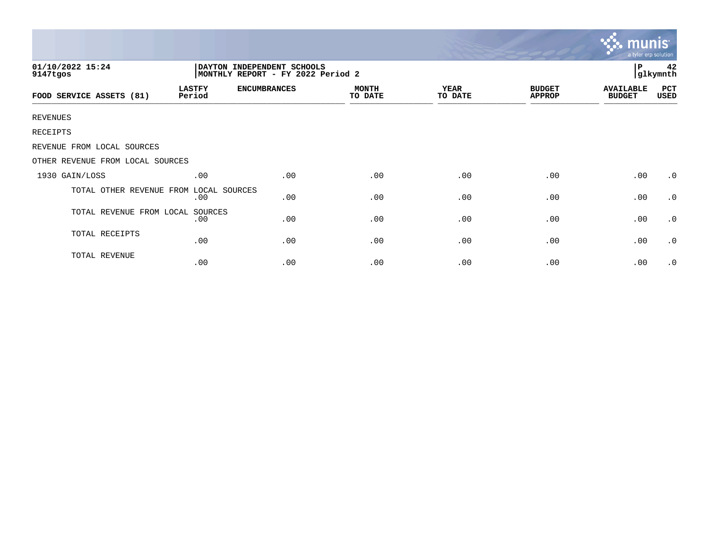|                                                                                                  |                         |                     |                         |                        |                                | munis<br>a tyler erp solution     |             |
|--------------------------------------------------------------------------------------------------|-------------------------|---------------------|-------------------------|------------------------|--------------------------------|-----------------------------------|-------------|
| 01/10/2022 15:24<br>DAYTON INDEPENDENT SCHOOLS<br>9147tgos<br> MONTHLY REPORT - FY 2022 Period 2 |                         |                     |                         |                        |                                |                                   |             |
| FOOD SERVICE ASSETS (81)                                                                         | <b>LASTFY</b><br>Period | <b>ENCUMBRANCES</b> | <b>MONTH</b><br>TO DATE | <b>YEAR</b><br>TO DATE | <b>BUDGET</b><br><b>APPROP</b> | <b>AVAILABLE</b><br><b>BUDGET</b> | PCT<br>USED |
| <b>REVENUES</b>                                                                                  |                         |                     |                         |                        |                                |                                   |             |
| RECEIPTS                                                                                         |                         |                     |                         |                        |                                |                                   |             |
| REVENUE FROM LOCAL SOURCES                                                                       |                         |                     |                         |                        |                                |                                   |             |
| OTHER REVENUE FROM LOCAL SOURCES                                                                 |                         |                     |                         |                        |                                |                                   |             |
| 1930 GAIN/LOSS                                                                                   | .00                     | .00                 | .00                     | .00                    | .00                            | .00                               | $\cdot$ 0   |
| TOTAL OTHER REVENUE FROM LOCAL SOURCES                                                           | .00                     | .00                 | .00                     | .00                    | .00                            | .00                               | .0          |
| TOTAL REVENUE FROM LOCAL SOURCES                                                                 | .00                     | .00                 | .00                     | .00                    | .00                            | .00                               | .0          |
| TOTAL RECEIPTS                                                                                   | .00                     | .00                 | .00                     | .00                    | .00                            | .00                               | $\cdot$ 0   |
| TOTAL REVENUE                                                                                    | .00                     | .00                 | .00                     | .00                    | .00                            | .00                               | $\cdot$ 0   |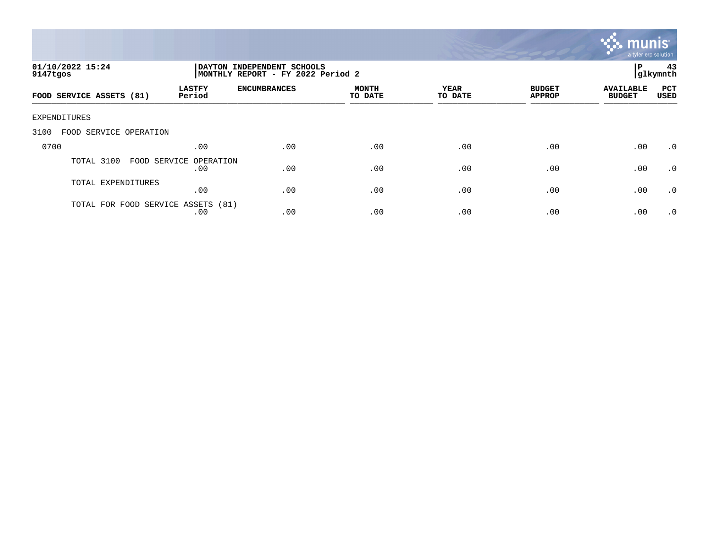

| 01/10/2022 15:24<br>9147tgos      |                            | DAYTON INDEPENDENT SCHOOLS<br>MONTHLY REPORT - FY 2022 Period 2 |                         |                 |                                |                                   |             |
|-----------------------------------|----------------------------|-----------------------------------------------------------------|-------------------------|-----------------|--------------------------------|-----------------------------------|-------------|
| FOOD SERVICE ASSETS (81)          | <b>LASTFY</b><br>Period    | <b>ENCUMBRANCES</b>                                             | <b>MONTH</b><br>TO DATE | YEAR<br>TO DATE | <b>BUDGET</b><br><b>APPROP</b> | <b>AVAILABLE</b><br><b>BUDGET</b> | PCT<br>USED |
| <b>EXPENDITURES</b>               |                            |                                                                 |                         |                 |                                |                                   |             |
| SERVICE OPERATION<br>3100<br>FOOD |                            |                                                                 |                         |                 |                                |                                   |             |
| 0700                              | .00                        | .00                                                             | .00                     | .00             | .00                            | .00                               | $\cdot$ 0   |
| TOTAL 3100<br>FOOD SERVICE        | OPERATION<br>.00           | .00                                                             | .00                     | .00             | .00                            | .00                               | $\cdot$ 0   |
| TOTAL EXPENDITURES                | .00                        | .00                                                             | .00                     | .00             | .00                            | .00                               | .0          |
| TOTAL FOR FOOD                    | SERVICE ASSETS (81)<br>.00 | .00                                                             | .00                     | .00             | .00                            | .00                               | $\cdot$ 0   |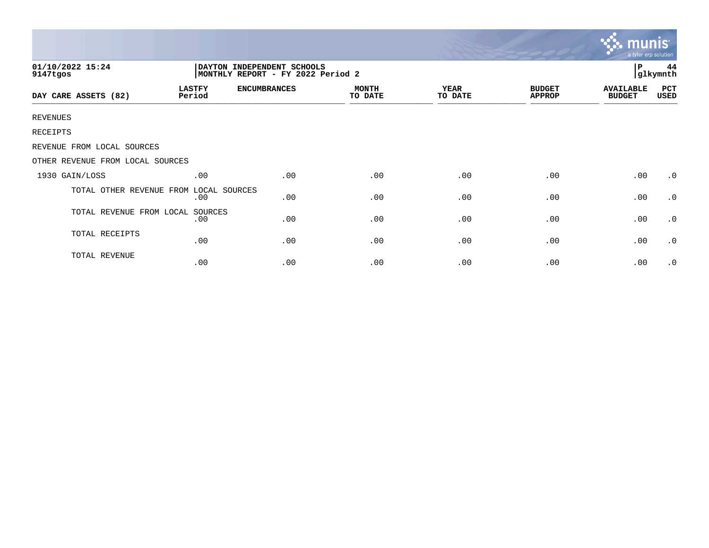|                                  |                         |                     |                         |                        |                                | munis<br>a tyler erp solution     |             |
|----------------------------------|-------------------------|---------------------|-------------------------|------------------------|--------------------------------|-----------------------------------|-------------|
| 01/10/2022 15:24<br>9147tgos     |                         | Р<br>44<br>glkymnth |                         |                        |                                |                                   |             |
| DAY CARE ASSETS (82)             | <b>LASTFY</b><br>Period | <b>ENCUMBRANCES</b> | <b>MONTH</b><br>TO DATE | <b>YEAR</b><br>TO DATE | <b>BUDGET</b><br><b>APPROP</b> | <b>AVAILABLE</b><br><b>BUDGET</b> | PCT<br>USED |
| <b>REVENUES</b>                  |                         |                     |                         |                        |                                |                                   |             |
| RECEIPTS                         |                         |                     |                         |                        |                                |                                   |             |
| REVENUE FROM LOCAL SOURCES       |                         |                     |                         |                        |                                |                                   |             |
| OTHER REVENUE FROM LOCAL SOURCES |                         |                     |                         |                        |                                |                                   |             |
| 1930 GAIN/LOSS                   | .00                     | .00                 | .00                     | .00                    | .00                            | .00.                              | $\cdot$ 0   |
| TOTAL OTHER REVENUE FROM         | LOCAL SOURCES<br>.00    | .00                 | .00                     | .00                    | .00                            | .00.                              | .0          |
| TOTAL REVENUE FROM LOCAL         | SOURCES<br>.00          | .00                 | .00                     | .00                    | .00                            | .00                               | $\cdot$ 0   |
| TOTAL RECEIPTS                   | .00                     | .00                 | .00                     | .00                    | .00                            | .00                               | $\cdot$ 0   |
| TOTAL REVENUE                    | .00                     | .00                 | .00                     | .00                    | .00                            | .00                               | .0          |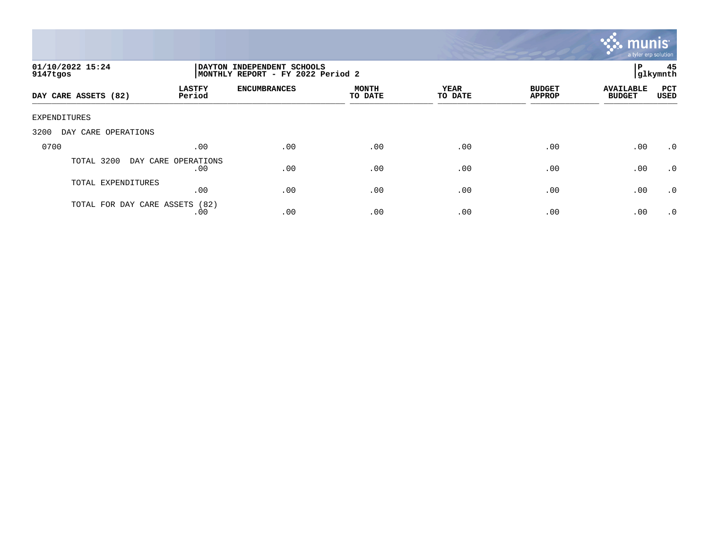

| 01/10/2022 15:24<br>9147tgos   | DAYTON INDEPENDENT SCHOOLS<br>MONTHLY REPORT - FY 2022 Period 2 |                     |                         |                 |                                |                                   | 45<br> glkymnth    |
|--------------------------------|-----------------------------------------------------------------|---------------------|-------------------------|-----------------|--------------------------------|-----------------------------------|--------------------|
| DAY CARE ASSETS (82)           | <b>LASTFY</b><br>Period                                         | <b>ENCUMBRANCES</b> | <b>MONTH</b><br>TO DATE | YEAR<br>TO DATE | <b>BUDGET</b><br><b>APPROP</b> | <b>AVAILABLE</b><br><b>BUDGET</b> | <b>PCT</b><br>USED |
| EXPENDITURES                   |                                                                 |                     |                         |                 |                                |                                   |                    |
| 3200<br>DAY CARE OPERATIONS    |                                                                 |                     |                         |                 |                                |                                   |                    |
| 0700                           | .00                                                             | .00                 | .00                     | .00             | .00                            | .00                               | $\cdot$ 0          |
| 3200<br>TOTAL                  | DAY CARE OPERATIONS<br>.00                                      | .00                 | .00                     | .00             | .00                            | .00                               | $\cdot$ 0          |
| TOTAL EXPENDITURES             | .00                                                             | .00                 | .00                     | .00             | .00                            | .00                               | $\cdot$ 0          |
| TOTAL FOR DAY CARE ASSETS (82) | .00                                                             | .00                 | .00                     | .00             | .00                            | .00                               | $\cdot$ 0          |